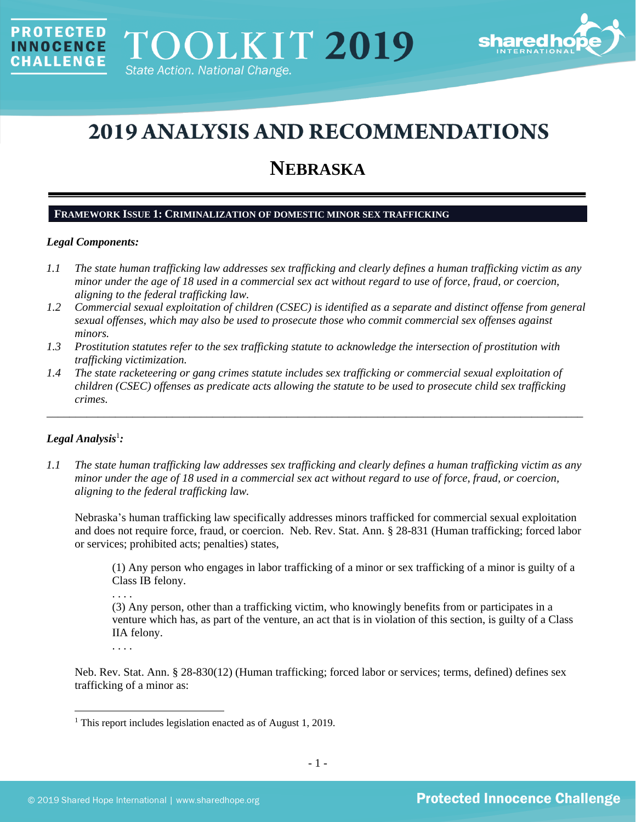

# **2019 ANALYSIS AND RECOMMENDATIONS**

## **NEBRASKA**

## **FRAMEWORK ISSUE 1: CRIMINALIZATION OF DOMESTIC MINOR SEX TRAFFICKING**

## *Legal Components:*

**PROTECTED** 

**INNOCENCE** CHALLENGE

- *1.1 The state human trafficking law addresses sex trafficking and clearly defines a human trafficking victim as any minor under the age of 18 used in a commercial sex act without regard to use of force, fraud, or coercion, aligning to the federal trafficking law.*
- *1.2 Commercial sexual exploitation of children (CSEC) is identified as a separate and distinct offense from general sexual offenses, which may also be used to prosecute those who commit commercial sex offenses against minors.*
- *1.3 Prostitution statutes refer to the sex trafficking statute to acknowledge the intersection of prostitution with trafficking victimization.*
- *1.4 The state racketeering or gang crimes statute includes sex trafficking or commercial sexual exploitation of children (CSEC) offenses as predicate acts allowing the statute to be used to prosecute child sex trafficking crimes.*

\_\_\_\_\_\_\_\_\_\_\_\_\_\_\_\_\_\_\_\_\_\_\_\_\_\_\_\_\_\_\_\_\_\_\_\_\_\_\_\_\_\_\_\_\_\_\_\_\_\_\_\_\_\_\_\_\_\_\_\_\_\_\_\_\_\_\_\_\_\_\_\_\_\_\_\_\_\_\_\_\_\_\_\_\_\_\_\_\_\_\_\_\_\_

## $Legal$  Analysis<sup>1</sup>:

*1.1 The state human trafficking law addresses sex trafficking and clearly defines a human trafficking victim as any minor under the age of 18 used in a commercial sex act without regard to use of force, fraud, or coercion, aligning to the federal trafficking law.*

Nebraska's human trafficking law specifically addresses minors trafficked for commercial sexual exploitation and does not require force, fraud, or coercion. Neb. Rev. Stat. Ann. § 28-831 (Human trafficking; forced labor or services; prohibited acts; penalties) states,

(1) Any person who engages in labor trafficking of a minor or sex trafficking of a minor is guilty of a Class IB felony.

. . . .

(3) Any person, other than a trafficking victim, who knowingly benefits from or participates in a venture which has, as part of the venture, an act that is in violation of this section, is guilty of a Class IIA felony.

. . . .

Neb. Rev. Stat. Ann. § 28-830(12) (Human trafficking; forced labor or services; terms, defined) defines sex trafficking of a minor as:

<sup>&</sup>lt;sup>1</sup> This report includes legislation enacted as of August 1, 2019.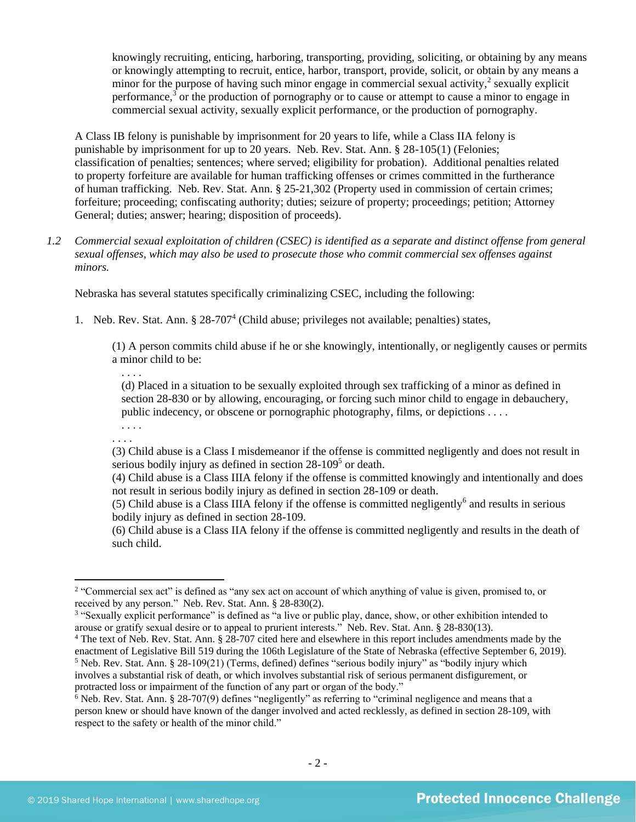knowingly recruiting, enticing, harboring, transporting, providing, soliciting, or obtaining by any means or knowingly attempting to recruit, entice, harbor, transport, provide, solicit, or obtain by any means a minor for the purpose of having such minor engage in commercial sexual activity, $2$  sexually explicit performance,<sup>3</sup> or the production of pornography or to cause or attempt to cause a minor to engage in commercial sexual activity, sexually explicit performance, or the production of pornography.

A Class IB felony is punishable by imprisonment for 20 years to life, while a Class IIA felony is punishable by imprisonment for up to 20 years. Neb. Rev. Stat. Ann. § 28-105(1) (Felonies; classification of penalties; sentences; where served; eligibility for probation). Additional penalties related to property forfeiture are available for human trafficking offenses or crimes committed in the furtherance of human trafficking. Neb. Rev. Stat. Ann. § 25-21,302 (Property used in commission of certain crimes; forfeiture; proceeding; confiscating authority; duties; seizure of property; proceedings; petition; Attorney General; duties; answer; hearing; disposition of proceeds).

*1.2 Commercial sexual exploitation of children (CSEC) is identified as a separate and distinct offense from general sexual offenses, which may also be used to prosecute those who commit commercial sex offenses against minors.*

Nebraska has several statutes specifically criminalizing CSEC, including the following:

1. Neb. Rev. Stat. Ann. § 28-707<sup>4</sup> (Child abuse; privileges not available; penalties) states,

<span id="page-1-0"></span>(1) A person commits child abuse if he or she knowingly, intentionally, or negligently causes or permits a minor child to be:

(d) Placed in a situation to be sexually exploited through sex trafficking of a minor as defined in section 28-830 or by allowing, encouraging, or forcing such minor child to engage in debauchery, public indecency, or obscene or pornographic photography, films, or depictions . . . .

. . . . . . . .

. . . .

(3) Child abuse is a Class I misdemeanor if the offense is committed negligently and does not result in serious bodily injury as defined in section 28-109<sup>5</sup> or death.

(4) Child abuse is a Class IIIA felony if the offense is committed knowingly and intentionally and does not result in serious bodily injury as defined in section 28-109 or death.

(5) Child abuse is a Class IIIA felony if the offense is committed negligently<sup>6</sup> and results in serious bodily injury as defined in section 28-109.

(6) Child abuse is a Class IIA felony if the offense is committed negligently and results in the death of such child.

<sup>2</sup> "Commercial sex act" is defined as "any sex act on account of which anything of value is given, promised to, or received by any person." Neb. Rev. Stat. Ann. § 28-830(2).

<sup>&</sup>lt;sup>3</sup> "Sexually explicit performance" is defined as "a live or public play, dance, show, or other exhibition intended to arouse or gratify sexual desire or to appeal to prurient interests." Neb. Rev. Stat. Ann. § 28-830(13).

<sup>&</sup>lt;sup>4</sup> The text of Neb. Rev. Stat. Ann. § 28-707 cited here and elsewhere in this report includes amendments made by the enactment of Legislative Bill 519 during the 106th Legislature of the State of Nebraska (effective September 6, 2019).  $5$  Neb. Rev. Stat. Ann. § 28-109(21) (Terms, defined) defines "serious bodily injury" as "bodily injury which involves a substantial risk of death, or which involves substantial risk of serious permanent disfigurement, or protracted loss or impairment of the function of any part or organ of the body."

<sup>6</sup> Neb. Rev. Stat. Ann. § 28-707(9) defines "negligently" as referring to "criminal negligence and means that a person knew or should have known of the danger involved and acted recklessly, as defined in section 28-109, with respect to the safety or health of the minor child."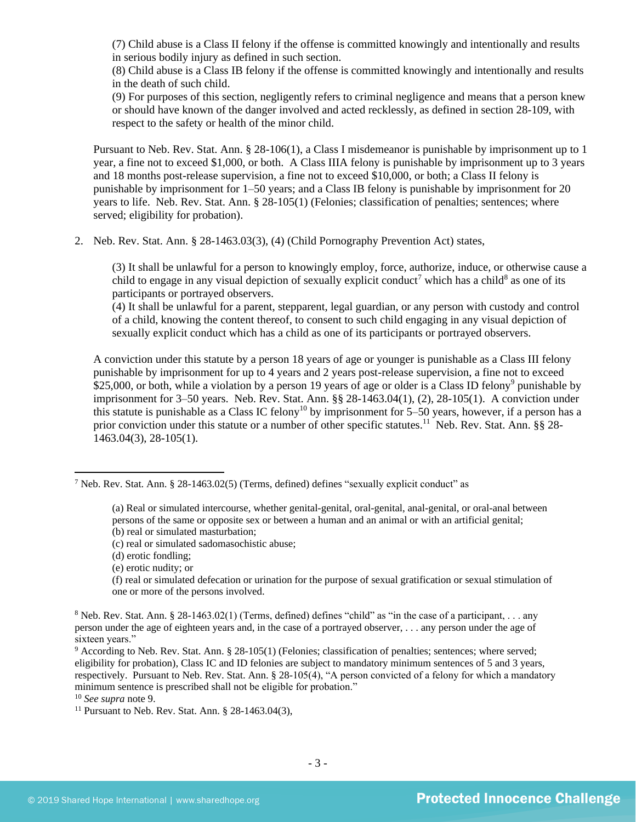(7) Child abuse is a Class II felony if the offense is committed knowingly and intentionally and results in serious bodily injury as defined in such section.

(8) Child abuse is a Class IB felony if the offense is committed knowingly and intentionally and results in the death of such child.

(9) For purposes of this section, negligently refers to criminal negligence and means that a person knew or should have known of the danger involved and acted recklessly, as defined in section 28-109, with respect to the safety or health of the minor child.

Pursuant to Neb. Rev. Stat. Ann. § 28-106(1), a Class I misdemeanor is punishable by imprisonment up to 1 year, a fine not to exceed \$1,000, or both. A Class IIIA felony is punishable by imprisonment up to 3 years and 18 months post-release supervision, a fine not to exceed \$10,000, or both; a Class II felony is punishable by imprisonment for 1–50 years; and a Class IB felony is punishable by imprisonment for 20 years to life. Neb. Rev. Stat. Ann. § 28-105(1) (Felonies; classification of penalties; sentences; where served; eligibility for probation).

2. Neb. Rev. Stat. Ann. § 28-1463.03(3), (4) (Child Pornography Prevention Act) states,

<span id="page-2-1"></span>(3) It shall be unlawful for a person to knowingly employ, force, authorize, induce, or otherwise cause a child to engage in any visual depiction of sexually explicit conduct<sup>7</sup> which has a child<sup>8</sup> as one of its participants or portrayed observers.

<span id="page-2-0"></span>(4) It shall be unlawful for a parent, stepparent, legal guardian, or any person with custody and control of a child, knowing the content thereof, to consent to such child engaging in any visual depiction of sexually explicit conduct which has a child as one of its participants or portrayed observers.

A conviction under this statute by a person 18 years of age or younger is punishable as a Class III felony punishable by imprisonment for up to 4 years and 2 years post-release supervision, a fine not to exceed \$25,000, or both, while a violation by a person 19 years of age or older is a Class ID felony<sup>9</sup> punishable by imprisonment for 3–50 years. Neb. Rev. Stat. Ann. §§ 28-1463.04(1), (2), 28-105(1). A conviction under this statute is punishable as a Class IC felony<sup>10</sup> by imprisonment for  $5-50$  years, however, if a person has a prior conviction under this statute or a number of other specific statutes.<sup>11</sup> Neb. Rev. Stat. Ann. §§ 28-1463.04(3), 28-105(1).

- (b) real or simulated masturbation;
- (c) real or simulated sadomasochistic abuse;
- (d) erotic fondling;
- (e) erotic nudity; or

(f) real or simulated defecation or urination for the purpose of sexual gratification or sexual stimulation of one or more of the persons involved.

<sup>&</sup>lt;sup>7</sup> Neb. Rev. Stat. Ann. § 28-1463.02(5) (Terms, defined) defines "sexually explicit conduct" as

<sup>(</sup>a) Real or simulated intercourse, whether genital-genital, oral-genital, anal-genital, or oral-anal between persons of the same or opposite sex or between a human and an animal or with an artificial genital;

<sup>&</sup>lt;sup>8</sup> Neb. Rev. Stat. Ann. § 28-1463.02(1) (Terms, defined) defines "child" as "in the case of a participant, . . . any person under the age of eighteen years and, in the case of a portrayed observer, . . . any person under the age of sixteen years."

<sup>&</sup>lt;sup>9</sup> According to Neb. Rev. Stat. Ann. § 28-105(1) (Felonies; classification of penalties; sentences; where served; eligibility for probation), Class IC and ID felonies are subject to mandatory minimum sentences of 5 and 3 years, respectively. Pursuant to Neb. Rev. Stat. Ann. § 28-105(4), "A person convicted of a felony for which a mandatory minimum sentence is prescribed shall not be eligible for probation."

<sup>10</sup> *See supra* note [9.](#page-2-0) 

<sup>11</sup> Pursuant to Neb. Rev. Stat. Ann. § 28-1463.04(3),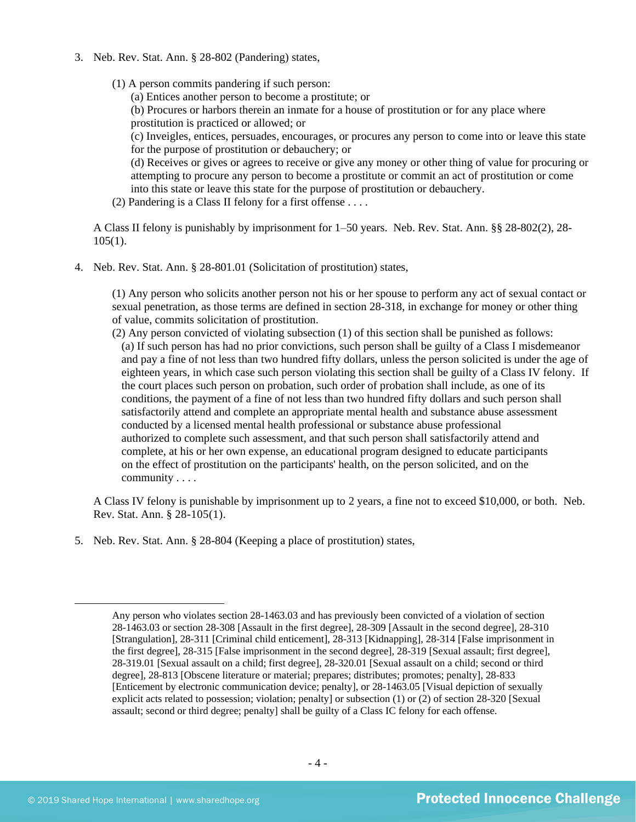- 3. Neb. Rev. Stat. Ann. § 28-802 (Pandering) states,
	- (1) A person commits pandering if such person:

(a) Entices another person to become a prostitute; or

(b) Procures or harbors therein an inmate for a house of prostitution or for any place where prostitution is practiced or allowed; or

(c) Inveigles, entices, persuades, encourages, or procures any person to come into or leave this state for the purpose of prostitution or debauchery; or

(d) Receives or gives or agrees to receive or give any money or other thing of value for procuring or attempting to procure any person to become a prostitute or commit an act of prostitution or come into this state or leave this state for the purpose of prostitution or debauchery.

(2) Pandering is a Class II felony for a first offense . . . .

A Class II felony is punishably by imprisonment for 1–50 years. Neb. Rev. Stat. Ann. §§ 28-802(2), 28- 105(1).

4. Neb. Rev. Stat. Ann. § 28-801.01 (Solicitation of prostitution) states,

(1) Any person who solicits another person not his or her spouse to perform any act of sexual contact or sexual penetration, as those terms are defined in section 28-318, in exchange for money or other thing of value, commits solicitation of prostitution.

(2) Any person convicted of violating subsection (1) of this section shall be punished as follows: (a) If such person has had no prior convictions, such person shall be guilty of a Class I misdemeanor and pay a fine of not less than two hundred fifty dollars, unless the person solicited is under the age of eighteen years, in which case such person violating this section shall be guilty of a Class IV felony. If the court places such person on probation, such order of probation shall include, as one of its conditions, the payment of a fine of not less than two hundred fifty dollars and such person shall satisfactorily attend and complete an appropriate mental health and substance abuse assessment conducted by a licensed mental health professional or substance abuse professional authorized to complete such assessment, and that such person shall satisfactorily attend and complete, at his or her own expense, an educational program designed to educate participants on the effect of prostitution on the participants' health, on the person solicited, and on the community . . . .

A Class IV felony is punishable by imprisonment up to 2 years, a fine not to exceed \$10,000, or both. Neb. Rev. Stat. Ann. § 28-105(1).

5. Neb. Rev. Stat. Ann. § 28-804 (Keeping a place of prostitution) states,

Any person who violates section 28-1463.03 and has previously been convicted of a violation of section 28-1463.03 or section 28-308 [Assault in the first degree], 28-309 [Assault in the second degree], 28-310 [Strangulation], 28-311 [Criminal child enticement], 28-313 [Kidnapping], 28-314 [False imprisonment in the first degree], 28-315 [False imprisonment in the second degree], 28-319 [Sexual assault; first degree], 28-319.01 [Sexual assault on a child; first degree], 28-320.01 [Sexual assault on a child; second or third degree], 28-813 [Obscene literature or material; prepares; distributes; promotes; penalty], 28-833 [Enticement by electronic communication device; penalty], or 28-1463.05 [Visual depiction of sexually explicit acts related to possession; violation; penalty] or subsection (1) or (2) of section 28-320 [Sexual assault; second or third degree; penalty] shall be guilty of a Class IC felony for each offense.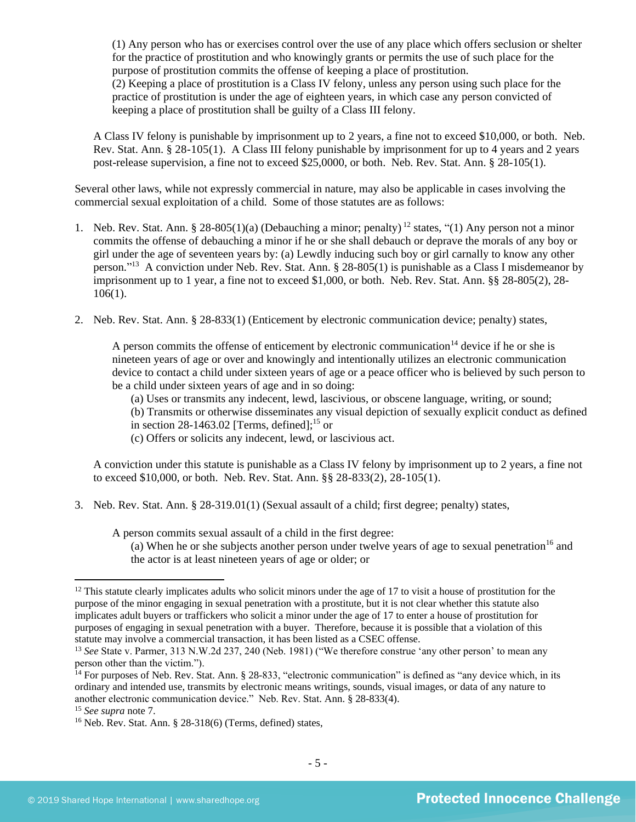(1) Any person who has or exercises control over the use of any place which offers seclusion or shelter for the practice of prostitution and who knowingly grants or permits the use of such place for the purpose of prostitution commits the offense of keeping a place of prostitution. (2) Keeping a place of prostitution is a Class IV felony, unless any person using such place for the

practice of prostitution is under the age of eighteen years, in which case any person convicted of keeping a place of prostitution shall be guilty of a Class III felony.

A Class IV felony is punishable by imprisonment up to 2 years, a fine not to exceed \$10,000, or both. Neb. Rev. Stat. Ann. § 28-105(1). A Class III felony punishable by imprisonment for up to 4 years and 2 years post-release supervision, a fine not to exceed \$25,0000, or both. Neb. Rev. Stat. Ann. § 28-105(1).

Several other laws, while not expressly commercial in nature, may also be applicable in cases involving the commercial sexual exploitation of a child. Some of those statutes are as follows:

- 1. Neb. Rev. Stat. Ann. § 28-805(1)(a) (Debauching a minor; penalty) <sup>12</sup> states, "(1) Any person not a minor commits the offense of debauching a minor if he or she shall debauch or deprave the morals of any boy or girl under the age of seventeen years by: (a) Lewdly inducing such boy or girl carnally to know any other person."<sup>13</sup> A conviction under Neb. Rev. Stat. Ann. § 28-805(1) is punishable as a Class I misdemeanor by imprisonment up to 1 year, a fine not to exceed \$1,000, or both. Neb. Rev. Stat. Ann. §§ 28-805(2), 28- 106(1).
- 2. Neb. Rev. Stat. Ann. § 28-833(1) (Enticement by electronic communication device; penalty) states,

<span id="page-4-0"></span>A person commits the offense of enticement by electronic communication<sup>14</sup> device if he or she is nineteen years of age or over and knowingly and intentionally utilizes an electronic communication device to contact a child under sixteen years of age or a peace officer who is believed by such person to be a child under sixteen years of age and in so doing:

(a) Uses or transmits any indecent, lewd, lascivious, or obscene language, writing, or sound;

- (b) Transmits or otherwise disseminates any visual depiction of sexually explicit conduct as defined in section [28-1463.02](http://nebraskalegislature.gov/laws/statutes.php?statute=28-1463.02) [Terms, defined];<sup>15</sup> or
- (c) Offers or solicits any indecent, lewd, or lascivious act.

A conviction under this statute is punishable as a Class IV felony by imprisonment up to 2 years, a fine not to exceed \$10,000, or both. Neb. Rev. Stat. Ann. §§ 28-833(2), 28-105(1).

3. Neb. Rev. Stat. Ann. § 28-319.01(1) (Sexual assault of a child; first degree; penalty) states,

A person commits sexual assault of a child in the first degree:

(a) When he or she subjects another person under twelve years of age to sexual penetration<sup>16</sup> and the actor is at least nineteen years of age or older; or

 $12$  This statute clearly implicates adults who solicit minors under the age of 17 to visit a house of prostitution for the purpose of the minor engaging in sexual penetration with a prostitute, but it is not clear whether this statute also implicates adult buyers or traffickers who solicit a minor under the age of 17 to enter a house of prostitution for purposes of engaging in sexual penetration with a buyer. Therefore, because it is possible that a violation of this statute may involve a commercial transaction, it has been listed as a CSEC offense.

<sup>&</sup>lt;sup>13</sup> See State v. Parmer, 313 N.W.2d 237, 240 (Neb. 1981) ("We therefore construe 'any other person' to mean any person other than the victim.").

<sup>&</sup>lt;sup>14</sup> For purposes of Neb. Rev. Stat. Ann. § 28-833, "electronic communication" is defined as "any device which, in its ordinary and intended use, transmits by electronic means writings, sounds, visual images, or data of any nature to another electronic communication device." Neb. Rev. Stat. Ann. § 28-833(4).

<sup>15</sup> *See supra* note [7.](#page-2-1) 

<sup>16</sup> Neb. Rev. Stat. Ann. § 28-318(6) (Terms, defined) states,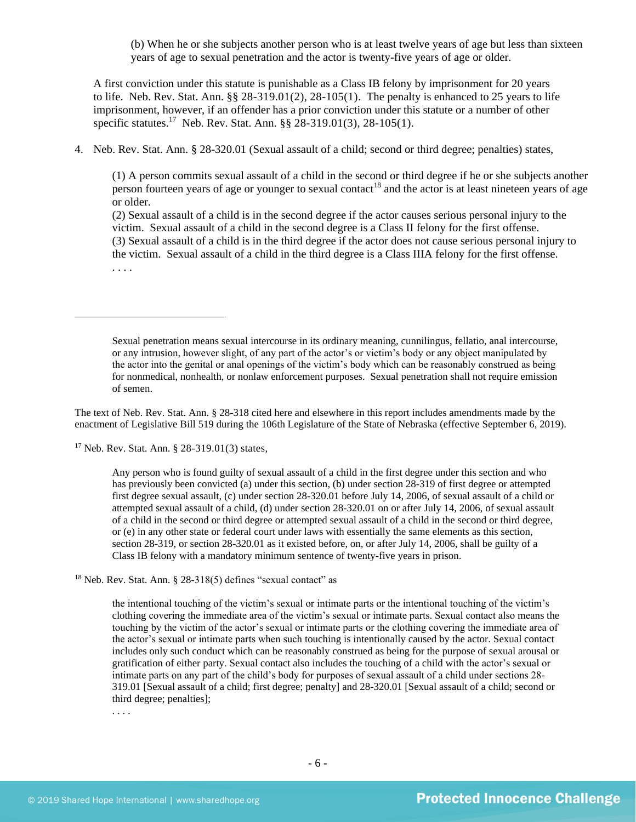(b) When he or she subjects another person who is at least twelve years of age but less than sixteen years of age to sexual penetration and the actor is twenty-five years of age or older.

A first conviction under this statute is punishable as a Class IB felony by imprisonment for 20 years to life. Neb. Rev. Stat. Ann.  $\S § 28-319.01(2), 28-105(1)$ . The penalty is enhanced to 25 years to life imprisonment, however, if an offender has a prior conviction under this statute or a number of other specific statutes.<sup>17</sup> Neb. Rev. Stat. Ann. §§ 28-319.01(3), 28-105(1).

4. Neb. Rev. Stat. Ann. § 28-320.01 (Sexual assault of a child; second or third degree; penalties) states,

(1) A person commits sexual assault of a child in the second or third degree if he or she subjects another person fourteen years of age or younger to sexual contact<sup>18</sup> and the actor is at least nineteen years of age or older.

(2) Sexual assault of a child is in the second degree if the actor causes serious personal injury to the victim. Sexual assault of a child in the second degree is a Class II felony for the first offense. (3) Sexual assault of a child is in the third degree if the actor does not cause serious personal injury to the victim. Sexual assault of a child in the third degree is a Class IIIA felony for the first offense. . . . .

Sexual penetration means sexual intercourse in its ordinary meaning, cunnilingus, fellatio, anal intercourse, or any intrusion, however slight, of any part of the actor's or victim's body or any object manipulated by the actor into the genital or anal openings of the victim's body which can be reasonably construed as being for nonmedical, nonhealth, or nonlaw enforcement purposes. Sexual penetration shall not require emission of semen.

The text of Neb. Rev. Stat. Ann. § 28-318 cited here and elsewhere in this report includes amendments made by the enactment of Legislative Bill 519 during the 106th Legislature of the State of Nebraska (effective September 6, 2019).

<sup>17</sup> Neb. Rev. Stat. Ann. § 28-319.01(3) states,

Any person who is found guilty of sexual assault of a child in the first degree under this section and who has previously been convicted (a) under this section, (b) under section 28-319 of first degree or attempted first degree sexual assault, (c) under section 28-320.01 before July 14, 2006, of sexual assault of a child or attempted sexual assault of a child, (d) under section 28-320.01 on or after July 14, 2006, of sexual assault of a child in the second or third degree or attempted sexual assault of a child in the second or third degree, or (e) in any other state or federal court under laws with essentially the same elements as this section, section 28-319, or section 28-320.01 as it existed before, on, or after July 14, 2006, shall be guilty of a Class IB felony with a mandatory minimum sentence of twenty-five years in prison.

 $18$  Neb. Rev. Stat. Ann. § 28-318(5) defines "sexual contact" as

the intentional touching of the victim's sexual or intimate parts or the intentional touching of the victim's clothing covering the immediate area of the victim's sexual or intimate parts. Sexual contact also means the touching by the victim of the actor's sexual or intimate parts or the clothing covering the immediate area of the actor's sexual or intimate parts when such touching is intentionally caused by the actor. Sexual contact includes only such conduct which can be reasonably construed as being for the purpose of sexual arousal or gratification of either party. Sexual contact also includes the touching of a child with the actor's sexual or intimate parts on any part of the child's body for purposes of sexual assault of a child under sections 28- 319.01 [Sexual assault of a child; first degree; penalty] and 28-320.01 [Sexual assault of a child; second or third degree; penalties];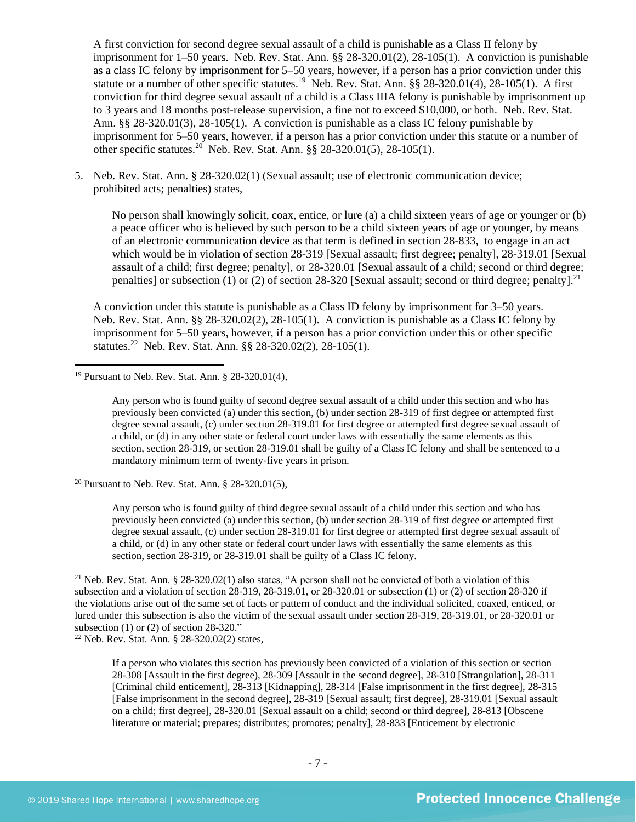A first conviction for second degree sexual assault of a child is punishable as a Class II felony by imprisonment for 1–50 years. Neb. Rev. Stat. Ann. §§ 28-320.01(2), 28-105(1). A conviction is punishable as a class IC felony by imprisonment for 5–50 years, however, if a person has a prior conviction under this statute or a number of other specific statutes.<sup>19</sup> Neb. Rev. Stat. Ann. §§ 28-320.01(4), 28-105(1). A first conviction for third degree sexual assault of a child is a Class IIIA felony is punishable by imprisonment up to 3 years and 18 months post-release supervision, a fine not to exceed \$10,000, or both. Neb. Rev. Stat. Ann. §§ 28-320.01(3), 28-105(1). A conviction is punishable as a class IC felony punishable by imprisonment for 5–50 years, however, if a person has a prior conviction under this statute or a number of other specific statutes.<sup>20</sup> Neb. Rev. Stat. Ann.  $\S § 28-320.01(5)$ , 28-105(1).

5. Neb. Rev. Stat. Ann. § 28-320.02(1) (Sexual assault; use of electronic communication device; prohibited acts; penalties) states,

No person shall knowingly solicit, coax, entice, or lure (a) a child sixteen years of age or younger or (b) a peace officer who is believed by such person to be a child sixteen years of age or younger, by means of an electronic communication device as that term is defined in section 28-833, to engage in an act which would be in violation of section [28-319](http://nebraskalegislature.gov/laws/statutes.php?statute=28-319) [Sexual assault; first degree; penalty], [28-319.01](http://nebraskalegislature.gov/laws/statutes.php?statute=28-319.01) [Sexual assault of a child; first degree; penalty], or [28-320.01](http://nebraskalegislature.gov/laws/statutes.php?statute=28-320.01) [Sexual assault of a child; second or third degree; penalties] or subsection (1) or (2) of section [28-320](http://nebraskalegislature.gov/laws/statutes.php?statute=28-320) [Sexual assault; second or third degree; penalty].<sup>21</sup>

A conviction under this statute is punishable as a Class ID felony by imprisonment for 3–50 years. Neb. Rev. Stat. Ann. §§ 28-320.02(2), 28-105(1). A conviction is punishable as a Class IC felony by imprisonment for 5–50 years, however, if a person has a prior conviction under this or other specific statutes.<sup>22</sup> Neb. Rev. Stat. Ann. §§ 28-320.02(2), 28-105(1).

<sup>20</sup> Pursuant to Neb. Rev. Stat. Ann. § 28-320.01(5),

Any person who is found guilty of third degree sexual assault of a child under this section and who has previously been convicted (a) under this section, (b) under section 28-319 of first degree or attempted first degree sexual assault, (c) under section 28-319.01 for first degree or attempted first degree sexual assault of a child, or (d) in any other state or federal court under laws with essentially the same elements as this section, section 28-319, or 28-319.01 shall be guilty of a Class IC felony.

<sup>21</sup> Neb. Rev. Stat. Ann. § 28-320.02(1) also states, "A person shall not be convicted of both a violation of this subsection and a violation of section 28-319, 28-319.01, or 28-320.01 or subsection (1) or (2) of section 28-320 if the violations arise out of the same set of facts or pattern of conduct and the individual solicited, coaxed, enticed, or lured under this subsection is also the victim of the sexual assault under section 28-319, 28-319.01, or 28-320.01 or subsection  $(1)$  or  $(2)$  of section  $28-320$ ."

<sup>22</sup> Neb. Rev. Stat. Ann. § 28-320.02(2) states,

If a person who violates this section has previously been convicted of a violation of this section or section 28-308 [Assault in the first degree), 28-309 [Assault in the second degree], 28-310 [Strangulation], 28-311 [Criminal child enticement], 28-313 [Kidnapping], 28-314 [False imprisonment in the first degree], 28-315 [False imprisonment in the second degree], 28-319 [Sexual assault; first degree], 28-319.01 [Sexual assault on a child; first degree], 28-320.01 [Sexual assault on a child; second or third degree], 28-813 [Obscene literature or material; prepares; distributes; promotes; penalty], 28-833 [Enticement by electronic

<sup>19</sup> Pursuant to Neb. Rev. Stat. Ann. § 28-320.01(4),

Any person who is found guilty of second degree sexual assault of a child under this section and who has previously been convicted (a) under this section, (b) under section 28-319 of first degree or attempted first degree sexual assault, (c) under section 28-319.01 for first degree or attempted first degree sexual assault of a child, or (d) in any other state or federal court under laws with essentially the same elements as this section, section 28-319, or section 28-319.01 shall be guilty of a Class IC felony and shall be sentenced to a mandatory minimum term of twenty-five years in prison.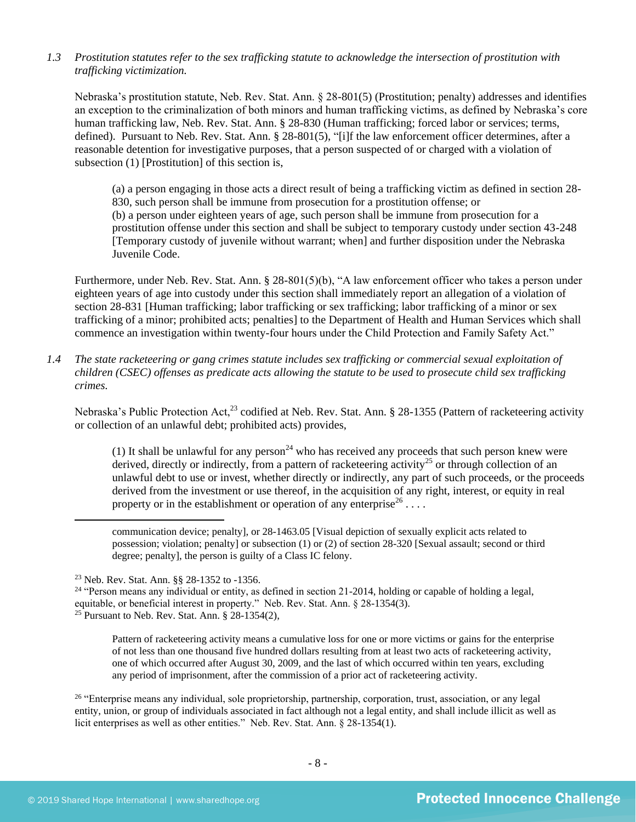*1.3 Prostitution statutes refer to the sex trafficking statute to acknowledge the intersection of prostitution with trafficking victimization.* 

Nebraska's prostitution statute, Neb. Rev. Stat. Ann. § 28-801(5) (Prostitution; penalty) addresses and identifies an exception to the criminalization of both minors and human trafficking victims, as defined by Nebraska's core human trafficking law, Neb. Rev. Stat. Ann. § 28-830 (Human trafficking; forced labor or services; terms, defined). Pursuant to Neb. Rev. Stat. Ann. § 28-801(5), "[i]f the law enforcement officer determines, after a reasonable detention for investigative purposes, that a person suspected of or charged with a violation of subsection (1) [Prostitution] of this section is,

(a) a person engaging in those acts a direct result of being a trafficking victim as defined in section 28- 830, such person shall be immune from prosecution for a prostitution offense; or (b) a person under eighteen years of age, such person shall be immune from prosecution for a prostitution offense under this section and shall be subject to temporary custody under section 43-248 [Temporary custody of juvenile without warrant; when] and further disposition under the Nebraska Juvenile Code.

Furthermore, under Neb. Rev. Stat. Ann. § 28-801(5)(b), "A law enforcement officer who takes a person under eighteen years of age into custody under this section shall immediately report an allegation of a violation of section 28-831 [Human trafficking; labor trafficking or sex trafficking; labor trafficking of a minor or sex trafficking of a minor; prohibited acts; penalties] to the Department of Health and Human Services which shall commence an investigation within twenty-four hours under the Child Protection and Family Safety Act."

*1.4 The state racketeering or gang crimes statute includes sex trafficking or commercial sexual exploitation of children (CSEC) offenses as predicate acts allowing the statute to be used to prosecute child sex trafficking crimes.* 

Nebraska's Public Protection Act,<sup>23</sup> codified at Neb. Rev. Stat. Ann. § 28-1355 (Pattern of racketeering activity or collection of an unlawful debt; prohibited acts) provides,

(1) It shall be unlawful for any person<sup>24</sup> who has received any proceeds that such person knew were derived, directly or indirectly, from a pattern of racketeering activity<sup>25</sup> or through collection of an unlawful debt to use or invest, whether directly or indirectly, any part of such proceeds, or the proceeds derived from the investment or use thereof, in the acquisition of any right, interest, or equity in real property or in the establishment or operation of any enterprise<sup>26</sup>...

communication device; penalty], or 28-1463.05 [Visual depiction of sexually explicit acts related to possession; violation; penalty] or subsection (1) or (2) of section 28-320 [Sexual assault; second or third degree; penalty], the person is guilty of a Class IC felony.

Pattern of racketeering activity means a cumulative loss for one or more victims or gains for the enterprise of not less than one thousand five hundred dollars resulting from at least two acts of racketeering activity, one of which occurred after August 30, 2009, and the last of which occurred within ten years, excluding any period of imprisonment, after the commission of a prior act of racketeering activity.

<sup>26</sup> "Enterprise means any individual, sole proprietorship, partnership, corporation, trust, association, or any legal entity, union, or group of individuals associated in fact although not a legal entity, and shall include illicit as well as licit enterprises as well as other entities." Neb. Rev. Stat. Ann. § 28-1354(1).

<sup>23</sup> Neb. Rev. Stat. Ann. §§ 28-1352 to -1356.

 $24$  "Person means any individual or entity, as defined in section 21-2014, holding or capable of holding a legal, equitable, or beneficial interest in property." Neb. Rev. Stat. Ann. § 28-1354(3). <sup>25</sup> Pursuant to Neb. Rev. Stat. Ann.  $\S$  28-1354(2),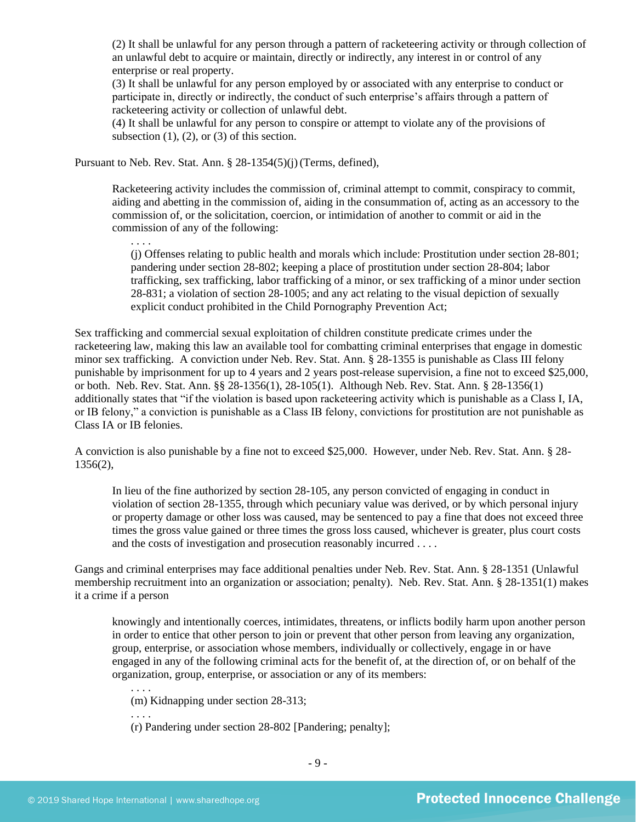(2) It shall be unlawful for any person through a pattern of racketeering activity or through collection of an unlawful debt to acquire or maintain, directly or indirectly, any interest in or control of any enterprise or real property.

(3) It shall be unlawful for any person employed by or associated with any enterprise to conduct or participate in, directly or indirectly, the conduct of such enterprise's affairs through a pattern of racketeering activity or collection of unlawful debt.

(4) It shall be unlawful for any person to conspire or attempt to violate any of the provisions of subsection  $(1)$ ,  $(2)$ , or  $(3)$  of this section.

Pursuant to Neb. Rev. Stat. Ann. § 28-1354(5)(j)(Terms, defined),

Racketeering activity includes the commission of, criminal attempt to commit, conspiracy to commit, aiding and abetting in the commission of, aiding in the consummation of, acting as an accessory to the commission of, or the solicitation, coercion, or intimidation of another to commit or aid in the commission of any of the following:

. . . .

(j) Offenses relating to public health and morals which include: Prostitution under section 28-801; pandering under section 28-802; keeping a place of prostitution under section 28-804; labor trafficking, sex trafficking, labor trafficking of a minor, or sex trafficking of a minor under section 28-831; a violation of section 28-1005; and any act relating to the visual depiction of sexually explicit conduct prohibited in the Child Pornography Prevention Act;

Sex trafficking and commercial sexual exploitation of children constitute predicate crimes under the racketeering law, making this law an available tool for combatting criminal enterprises that engage in domestic minor sex trafficking. A conviction under Neb. Rev. Stat. Ann. § 28-1355 is punishable as Class III felony punishable by imprisonment for up to 4 years and 2 years post-release supervision, a fine not to exceed \$25,000, or both. Neb. Rev. Stat. Ann. §§ 28-1356(1), 28-105(1). Although Neb. Rev. Stat. Ann. § 28-1356(1) additionally states that "if the violation is based upon racketeering activity which is punishable as a Class I, IA, or IB felony," a conviction is punishable as a Class IB felony, convictions for prostitution are not punishable as Class IA or IB felonies.

A conviction is also punishable by a fine not to exceed \$25,000. However, under Neb. Rev. Stat. Ann. § 28- 1356(2),

In lieu of the fine authorized by section 28-105, any person convicted of engaging in conduct in violation of section 28-1355, through which pecuniary value was derived, or by which personal injury or property damage or other loss was caused, may be sentenced to pay a fine that does not exceed three times the gross value gained or three times the gross loss caused, whichever is greater, plus court costs and the costs of investigation and prosecution reasonably incurred . . . .

Gangs and criminal enterprises may face additional penalties under Neb. Rev. Stat. Ann. § 28-1351 (Unlawful membership recruitment into an organization or association; penalty). Neb. Rev. Stat. Ann. § 28-1351(1) makes it a crime if a person

knowingly and intentionally coerces, intimidates, threatens, or inflicts bodily harm upon another person in order to entice that other person to join or prevent that other person from leaving any organization, group, enterprise, or association whose members, individually or collectively, engage in or have engaged in any of the following criminal acts for the benefit of, at the direction of, or on behalf of the organization, group, enterprise, or association or any of its members:

(m) Kidnapping under section 28-313;

. . . .

. . . .

(r) Pandering under section 28-802 [Pandering; penalty];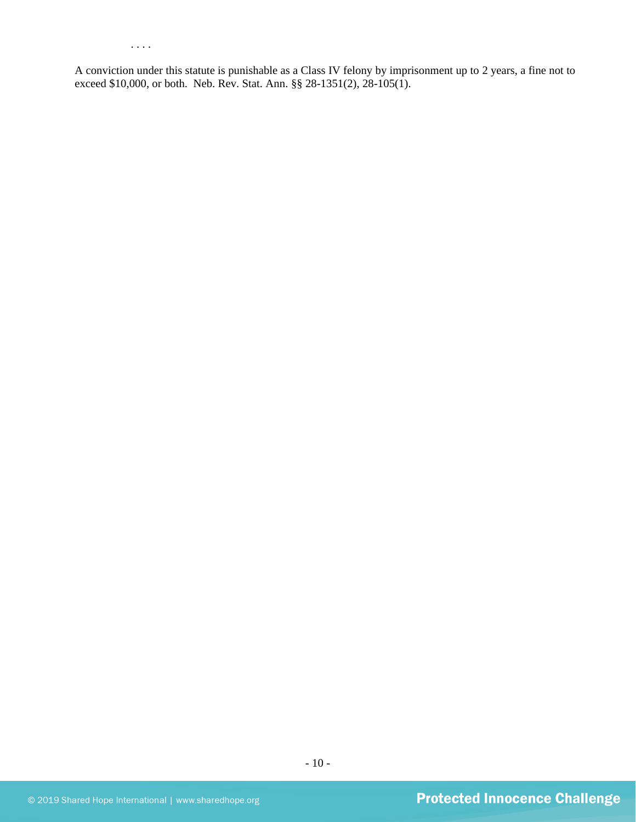. . . .

A conviction under this statute is punishable as a Class IV felony by imprisonment up to 2 years, a fine not to exceed \$10,000, or both. Neb. Rev. Stat. Ann. §§ 28-1351(2), 28-105(1).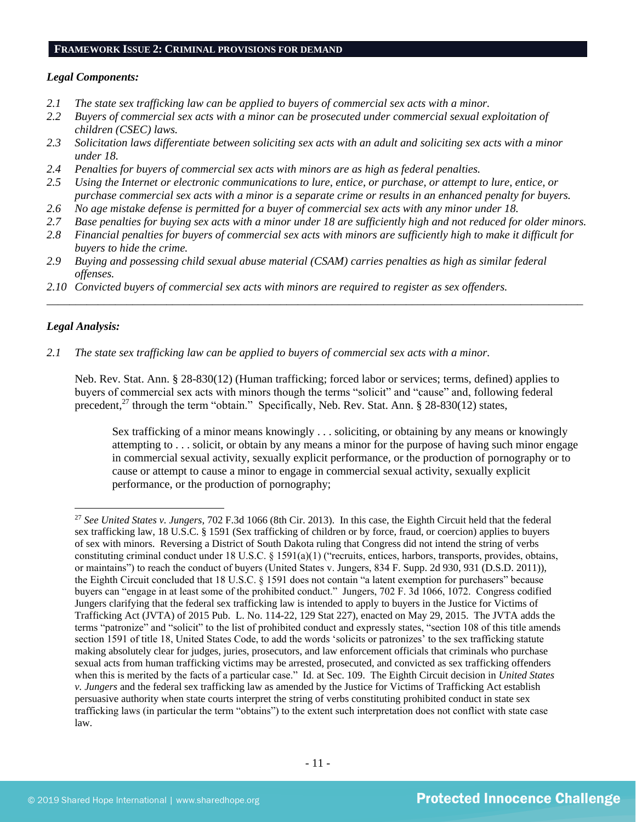#### **FRAMEWORK ISSUE 2: CRIMINAL PROVISIONS FOR DEMAND**

## *Legal Components:*

- *2.1 The state sex trafficking law can be applied to buyers of commercial sex acts with a minor.*
- *2.2 Buyers of commercial sex acts with a minor can be prosecuted under commercial sexual exploitation of children (CSEC) laws.*
- *2.3 Solicitation laws differentiate between soliciting sex acts with an adult and soliciting sex acts with a minor under 18.*
- *2.4 Penalties for buyers of commercial sex acts with minors are as high as federal penalties.*
- *2.5 Using the Internet or electronic communications to lure, entice, or purchase, or attempt to lure, entice, or purchase commercial sex acts with a minor is a separate crime or results in an enhanced penalty for buyers.*
- *2.6 No age mistake defense is permitted for a buyer of commercial sex acts with any minor under 18.*
- *2.7 Base penalties for buying sex acts with a minor under 18 are sufficiently high and not reduced for older minors.*
- *2.8 Financial penalties for buyers of commercial sex acts with minors are sufficiently high to make it difficult for buyers to hide the crime.*

\_\_\_\_\_\_\_\_\_\_\_\_\_\_\_\_\_\_\_\_\_\_\_\_\_\_\_\_\_\_\_\_\_\_\_\_\_\_\_\_\_\_\_\_\_\_\_\_\_\_\_\_\_\_\_\_\_\_\_\_\_\_\_\_\_\_\_\_\_\_\_\_\_\_\_\_\_\_\_\_\_\_\_\_\_\_\_\_\_\_\_\_\_\_

- *2.9 Buying and possessing child sexual abuse material (CSAM) carries penalties as high as similar federal offenses.*
- *2.10 Convicted buyers of commercial sex acts with minors are required to register as sex offenders.*

## *Legal Analysis:*

*2.1 The state sex trafficking law can be applied to buyers of commercial sex acts with a minor.*

Neb. Rev. Stat. Ann. § 28-830(12) (Human trafficking; forced labor or services; terms, defined) applies to buyers of commercial sex acts with minors though the terms "solicit" and "cause" and, following federal precedent,<sup>27</sup> through the term "obtain." Specifically, Neb. Rev. Stat. Ann. § 28-830(12) states,

Sex trafficking of a minor means knowingly . . . soliciting, or obtaining by any means or knowingly attempting to . . . solicit, or obtain by any means a minor for the purpose of having such minor engage in commercial sexual activity, sexually explicit performance, or the production of pornography or to cause or attempt to cause a minor to engage in commercial sexual activity, sexually explicit performance, or the production of pornography;

<sup>27</sup> *See United States v. Jungers*, 702 F.3d 1066 (8th Cir. 2013). In this case, the Eighth Circuit held that the federal sex trafficking law, 18 U.S.C. § 1591 (Sex trafficking of children or by force, fraud, or coercion) applies to buyers of sex with minors. Reversing a District of South Dakota ruling that Congress did not intend the string of verbs constituting criminal conduct under 18 U.S.C. § 1591(a)(1) ("recruits, entices, harbors, transports, provides, obtains, or maintains") to reach the conduct of buyers (United States v. Jungers, 834 F. Supp. 2d 930, 931 (D.S.D. 2011)), the Eighth Circuit concluded that 18 U.S.C. § 1591 does not contain "a latent exemption for purchasers" because buyers can "engage in at least some of the prohibited conduct." Jungers, 702 F. 3d 1066, 1072. Congress codified Jungers clarifying that the federal sex trafficking law is intended to apply to buyers in the Justice for Victims of Trafficking Act (JVTA) of 2015 Pub. L. No. 114-22, 129 Stat 227), enacted on May 29, 2015. The JVTA adds the terms "patronize" and "solicit" to the list of prohibited conduct and expressly states, "section 108 of this title amends section 1591 of title 18, United States Code, to add the words 'solicits or patronizes' to the sex trafficking statute making absolutely clear for judges, juries, prosecutors, and law enforcement officials that criminals who purchase sexual acts from human trafficking victims may be arrested, prosecuted, and convicted as sex trafficking offenders when this is merited by the facts of a particular case." Id. at Sec. 109. The Eighth Circuit decision in *United States v. Jungers* and the federal sex trafficking law as amended by the Justice for Victims of Trafficking Act establish persuasive authority when state courts interpret the string of verbs constituting prohibited conduct in state sex trafficking laws (in particular the term "obtains") to the extent such interpretation does not conflict with state case law.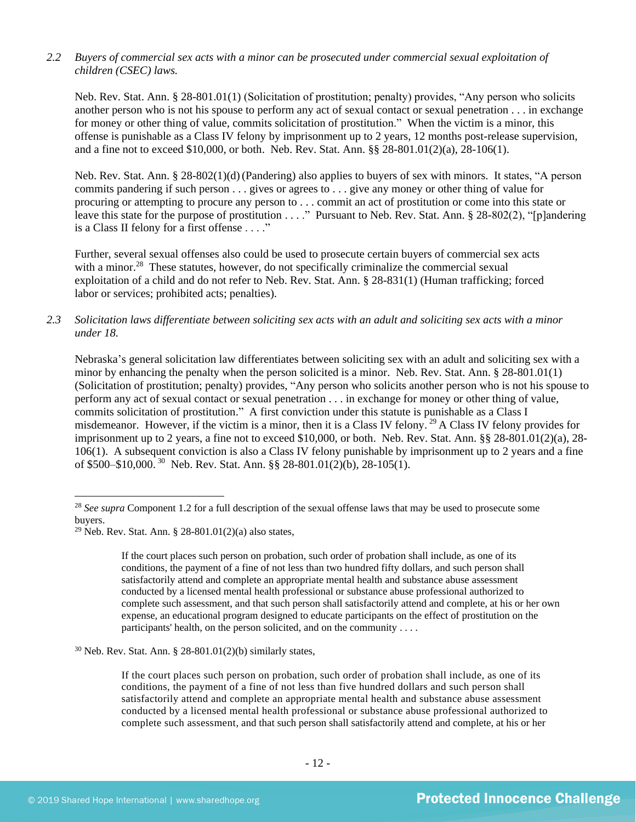## *2.2 Buyers of commercial sex acts with a minor can be prosecuted under commercial sexual exploitation of children (CSEC) laws.*

Neb. Rev. Stat. Ann. § 28-801.01(1) (Solicitation of prostitution; penalty) provides, "Any person who solicits another person who is not his spouse to perform any act of sexual contact or sexual penetration . . . in exchange for money or other thing of value, commits solicitation of prostitution." When the victim is a minor, this offense is punishable as a Class IV felony by imprisonment up to 2 years, 12 months post-release supervision, and a fine not to exceed \$10,000, or both. Neb. Rev. Stat. Ann. §§ 28-801.01(2)(a), 28-106(1).

Neb. Rev. Stat. Ann. § 28-802(1)(d)(Pandering) also applies to buyers of sex with minors. It states, "A person commits pandering if such person . . . gives or agrees to . . . give any money or other thing of value for procuring or attempting to procure any person to . . . commit an act of prostitution or come into this state or leave this state for the purpose of prostitution . . . ." Pursuant to Neb. Rev. Stat. Ann. § 28-802(2), "[p]andering is a Class II felony for a first offense . . . ."

Further, several sexual offenses also could be used to prosecute certain buyers of commercial sex acts with a minor.<sup>28</sup> These statutes, however, do not specifically criminalize the commercial sexual exploitation of a child and do not refer to Neb. Rev. Stat. Ann. § 28-831(1) (Human trafficking; forced labor or services; prohibited acts; penalties).

*2.3 Solicitation laws differentiate between soliciting sex acts with an adult and soliciting sex acts with a minor under 18.*

Nebraska's general solicitation law differentiates between soliciting sex with an adult and soliciting sex with a minor by enhancing the penalty when the person solicited is a minor. Neb. Rev. Stat. Ann. § 28-801.01(1) (Solicitation of prostitution; penalty) provides, "Any person who solicits another person who is not his spouse to perform any act of sexual contact or sexual penetration . . . in exchange for money or other thing of value, commits solicitation of prostitution." A first conviction under this statute is punishable as a Class I misdemeanor. However, if the victim is a minor, then it is a Class IV felony.<sup>29</sup> A Class IV felony provides for imprisonment up to 2 years, a fine not to exceed \$10,000, or both. Neb. Rev. Stat. Ann. §§ 28-801.01(2)(a), 28- 106(1). A subsequent conviction is also a Class IV felony punishable by imprisonment up to 2 years and a fine of \$500–\$10,000.<sup>30</sup> Neb. Rev. Stat. Ann. §§ 28-801.01(2)(b), 28-105(1).

If the court places such person on probation, such order of probation shall include, as one of its conditions, the payment of a fine of not less than two hundred fifty dollars, and such person shall satisfactorily attend and complete an appropriate mental health and substance abuse assessment conducted by a licensed mental health professional or substance abuse professional authorized to complete such assessment, and that such person shall satisfactorily attend and complete, at his or her own expense, an educational program designed to educate participants on the effect of prostitution on the participants' health, on the person solicited, and on the community . . . .

<sup>30</sup> Neb. Rev. Stat. Ann. § 28-801.01(2)(b) similarly states,

If the court places such person on probation, such order of probation shall include, as one of its conditions, the payment of a fine of not less than five hundred dollars and such person shall satisfactorily attend and complete an appropriate mental health and substance abuse assessment conducted by a licensed mental health professional or substance abuse professional authorized to complete such assessment, and that such person shall satisfactorily attend and complete, at his or her

<sup>&</sup>lt;sup>28</sup> See supra Component 1.2 for a full description of the sexual offense laws that may be used to prosecute some buyers.

<sup>&</sup>lt;sup>29</sup> Neb. Rev. Stat. Ann. § 28-801.01(2)(a) also states,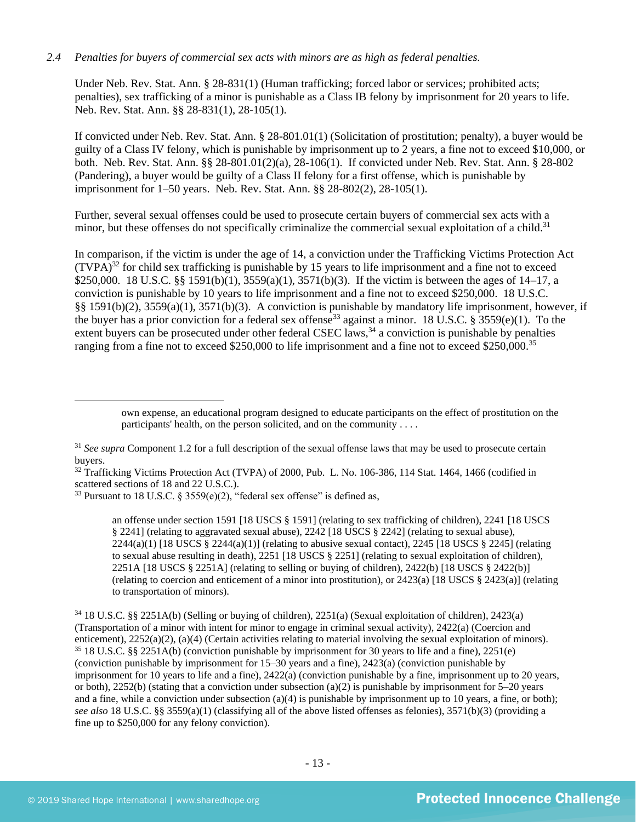## *2.4 Penalties for buyers of commercial sex acts with minors are as high as federal penalties.*

Under Neb. Rev. Stat. Ann. § 28-831(1) (Human trafficking; forced labor or services; prohibited acts; penalties), sex trafficking of a minor is punishable as a Class IB felony by imprisonment for 20 years to life. Neb. Rev. Stat. Ann. §§ 28-831(1), 28-105(1).

If convicted under Neb. Rev. Stat. Ann. § 28-801.01(1) (Solicitation of prostitution; penalty), a buyer would be guilty of a Class IV felony, which is punishable by imprisonment up to 2 years, a fine not to exceed \$10,000, or both. Neb. Rev. Stat. Ann. §§ 28-801.01(2)(a), 28-106(1). If convicted under Neb. Rev. Stat. Ann. § 28-802 (Pandering), a buyer would be guilty of a Class II felony for a first offense, which is punishable by imprisonment for 1–50 years. Neb. Rev. Stat. Ann. §§ 28-802(2), 28-105(1).

Further, several sexual offenses could be used to prosecute certain buyers of commercial sex acts with a minor, but these offenses do not specifically criminalize the commercial sexual exploitation of a child.<sup>31</sup>

In comparison, if the victim is under the age of 14, a conviction under the Trafficking Victims Protection Act  $(TVPA)^{32}$  for child sex trafficking is punishable by 15 years to life imprisonment and a fine not to exceed \$250,000. 18 U.S.C. §§ 1591(b)(1), 3559(a)(1), 3571(b)(3). If the victim is between the ages of 14–17, a conviction is punishable by 10 years to life imprisonment and a fine not to exceed \$250,000. 18 U.S.C. §§ 1591(b)(2), 3559(a)(1), 3571(b)(3). A conviction is punishable by mandatory life imprisonment, however, if the buyer has a prior conviction for a federal sex offense<sup>33</sup> against a minor. 18 U.S.C. § 3559(e)(1). To the extent buyers can be prosecuted under other federal CSEC laws,  $34$  a conviction is punishable by penalties ranging from a fine not to exceed \$250,000 to life imprisonment and a fine not to exceed \$250,000.<sup>35</sup>

<sup>32</sup> Trafficking Victims Protection Act (TVPA) of 2000, Pub. L. No. 106-386, 114 Stat. 1464, 1466 (codified in scattered sections of 18 and 22 U.S.C.).

an offense under section 1591 [18 USCS § 1591] (relating to sex trafficking of children), 2241 [18 USCS § 2241] (relating to aggravated sexual abuse), 2242 [18 USCS § 2242] (relating to sexual abuse),  $2244(a)(1)$  [18 USCS §  $2244(a)(1)$ ] (relating to abusive sexual contact),  $2245$  [18 USCS § 2245] (relating to sexual abuse resulting in death), 2251 [18 USCS § 2251] (relating to sexual exploitation of children), 2251A [18 USCS § 2251A] (relating to selling or buying of children), 2422(b) [18 USCS § 2422(b)] (relating to coercion and enticement of a minor into prostitution), or 2423(a) [18 USCS § 2423(a)] (relating to transportation of minors).

<sup>34</sup> 18 U.S.C. §§ 2251A(b) (Selling or buying of children), 2251(a) (Sexual exploitation of children), 2423(a) (Transportation of a minor with intent for minor to engage in criminal sexual activity), 2422(a) (Coercion and enticement), 2252(a)(2), (a)(4) (Certain activities relating to material involving the sexual exploitation of minors). <sup>35</sup> 18 U.S.C. §§ 2251A(b) (conviction punishable by imprisonment for 30 years to life and a fine), 2251(e) (conviction punishable by imprisonment for 15–30 years and a fine), 2423(a) (conviction punishable by imprisonment for 10 years to life and a fine), 2422(a) (conviction punishable by a fine, imprisonment up to 20 years, or both), 2252(b) (stating that a conviction under subsection (a)(2) is punishable by imprisonment for  $5-20$  years and a fine, while a conviction under subsection (a)(4) is punishable by imprisonment up to 10 years, a fine, or both); *see also* 18 U.S.C. §§ 3559(a)(1) (classifying all of the above listed offenses as felonies), 3571(b)(3) (providing a fine up to \$250,000 for any felony conviction).

own expense, an educational program designed to educate participants on the effect of prostitution on the participants' health, on the person solicited, and on the community . . . .

<sup>&</sup>lt;sup>31</sup> *See supra* Component 1.2 for a full description of the sexual offense laws that may be used to prosecute certain buyers.

<sup>&</sup>lt;sup>33</sup> Pursuant to 18 U.S.C. § 3559(e)(2), "federal sex offense" is defined as,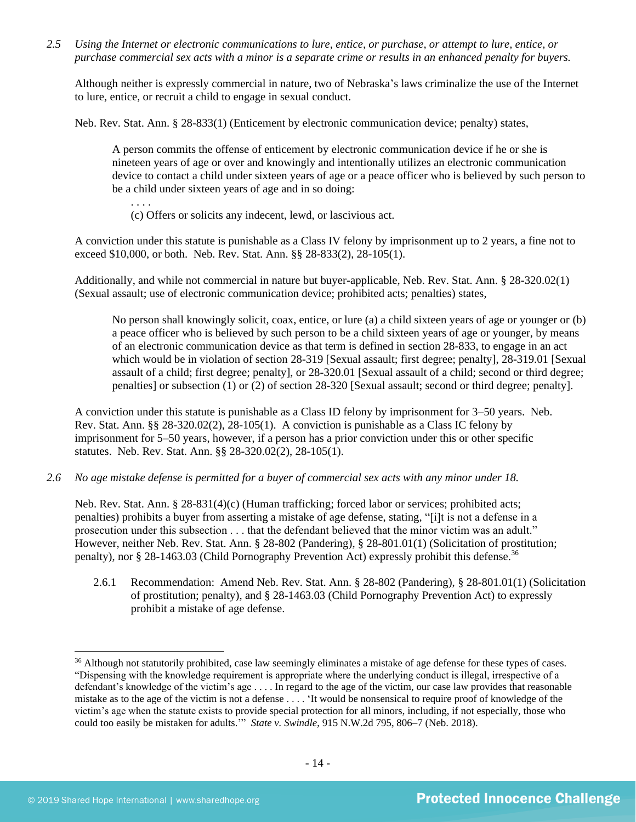*2.5 Using the Internet or electronic communications to lure, entice, or purchase, or attempt to lure, entice, or purchase commercial sex acts with a minor is a separate crime or results in an enhanced penalty for buyers.*

Although neither is expressly commercial in nature, two of Nebraska's laws criminalize the use of the Internet to lure, entice, or recruit a child to engage in sexual conduct.

Neb. Rev. Stat. Ann. § 28-833(1) (Enticement by electronic communication device; penalty) states,

A person commits the offense of enticement by electronic communication device if he or she is nineteen years of age or over and knowingly and intentionally utilizes an electronic communication device to contact a child under sixteen years of age or a peace officer who is believed by such person to be a child under sixteen years of age and in so doing:

(c) Offers or solicits any indecent, lewd, or lascivious act.

A conviction under this statute is punishable as a Class IV felony by imprisonment up to 2 years, a fine not to exceed \$10,000, or both. Neb. Rev. Stat. Ann. §§ 28-833(2), 28-105(1).

Additionally, and while not commercial in nature but buyer-applicable, Neb. Rev. Stat. Ann. § 28-320.02(1) (Sexual assault; use of electronic communication device; prohibited acts; penalties) states,

No person shall knowingly solicit, coax, entice, or lure (a) a child sixteen years of age or younger or (b) a peace officer who is believed by such person to be a child sixteen years of age or younger, by means of an electronic communication device as that term is defined in section 28-833, to engage in an act which would be in violation of section [28-319](http://nebraskalegislature.gov/laws/statutes.php?statute=28-319) [Sexual assault; first degree; penalty], [28-319.01](http://nebraskalegislature.gov/laws/statutes.php?statute=28-319.01) [Sexual assault of a child; first degree; penalty], or [28-320.01](http://nebraskalegislature.gov/laws/statutes.php?statute=28-320.01) [Sexual assault of a child; second or third degree; penalties] or subsection (1) or (2) of section [28-320](http://nebraskalegislature.gov/laws/statutes.php?statute=28-320) [Sexual assault; second or third degree; penalty].

A conviction under this statute is punishable as a Class ID felony by imprisonment for 3–50 years. Neb. Rev. Stat. Ann. §§ 28-320.02(2), 28-105(1). A conviction is punishable as a Class IC felony by imprisonment for 5–50 years, however, if a person has a prior conviction under this or other specific statutes. Neb. Rev. Stat. Ann. §§ 28-320.02(2), 28-105(1).

*2.6 No age mistake defense is permitted for a buyer of commercial sex acts with any minor under 18.*

Neb. Rev. Stat. Ann. § 28-831(4)(c) (Human trafficking; forced labor or services; prohibited acts; penalties) prohibits a buyer from asserting a mistake of age defense, stating, "[i]t is not a defense in a prosecution under this subsection . . . that the defendant believed that the minor victim was an adult." However, neither Neb. Rev. Stat. Ann. § 28-802 (Pandering), § 28-801.01(1) (Solicitation of prostitution; penalty), nor § 28-1463.03 (Child Pornography Prevention Act) expressly prohibit this defense.<sup>36</sup>

2.6.1 Recommendation: Amend Neb. Rev. Stat. Ann. § 28-802 (Pandering), § 28-801.01(1) (Solicitation of prostitution; penalty), and § 28-1463.03 (Child Pornography Prevention Act) to expressly prohibit a mistake of age defense.

<sup>&</sup>lt;sup>36</sup> Although not statutorily prohibited, case law seemingly eliminates a mistake of age defense for these types of cases. "Dispensing with the knowledge requirement is appropriate where the underlying conduct is illegal, irrespective of a defendant's knowledge of the victim's age . . . . In regard to the age of the victim, our case law provides that reasonable mistake as to the age of the victim is not a defense . . . . 'It would be nonsensical to require proof of knowledge of the victim's age when the statute exists to provide special protection for all minors, including, if not especially, those who could too easily be mistaken for adults.'" *State v. Swindle*, 915 N.W.2d 795, 806–7 (Neb. 2018).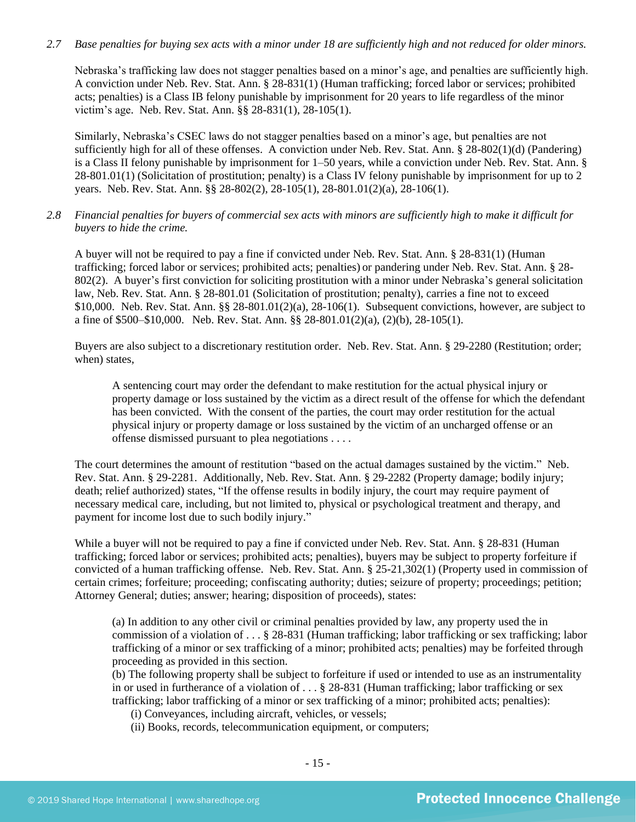## *2.7 Base penalties for buying sex acts with a minor under 18 are sufficiently high and not reduced for older minors.*

Nebraska's trafficking law does not stagger penalties based on a minor's age, and penalties are sufficiently high. A conviction under Neb. Rev. Stat. Ann. § 28-831(1) (Human trafficking; forced labor or services; prohibited acts; penalties) is a Class IB felony punishable by imprisonment for 20 years to life regardless of the minor victim's age. Neb. Rev. Stat. Ann. §§ 28-831(1), 28-105(1).

Similarly, Nebraska's CSEC laws do not stagger penalties based on a minor's age, but penalties are not sufficiently high for all of these offenses. A conviction under Neb. Rev. Stat. Ann. § 28-802(1)(d) (Pandering) is a Class II felony punishable by imprisonment for 1–50 years, while a conviction under Neb. Rev. Stat. Ann. § 28-801.01(1) (Solicitation of prostitution; penalty) is a Class IV felony punishable by imprisonment for up to 2 years. Neb. Rev. Stat. Ann. §§ 28-802(2), 28-105(1), 28-801.01(2)(a), 28-106(1).

*2.8 Financial penalties for buyers of commercial sex acts with minors are sufficiently high to make it difficult for buyers to hide the crime.* 

A buyer will not be required to pay a fine if convicted under Neb. Rev. Stat. Ann. § 28-831(1) (Human trafficking; forced labor or services; prohibited acts; penalties) or pandering under Neb. Rev. Stat. Ann. § 28- 802(2). A buyer's first conviction for soliciting prostitution with a minor under Nebraska's general solicitation law, Neb. Rev. Stat. Ann. § 28-801.01 (Solicitation of prostitution; penalty), carries a fine not to exceed \$10,000. Neb. Rev. Stat. Ann. §§ 28-801.01(2)(a), 28-106(1). Subsequent convictions, however, are subject to a fine of \$500–\$10,000. Neb. Rev. Stat. Ann. §§ 28-801.01(2)(a), (2)(b), 28-105(1).

Buyers are also subject to a discretionary restitution order. Neb. Rev. Stat. Ann. § 29-2280 (Restitution; order; when) states,

A sentencing court may order the defendant to make restitution for the actual physical injury or property damage or loss sustained by the victim as a direct result of the offense for which the defendant has been convicted. With the consent of the parties, the court may order restitution for the actual physical injury or property damage or loss sustained by the victim of an uncharged offense or an offense dismissed pursuant to plea negotiations . . . .

The court determines the amount of restitution "based on the actual damages sustained by the victim." Neb. Rev. Stat. Ann. § 29-2281. Additionally, Neb. Rev. Stat. Ann. § 29-2282 (Property damage; bodily injury; death; relief authorized) states, "If the offense results in bodily injury, the court may require payment of necessary medical care, including, but not limited to, physical or psychological treatment and therapy, and payment for income lost due to such bodily injury."

While a buyer will not be required to pay a fine if convicted under Neb. Rev. Stat. Ann. § 28-831 (Human trafficking; forced labor or services; prohibited acts; penalties), buyers may be subject to property forfeiture if convicted of a human trafficking offense. Neb. Rev. Stat. Ann. § 25-21,302(1) (Property used in commission of certain crimes; forfeiture; proceeding; confiscating authority; duties; seizure of property; proceedings; petition; Attorney General; duties; answer; hearing; disposition of proceeds), states:

(a) In addition to any other civil or criminal penalties provided by law, any property used the in commission of a violation of . . . § 28-831 (Human trafficking; labor trafficking or sex trafficking; labor trafficking of a minor or sex trafficking of a minor; prohibited acts; penalties) may be forfeited through proceeding as provided in this section.

(b) The following property shall be subject to forfeiture if used or intended to use as an instrumentality in or used in furtherance of a violation of  $\dots$  § 28-831 (Human trafficking; labor trafficking or sex trafficking; labor trafficking of a minor or sex trafficking of a minor; prohibited acts; penalties):

- (i) Conveyances, including aircraft, vehicles, or vessels;
- (ii) Books, records, telecommunication equipment, or computers;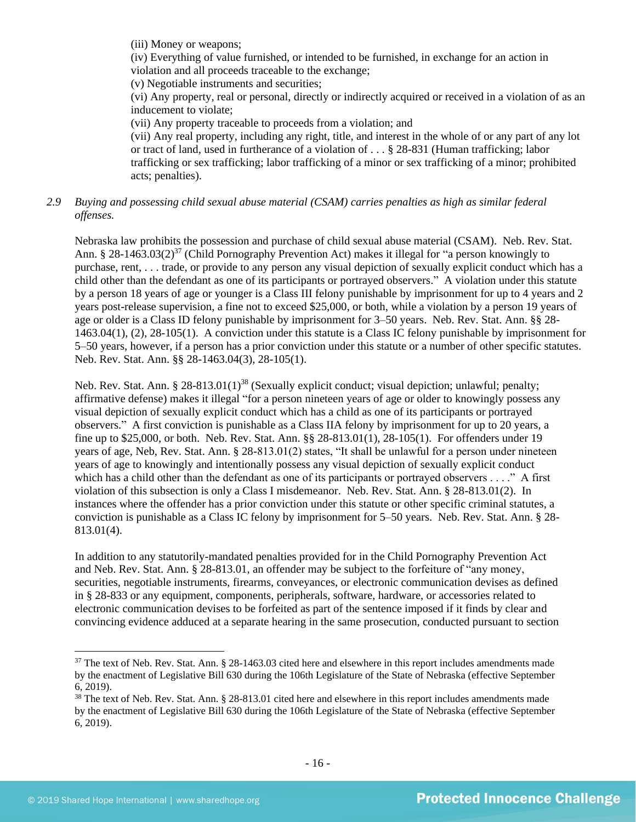(iii) Money or weapons;

(iv) Everything of value furnished, or intended to be furnished, in exchange for an action in violation and all proceeds traceable to the exchange;

(v) Negotiable instruments and securities;

(vi) Any property, real or personal, directly or indirectly acquired or received in a violation of as an inducement to violate;

(vii) Any property traceable to proceeds from a violation; and

(vii) Any real property, including any right, title, and interest in the whole of or any part of any lot or tract of land, used in furtherance of a violation of . . . § 28-831 (Human trafficking; labor trafficking or sex trafficking; labor trafficking of a minor or sex trafficking of a minor; prohibited acts; penalties).

## *2.9 Buying and possessing child sexual abuse material (CSAM) carries penalties as high as similar federal offenses.*

<span id="page-15-0"></span>Nebraska law prohibits the possession and purchase of child sexual abuse material (CSAM). Neb. Rev. Stat. Ann. § 28-1463.03(2)<sup>37</sup> (Child Pornography Prevention Act) makes it illegal for "a person knowingly to purchase, rent, . . . trade, or provide to any person any visual depiction of sexually explicit conduct which has a child other than the defendant as one of its participants or portrayed observers." A violation under this statute by a person 18 years of age or younger is a Class III felony punishable by imprisonment for up to 4 years and 2 years post-release supervision, a fine not to exceed \$25,000, or both, while a violation by a person 19 years of age or older is a Class ID felony punishable by imprisonment for 3–50 years. Neb. Rev. Stat. Ann. §§ 28- 1463.04(1), (2), 28-105(1). A conviction under this statute is a Class IC felony punishable by imprisonment for 5–50 years, however, if a person has a prior conviction under this statute or a number of other specific statutes. Neb. Rev. Stat. Ann. §§ 28-1463.04(3), 28-105(1).

Neb. Rev. Stat. Ann. § 28-813.01(1)<sup>38</sup> (Sexually explicit conduct; visual depiction; unlawful; penalty; affirmative defense) makes it illegal "for a person nineteen years of age or older to knowingly possess any visual depiction of sexually explicit conduct which has a child as one of its participants or portrayed observers." A first conviction is punishable as a Class IIA felony by imprisonment for up to 20 years, a fine up to \$25,000, or both. Neb. Rev. Stat. Ann. §§ 28-813.01(1), 28-105(1). For offenders under 19 years of age, Neb, Rev. Stat. Ann. § 28-813.01(2) states, "It shall be unlawful for a person under nineteen years of age to knowingly and intentionally possess any visual depiction of sexually explicit conduct which has a child other than the defendant as one of its participants or portrayed observers . . . ." A first violation of this subsection is only a Class I misdemeanor. Neb. Rev. Stat. Ann. § 28-813.01(2). In instances where the offender has a prior conviction under this statute or other specific criminal statutes, a conviction is punishable as a Class IC felony by imprisonment for 5–50 years. Neb. Rev. Stat. Ann. § 28- 813.01(4).

In addition to any statutorily-mandated penalties provided for in the Child Pornography Prevention Act and Neb. Rev. Stat. Ann. § 28-813.01, an offender may be subject to the forfeiture of "any money, securities, negotiable instruments, firearms, conveyances, or electronic communication devises as defined in § 28-833 or any equipment, components, peripherals, software, hardware, or accessories related to electronic communication devises to be forfeited as part of the sentence imposed if it finds by clear and convincing evidence adduced at a separate hearing in the same prosecution, conducted pursuant to section

 $37$  The text of Neb. Rev. Stat. Ann. § 28-1463.03 cited here and elsewhere in this report includes amendments made by the enactment of Legislative Bill 630 during the 106th Legislature of the State of Nebraska (effective September 6, 2019).

<sup>&</sup>lt;sup>38</sup> The text of Neb. Rev. Stat. Ann. § 28-813.01 cited here and elsewhere in this report includes amendments made by the enactment of Legislative Bill 630 during the 106th Legislature of the State of Nebraska (effective September 6, 2019).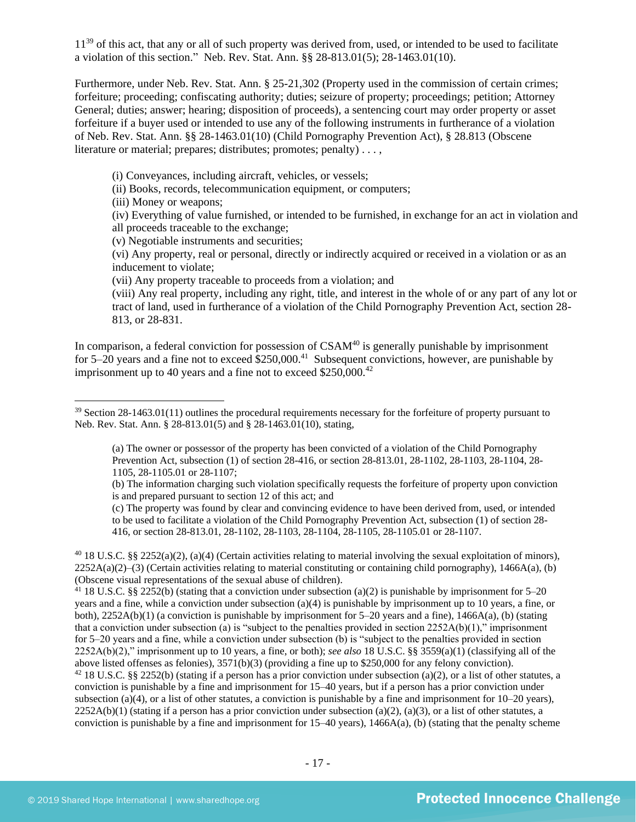11<sup>39</sup> of this act, that any or all of such property was derived from, used, or intended to be used to facilitate a violation of this section." Neb. Rev. Stat. Ann. §§ 28-813.01(5); 28-1463.01(10).

Furthermore, under Neb. Rev. Stat. Ann. § 25-21,302 (Property used in the commission of certain crimes; forfeiture; proceeding; confiscating authority; duties; seizure of property; proceedings; petition; Attorney General; duties; answer; hearing; disposition of proceeds), a sentencing court may order property or asset forfeiture if a buyer used or intended to use any of the following instruments in furtherance of a violation of Neb. Rev. Stat. Ann. §§ 28-1463.01(10) (Child Pornography Prevention Act), § 28.813 (Obscene literature or material; prepares; distributes; promotes; penalty) . . . ,

(i) Conveyances, including aircraft, vehicles, or vessels;

(ii) Books, records, telecommunication equipment, or computers;

(iii) Money or weapons;

(iv) Everything of value furnished, or intended to be furnished, in exchange for an act in violation and all proceeds traceable to the exchange;

(v) Negotiable instruments and securities;

(vi) Any property, real or personal, directly or indirectly acquired or received in a violation or as an inducement to violate;

(vii) Any property traceable to proceeds from a violation; and

(viii) Any real property, including any right, title, and interest in the whole of or any part of any lot or tract of land, used in furtherance of a violation of the Child Pornography Prevention Act, section 28- 813, or 28-831.

In comparison, a federal conviction for possession of  $CSAM<sup>40</sup>$  is generally punishable by imprisonment for 5–20 years and a fine not to exceed  $$250,000$ .<sup>41</sup> Subsequent convictions, however, are punishable by imprisonment up to 40 years and a fine not to exceed  $$250,000.<sup>42</sup>$ 

(b) The information charging such violation specifically requests the forfeiture of property upon conviction is and prepared pursuant to section 12 of this act; and

(c) The property was found by clear and convincing evidence to have been derived from, used, or intended to be used to facilitate a violation of the Child Pornography Prevention Act, subsection (1) of section 28- 416, or section 28-813.01, 28-1102, 28-1103, 28-1104, 28-1105, 28-1105.01 or 28-1107.

<sup>40</sup> 18 U.S.C. §§ 2252(a)(2), (a)(4) (Certain activities relating to material involving the sexual exploitation of minors),  $2252A(a)(2)$ –(3) (Certain activities relating to material constituting or containing child pornography), 1466A(a), (b) (Obscene visual representations of the sexual abuse of children).

<sup>41</sup> 18 U.S.C. §§ 2252(b) (stating that a conviction under subsection (a)(2) is punishable by imprisonment for 5–20 years and a fine, while a conviction under subsection (a)(4) is punishable by imprisonment up to 10 years, a fine, or both),  $2252A(b)(1)$  (a conviction is punishable by imprisonment for 5–20 years and a fine),  $1466A(a)$ , (b) (stating that a conviction under subsection (a) is "subject to the penalties provided in section  $2252A(b)(1)$ ," imprisonment for 5–20 years and a fine, while a conviction under subsection (b) is "subject to the penalties provided in section 2252A(b)(2)," imprisonment up to 10 years, a fine, or both); *see also* 18 U.S.C. §§ 3559(a)(1) (classifying all of the above listed offenses as felonies), 3571(b)(3) (providing a fine up to \$250,000 for any felony conviction).

<sup>42</sup> 18 U.S.C. §§ 2252(b) (stating if a person has a prior conviction under subsection (a)(2), or a list of other statutes, a conviction is punishable by a fine and imprisonment for 15–40 years, but if a person has a prior conviction under subsection (a)(4), or a list of other statutes, a conviction is punishable by a fine and imprisonment for  $10-20$  years),  $2252A(b)(1)$  (stating if a person has a prior conviction under subsection (a)(2), (a)(3), or a list of other statutes, a conviction is punishable by a fine and imprisonment for  $15-40$  years),  $1466A(a)$ , (b) (stating that the penalty scheme

 $39$  Section 28-1463.01(11) outlines the procedural requirements necessary for the forfeiture of property pursuant to Neb. Rev. Stat. Ann. § 28-813.01(5) and § 28-1463.01(10), stating,

<sup>(</sup>a) The owner or possessor of the property has been convicted of a violation of the Child Pornography Prevention Act, subsection (1) of section 28-416, or section 28-813.01, 28-1102, 28-1103, 28-1104, 28- 1105, 28-1105.01 or 28-1107;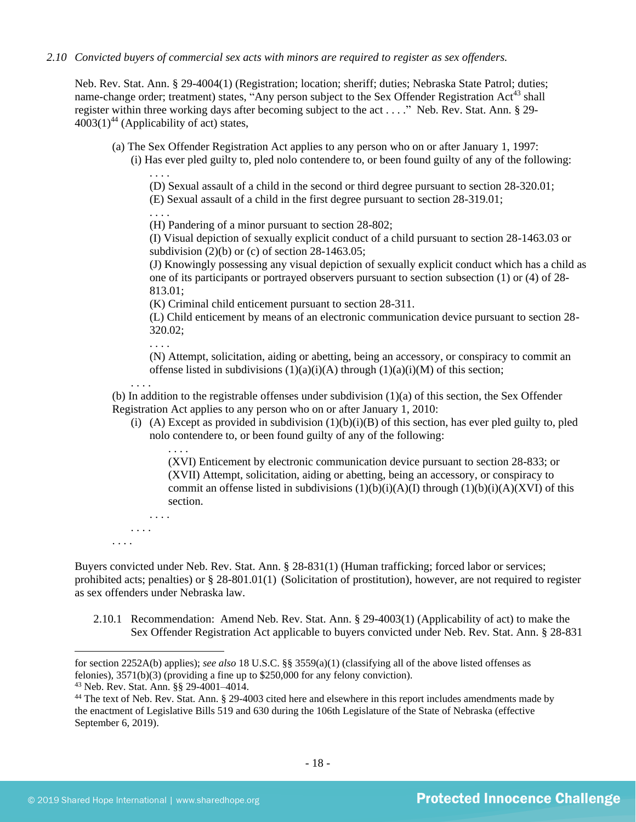#### *2.10 Convicted buyers of commercial sex acts with minors are required to register as sex offenders.*

Neb. Rev. Stat. Ann. § 29-4004(1) (Registration; location; sheriff; duties; Nebraska State Patrol; duties; name-change order; treatment) states, "Any person subject to the Sex Offender Registration Act<sup>43</sup> shall register within three working days after becoming subject to the act . . . ." Neb. Rev. Stat. Ann. § 29-  $4003(1)^{44}$  (Applicability of act) states,

- <span id="page-17-1"></span>(a) The Sex Offender Registration Act applies to any person who on or after January 1, 1997:
	- (i) Has ever pled guilty to, pled nolo contendere to, or been found guilty of any of the following: . . . .

<span id="page-17-0"></span>(D) Sexual assault of a child in the second or third degree pursuant to section 28-320.01;

(E) Sexual assault of a child in the first degree pursuant to section 28-319.01;

. . . . (H) Pandering of a minor pursuant to section 28-802;

(I) Visual depiction of sexually explicit conduct of a child pursuant to section 28-1463.03 or subdivision  $(2)(b)$  or  $(c)$  of section 28-1463.05;

(J) Knowingly possessing any visual depiction of sexually explicit conduct which has a child as one of its participants or portrayed observers pursuant to section subsection (1) or (4) of 28- 813.01;

(K) Criminal child enticement pursuant to section 28-311.

(L) Child enticement by means of an electronic communication device pursuant to section 28- 320.02;

. . . .

. . . .

. . . .

(N) Attempt, solicitation, aiding or abetting, being an accessory, or conspiracy to commit an offense listed in subdivisions  $(1)(a)(i)(A)$  through  $(1)(a)(i)(M)$  of this section;

(b) In addition to the registrable offenses under subdivision  $(1)(a)$  of this section, the Sex Offender Registration Act applies to any person who on or after January 1, 2010:

(i) (A) Except as provided in subdivision  $(1)(b)(i)(B)$  of this section, has ever pled guilty to, pled nolo contendere to, or been found guilty of any of the following:

(XVI) Enticement by electronic communication device pursuant to section 28-833; or (XVII) Attempt, solicitation, aiding or abetting, being an accessory, or conspiracy to commit an offense listed in subdivisions  $(1)(b)(i)(A)(I)$  through  $(1)(b)(i)(A)(XVI)$  of this section.

. . . . . . . . . . . .

Buyers convicted under Neb. Rev. Stat. Ann. § 28-831(1) (Human trafficking; forced labor or services; prohibited acts; penalties) or § 28-801.01(1) (Solicitation of prostitution), however, are not required to register as sex offenders under Nebraska law.

2.10.1 Recommendation: Amend Neb. Rev. Stat. Ann. § 29-4003(1) (Applicability of act) to make the Sex Offender Registration Act applicable to buyers convicted under Neb. Rev. Stat. Ann. § 28-831

for section 2252A(b) applies); *see also* 18 U.S.C. §§ 3559(a)(1) (classifying all of the above listed offenses as felonies), 3571(b)(3) (providing a fine up to \$250,000 for any felony conviction).

<sup>43</sup> Neb. Rev. Stat. Ann. §§ 29-4001–4014.

<sup>&</sup>lt;sup>44</sup> The text of Neb. Rev. Stat. Ann. § 29-4003 cited here and elsewhere in this report includes amendments made by the enactment of Legislative Bills 519 and 630 during the 106th Legislature of the State of Nebraska (effective September 6, 2019).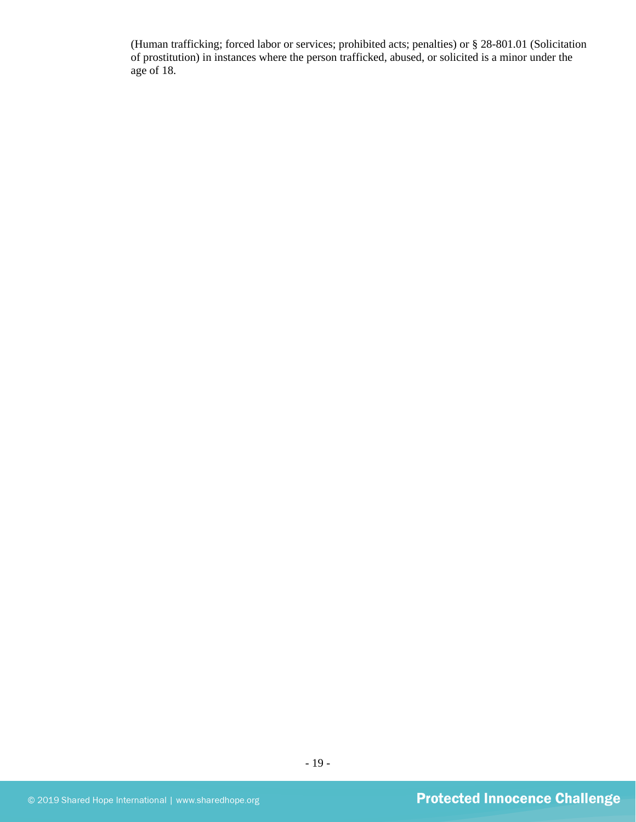(Human trafficking; forced labor or services; prohibited acts; penalties) or § 28-801.01 (Solicitation of prostitution) in instances where the person trafficked, abused, or solicited is a minor under the age of 18.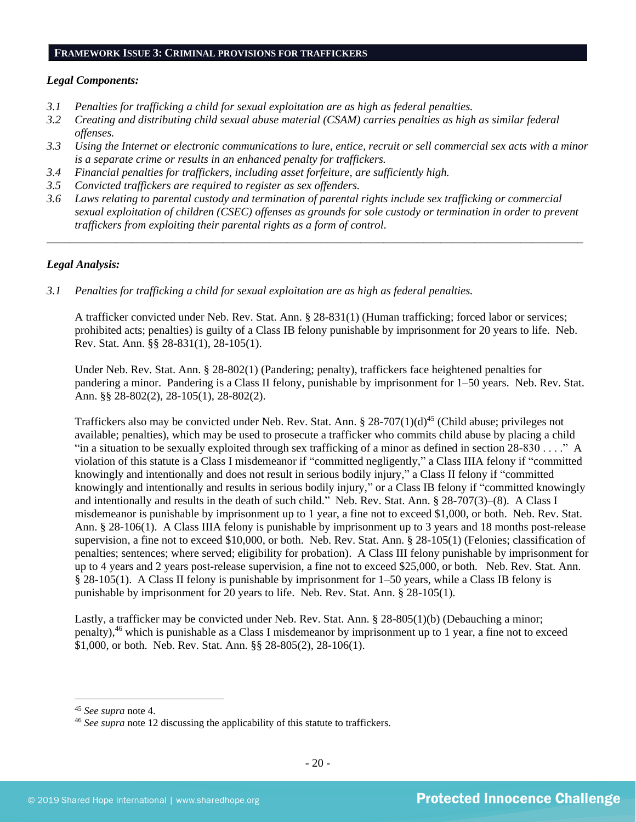#### **FRAMEWORK ISSUE 3: CRIMINAL PROVISIONS FOR TRAFFICKERS**

#### *Legal Components:*

- *3.1 Penalties for trafficking a child for sexual exploitation are as high as federal penalties.*
- *3.2 Creating and distributing child sexual abuse material (CSAM) carries penalties as high as similar federal offenses.*
- *3.3 Using the Internet or electronic communications to lure, entice, recruit or sell commercial sex acts with a minor is a separate crime or results in an enhanced penalty for traffickers.*
- *3.4 Financial penalties for traffickers, including asset forfeiture, are sufficiently high.*
- *3.5 Convicted traffickers are required to register as sex offenders.*
- *3.6 Laws relating to parental custody and termination of parental rights include sex trafficking or commercial sexual exploitation of children (CSEC) offenses as grounds for sole custody or termination in order to prevent traffickers from exploiting their parental rights as a form of control.*

*\_\_\_\_\_\_\_\_\_\_\_\_\_\_\_\_\_\_\_\_\_\_\_\_\_\_\_\_\_\_\_\_\_\_\_\_\_\_\_\_\_\_\_\_\_\_\_\_\_\_\_\_\_\_\_\_\_\_\_\_\_\_\_\_\_\_\_\_\_\_\_\_\_\_\_\_\_\_\_\_\_\_\_\_\_\_\_\_\_\_\_\_\_\_*

## *Legal Analysis:*

*3.1 Penalties for trafficking a child for sexual exploitation are as high as federal penalties.* 

A trafficker convicted under Neb. Rev. Stat. Ann. § 28-831(1) (Human trafficking; forced labor or services; prohibited acts; penalties) is guilty of a Class IB felony punishable by imprisonment for 20 years to life. Neb. Rev. Stat. Ann. §§ 28-831(1), 28-105(1).

Under Neb. Rev. Stat. Ann. § 28-802(1) (Pandering; penalty), traffickers face heightened penalties for pandering a minor. Pandering is a Class II felony, punishable by imprisonment for 1–50 years. Neb. Rev. Stat. Ann. §§ 28-802(2), 28-105(1), 28-802(2).

Traffickers also may be convicted under Neb. Rev. Stat. Ann. § 28-707(1)(d)<sup>45</sup> (Child abuse; privileges not available; penalties), which may be used to prosecute a trafficker who commits child abuse by placing a child "in a situation to be sexually exploited through sex trafficking of a minor as defined in section 28-830 . . . ." A violation of this statute is a Class I misdemeanor if "committed negligently," a Class IIIA felony if "committed knowingly and intentionally and does not result in serious bodily injury," a Class II felony if "committed knowingly and intentionally and results in serious bodily injury," or a Class IB felony if "committed knowingly and intentionally and results in the death of such child." Neb. Rev. Stat. Ann. § 28-707(3)–(8). A Class I misdemeanor is punishable by imprisonment up to 1 year, a fine not to exceed \$1,000, or both. Neb. Rev. Stat. Ann. § 28-106(1). A Class IIIA felony is punishable by imprisonment up to 3 years and 18 months post-release supervision, a fine not to exceed \$10,000, or both. Neb. Rev. Stat. Ann. § 28-105(1) (Felonies; classification of penalties; sentences; where served; eligibility for probation). A Class III felony punishable by imprisonment for up to 4 years and 2 years post-release supervision, a fine not to exceed \$25,000, or both. Neb. Rev. Stat. Ann. § 28-105(1). A Class II felony is punishable by imprisonment for 1–50 years, while a Class IB felony is punishable by imprisonment for 20 years to life. Neb. Rev. Stat. Ann. § 28-105(1).

Lastly, a trafficker may be convicted under Neb. Rev. Stat. Ann. § 28-805(1)(b) (Debauching a minor; penalty),<sup>46</sup> which is punishable as a Class I misdemeanor by imprisonment up to 1 year, a fine not to exceed \$1,000, or both. Neb. Rev. Stat. Ann. §§ 28-805(2), 28-106(1).

<sup>45</sup> *See supra* note [4.](#page-1-0)

<sup>46</sup> *See supra* note [12](#page-4-0) discussing the applicability of this statute to traffickers.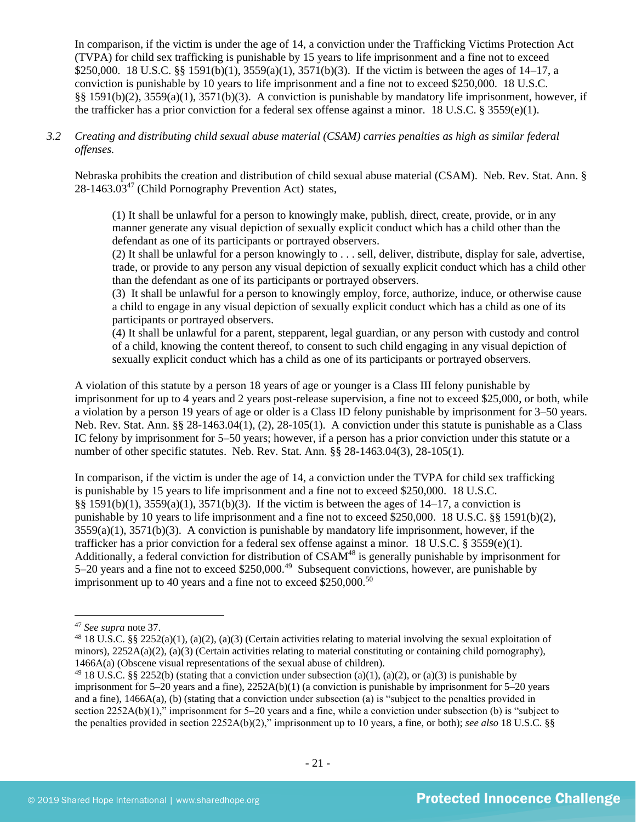In comparison, if the victim is under the age of 14, a conviction under the Trafficking Victims Protection Act (TVPA) for child sex trafficking is punishable by 15 years to life imprisonment and a fine not to exceed \$250,000. 18 U.S.C. §§ 1591(b)(1), 3559(a)(1), 3571(b)(3). If the victim is between the ages of 14–17, a conviction is punishable by 10 years to life imprisonment and a fine not to exceed \$250,000. 18 U.S.C. §§ 1591(b)(2), 3559(a)(1), 3571(b)(3). A conviction is punishable by mandatory life imprisonment, however, if the trafficker has a prior conviction for a federal sex offense against a minor. 18 U.S.C. § 3559(e)(1).

## *3.2 Creating and distributing child sexual abuse material (CSAM) carries penalties as high as similar federal offenses.*

Nebraska prohibits the creation and distribution of child sexual abuse material (CSAM). Neb. Rev. Stat. Ann. §  $28-1463.03^{47}$  (Child Pornography Prevention Act) states,

(1) It shall be unlawful for a person to knowingly make, publish, direct, create, provide, or in any manner generate any visual depiction of sexually explicit conduct which has a child other than the defendant as one of its participants or portrayed observers.

(2) It shall be unlawful for a person knowingly to . . . sell, deliver, distribute, display for sale, advertise, trade, or provide to any person any visual depiction of sexually explicit conduct which has a child other than the defendant as one of its participants or portrayed observers.

(3) It shall be unlawful for a person to knowingly employ, force, authorize, induce, or otherwise cause a child to engage in any visual depiction of sexually explicit conduct which has a child as one of its participants or portrayed observers.

(4) It shall be unlawful for a parent, stepparent, legal guardian, or any person with custody and control of a child, knowing the content thereof, to consent to such child engaging in any visual depiction of sexually explicit conduct which has a child as one of its participants or portrayed observers.

A violation of this statute by a person 18 years of age or younger is a Class III felony punishable by imprisonment for up to 4 years and 2 years post-release supervision, a fine not to exceed \$25,000, or both, while a violation by a person 19 years of age or older is a Class ID felony punishable by imprisonment for 3–50 years. Neb. Rev. Stat. Ann. §§ 28-1463.04(1), (2), 28-105(1). A conviction under this statute is punishable as a Class IC felony by imprisonment for 5–50 years; however, if a person has a prior conviction under this statute or a number of other specific statutes. Neb. Rev. Stat. Ann. §§ 28-1463.04(3), 28-105(1).

In comparison, if the victim is under the age of 14, a conviction under the TVPA for child sex trafficking is punishable by 15 years to life imprisonment and a fine not to exceed \$250,000. 18 U.S.C.  $§§ 1591(b)(1), 3559(a)(1), 3571(b)(3).$  If the victim is between the ages of  $14-17$ , a conviction is punishable by 10 years to life imprisonment and a fine not to exceed \$250,000. 18 U.S.C. §§ 1591(b)(2),  $3559(a)(1)$ ,  $3571(b)(3)$ . A conviction is punishable by mandatory life imprisonment, however, if the trafficker has a prior conviction for a federal sex offense against a minor. 18 U.S.C. § 3559(e)(1). Additionally, a federal conviction for distribution of  $CSAM<sup>48</sup>$  is generally punishable by imprisonment for 5–20 years and a fine not to exceed  $$250,000.<sup>49</sup>$  Subsequent convictions, however, are punishable by imprisonment up to 40 years and a fine not to exceed  $$250,000.<sup>50</sup>$ 

<sup>47</sup> *See supra* note [37.](#page-15-0)

<sup>48</sup> 18 U.S.C. §§ 2252(a)(1), (a)(2), (a)(3) (Certain activities relating to material involving the sexual exploitation of minors),  $2252A(a)(2)$ ,  $(a)(3)$  (Certain activities relating to material constituting or containing child pornography), 1466A(a) (Obscene visual representations of the sexual abuse of children).

<sup>&</sup>lt;sup>49</sup> 18 U.S.C. §§ 2252(b) (stating that a conviction under subsection (a)(1), (a)(2), or (a)(3) is punishable by imprisonment for 5–20 years and a fine), 2252A(b)(1) (a conviction is punishable by imprisonment for 5–20 years and a fine), 1466A(a), (b) (stating that a conviction under subsection (a) is "subject to the penalties provided in section 2252A(b)(1)," imprisonment for 5–20 years and a fine, while a conviction under subsection (b) is "subject to the penalties provided in section 2252A(b)(2)," imprisonment up to 10 years, a fine, or both); *see also* 18 U.S.C. §§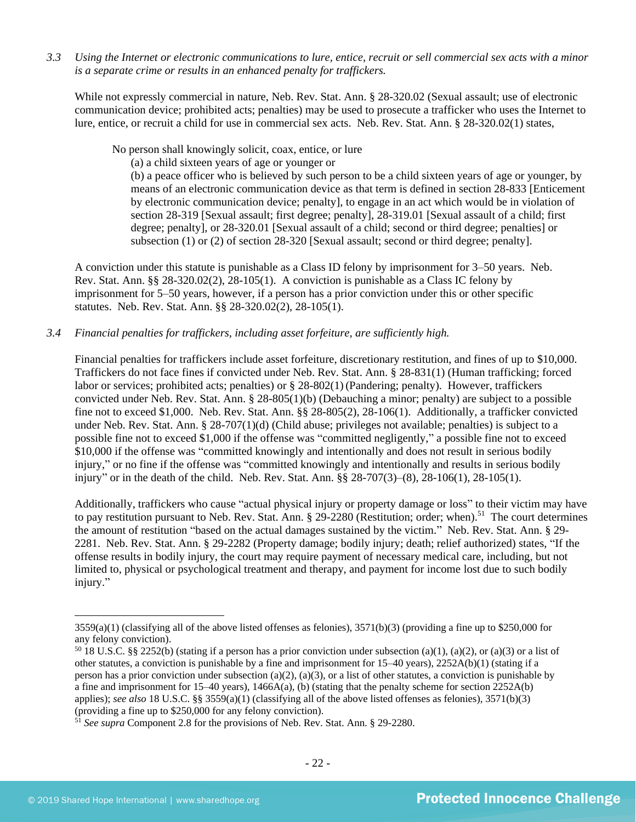*3.3 Using the Internet or electronic communications to lure, entice, recruit or sell commercial sex acts with a minor is a separate crime or results in an enhanced penalty for traffickers.*

While not expressly commercial in nature, Neb. Rev. Stat. Ann. § 28-320.02 (Sexual assault; use of electronic communication device; prohibited acts; penalties) may be used to prosecute a trafficker who uses the Internet to lure, entice, or recruit a child for use in commercial sex acts. Neb. Rev. Stat. Ann. § 28-320.02(1) states,

No person shall knowingly solicit, coax, entice, or lure

(a) a child sixteen years of age or younger or

(b) a peace officer who is believed by such person to be a child sixteen years of age or younger, by means of an electronic communication device as that term is defined in section 28-833 [Enticement by electronic communication device; penalty], to engage in an act which would be in violation of section [28-319](http://nebraskalegislature.gov/laws/statutes.php?statute=28-319) [Sexual assault; first degree; penalty], [28-319.01](http://nebraskalegislature.gov/laws/statutes.php?statute=28-319.01) [Sexual assault of a child; first degree; penalty], or [28-320.01](http://nebraskalegislature.gov/laws/statutes.php?statute=28-320.01) [Sexual assault of a child; second or third degree; penalties] or subsection (1) or (2) of section [28-320](http://nebraskalegislature.gov/laws/statutes.php?statute=28-320) [Sexual assault; second or third degree; penalty].

A conviction under this statute is punishable as a Class ID felony by imprisonment for 3–50 years. Neb. Rev. Stat. Ann. §§ 28-320.02(2), 28-105(1). A conviction is punishable as a Class IC felony by imprisonment for 5–50 years, however, if a person has a prior conviction under this or other specific statutes. Neb. Rev. Stat. Ann. §§ 28-320.02(2), 28-105(1).

## *3.4 Financial penalties for traffickers, including asset forfeiture, are sufficiently high.*

Financial penalties for traffickers include asset forfeiture, discretionary restitution, and fines of up to \$10,000. Traffickers do not face fines if convicted under Neb. Rev. Stat. Ann. § 28-831(1) (Human trafficking; forced labor or services; prohibited acts; penalties) or § 28-802(1)(Pandering; penalty). However, traffickers convicted under Neb. Rev. Stat. Ann. § 28-805(1)(b) (Debauching a minor; penalty) are subject to a possible fine not to exceed \$1,000. Neb. Rev. Stat. Ann. §§ 28-805(2), 28-106(1). Additionally, a trafficker convicted under Neb. Rev. Stat. Ann. § 28-707(1)(d) (Child abuse; privileges not available; penalties) is subject to a possible fine not to exceed \$1,000 if the offense was "committed negligently," a possible fine not to exceed \$10,000 if the offense was "committed knowingly and intentionally and does not result in serious bodily injury," or no fine if the offense was "committed knowingly and intentionally and results in serious bodily injury" or in the death of the child. Neb. Rev. Stat. Ann. §§ 28-707(3)–(8), 28-106(1), 28-105(1).

Additionally, traffickers who cause "actual physical injury or property damage or loss" to their victim may have to pay restitution pursuant to Neb. Rev. Stat. Ann.  $\S 29-2280$  (Restitution; order; when).<sup>51</sup> The court determines the amount of restitution "based on the actual damages sustained by the victim." Neb. Rev. Stat. Ann. § 29- 2281. Neb. Rev. Stat. Ann. § 29-2282 (Property damage; bodily injury; death; relief authorized) states, "If the offense results in bodily injury, the court may require payment of necessary medical care, including, but not limited to, physical or psychological treatment and therapy, and payment for income lost due to such bodily injury."

 $3559(a)(1)$  (classifying all of the above listed offenses as felonies),  $3571(b)(3)$  (providing a fine up to \$250,000 for any felony conviction).

 $50$  18 U.S.C. §§ 2252(b) (stating if a person has a prior conviction under subsection (a)(1), (a)(2), or (a)(3) or a list of other statutes, a conviction is punishable by a fine and imprisonment for 15–40 years), 2252A(b)(1) (stating if a person has a prior conviction under subsection (a)(2), (a)(3), or a list of other statutes, a conviction is punishable by a fine and imprisonment for  $15-40$  years),  $1466A(a)$ , (b) (stating that the penalty scheme for section  $2252A(b)$ applies); *see also* 18 U.S.C. §§ 3559(a)(1) (classifying all of the above listed offenses as felonies), 3571(b)(3) (providing a fine up to \$250,000 for any felony conviction).

<sup>51</sup> *See supra* Component 2.8 for the provisions of Neb. Rev. Stat. Ann. § 29-2280.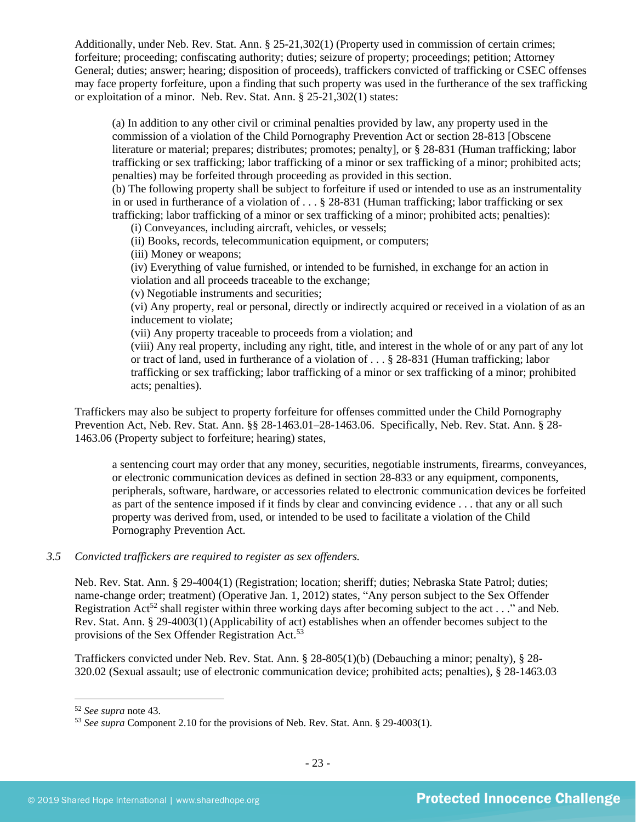Additionally, under Neb. Rev. Stat. Ann. § 25-21,302(1) (Property used in commission of certain crimes; forfeiture; proceeding; confiscating authority; duties; seizure of property; proceedings; petition; Attorney General; duties; answer; hearing; disposition of proceeds), traffickers convicted of trafficking or CSEC offenses may face property forfeiture, upon a finding that such property was used in the furtherance of the sex trafficking or exploitation of a minor. Neb. Rev. Stat. Ann. § 25-21,302(1) states:

(a) In addition to any other civil or criminal penalties provided by law, any property used in the commission of a violation of the Child Pornography Prevention Act or section 28-813 [Obscene literature or material; prepares; distributes; promotes; penalty], or § 28-831 (Human trafficking; labor trafficking or sex trafficking; labor trafficking of a minor or sex trafficking of a minor; prohibited acts; penalties) may be forfeited through proceeding as provided in this section.

(b) The following property shall be subject to forfeiture if used or intended to use as an instrumentality in or used in furtherance of a violation of  $\dots$  § 28-831 (Human trafficking; labor trafficking or sex trafficking; labor trafficking of a minor or sex trafficking of a minor; prohibited acts; penalties):

(i) Conveyances, including aircraft, vehicles, or vessels;

(ii) Books, records, telecommunication equipment, or computers;

(iii) Money or weapons;

(iv) Everything of value furnished, or intended to be furnished, in exchange for an action in violation and all proceeds traceable to the exchange;

(v) Negotiable instruments and securities;

(vi) Any property, real or personal, directly or indirectly acquired or received in a violation of as an inducement to violate;

(vii) Any property traceable to proceeds from a violation; and

(viii) Any real property, including any right, title, and interest in the whole of or any part of any lot or tract of land, used in furtherance of a violation of . . . § 28-831 (Human trafficking; labor trafficking or sex trafficking; labor trafficking of a minor or sex trafficking of a minor; prohibited acts; penalties).

Traffickers may also be subject to property forfeiture for offenses committed under the Child Pornography Prevention Act, Neb. Rev. Stat. Ann. §§ 28-1463.01–28-1463.06. Specifically, Neb. Rev. Stat. Ann. § 28- 1463.06 (Property subject to forfeiture; hearing) states,

a sentencing court may order that any money, securities, negotiable instruments, firearms, conveyances, or electronic communication devices as defined in section 28-833 or any equipment, components, peripherals, software, hardware, or accessories related to electronic communication devices be forfeited as part of the sentence imposed if it finds by clear and convincing evidence . . . that any or all such property was derived from, used, or intended to be used to facilitate a violation of the Child Pornography Prevention Act.

## *3.5 Convicted traffickers are required to register as sex offenders.*

Neb. Rev. Stat. Ann. § 29-4004(1) (Registration; location; sheriff; duties; Nebraska State Patrol; duties; name-change order; treatment) (Operative Jan. 1, 2012) states, "Any person subject to the Sex Offender Registration Act<sup>52</sup> shall register within three working days after becoming subject to the act . . ." and Neb. Rev. Stat. Ann. § 29-4003(1)(Applicability of act) establishes when an offender becomes subject to the provisions of the Sex Offender Registration Act.<sup>53</sup>

Traffickers convicted under Neb. Rev. Stat. Ann. § 28-805(1)(b) (Debauching a minor; penalty), § 28- 320.02 (Sexual assault; use of electronic communication device; prohibited acts; penalties), § 28-1463.03

<sup>52</sup> *See supra* note [43.](#page-17-0) 

<sup>53</sup> *See supra* Component 2.10 for the provisions of Neb. Rev. Stat. Ann. § 29-4003(1).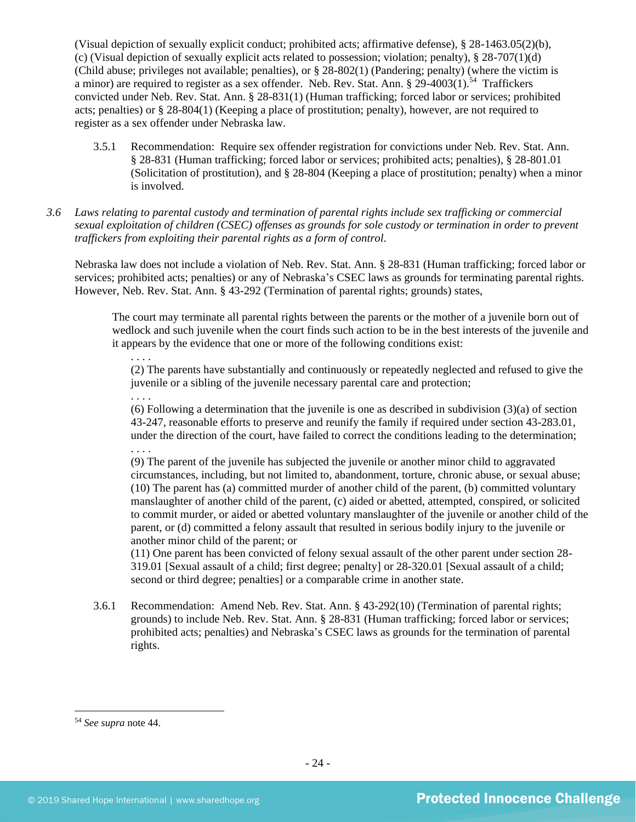(Visual depiction of sexually explicit conduct; prohibited acts; affirmative defense), § 28-1463.05(2)(b), (c) (Visual depiction of sexually explicit acts related to possession; violation; penalty),  $\S 28-707(1)(d)$ (Child abuse; privileges not available; penalties), or § 28-802(1) (Pandering; penalty) (where the victim is a minor) are required to register as a sex offender. Neb. Rev. Stat. Ann. § 29-4003(1).<sup>54</sup> Traffickers convicted under Neb. Rev. Stat. Ann. § 28-831(1) (Human trafficking; forced labor or services; prohibited acts; penalties) or § 28-804(1) (Keeping a place of prostitution; penalty), however, are not required to register as a sex offender under Nebraska law.

- 3.5.1 Recommendation: Require sex offender registration for convictions under Neb. Rev. Stat. Ann. § 28-831 (Human trafficking; forced labor or services; prohibited acts; penalties), § 28-801.01 (Solicitation of prostitution), and § 28-804 (Keeping a place of prostitution; penalty) when a minor is involved.
- *3.6 Laws relating to parental custody and termination of parental rights include sex trafficking or commercial sexual exploitation of children (CSEC) offenses as grounds for sole custody or termination in order to prevent traffickers from exploiting their parental rights as a form of control.*

Nebraska law does not include a violation of Neb. Rev. Stat. Ann. § 28-831 (Human trafficking; forced labor or services; prohibited acts; penalties) or any of Nebraska's CSEC laws as grounds for terminating parental rights. However, Neb. Rev. Stat. Ann. § 43-292 (Termination of parental rights; grounds) states,

The court may terminate all parental rights between the parents or the mother of a juvenile born out of wedlock and such juvenile when the court finds such action to be in the best interests of the juvenile and it appears by the evidence that one or more of the following conditions exist:

(2) The parents have substantially and continuously or repeatedly neglected and refused to give the juvenile or a sibling of the juvenile necessary parental care and protection;

. . . . (6) Following a determination that the juvenile is one as described in subdivision (3)(a) of section 43-247, reasonable efforts to preserve and reunify the family if required under section 43-283.01, under the direction of the court, have failed to correct the conditions leading to the determination; . . . .

(9) The parent of the juvenile has subjected the juvenile or another minor child to aggravated circumstances, including, but not limited to, abandonment, torture, chronic abuse, or sexual abuse; (10) The parent has (a) committed murder of another child of the parent, (b) committed voluntary manslaughter of another child of the parent, (c) aided or abetted, attempted, conspired, or solicited to commit murder, or aided or abetted voluntary manslaughter of the juvenile or another child of the parent, or (d) committed a felony assault that resulted in serious bodily injury to the juvenile or another minor child of the parent; or

(11) One parent has been convicted of felony sexual assault of the other parent under section 28- 319.01 [Sexual assault of a child; first degree; penalty] or 28-320.01 [Sexual assault of a child; second or third degree; penalties] or a comparable crime in another state.

3.6.1 Recommendation: Amend Neb. Rev. Stat. Ann. § 43-292(10) (Termination of parental rights; grounds) to include Neb. Rev. Stat. Ann. § 28-831 (Human trafficking; forced labor or services; prohibited acts; penalties) and Nebraska's CSEC laws as grounds for the termination of parental rights.

<sup>54</sup> *See supra* note [44.](#page-17-1)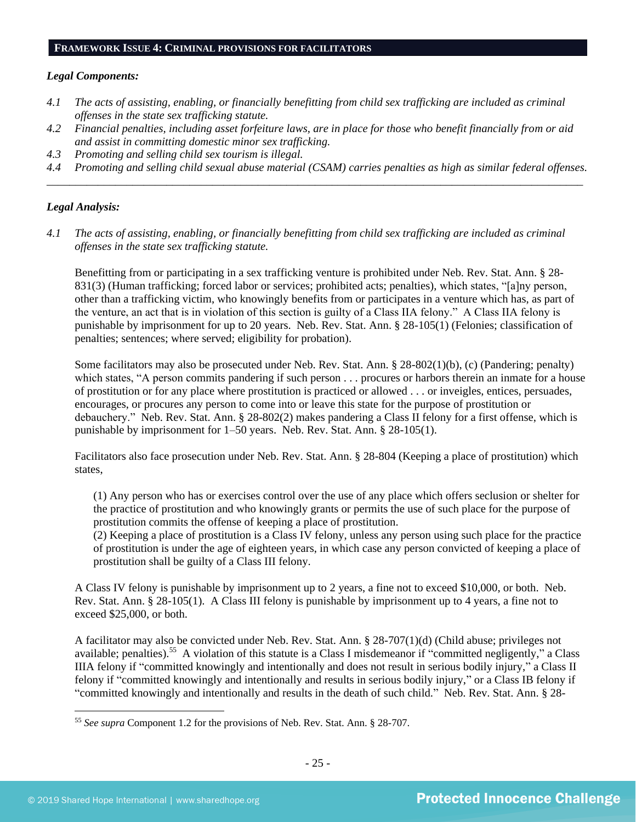#### **FRAMEWORK ISSUE 4: CRIMINAL PROVISIONS FOR FACILITATORS**

#### *Legal Components:*

- *4.1 The acts of assisting, enabling, or financially benefitting from child sex trafficking are included as criminal offenses in the state sex trafficking statute.*
- *4.2 Financial penalties, including asset forfeiture laws, are in place for those who benefit financially from or aid and assist in committing domestic minor sex trafficking.*
- *4.3 Promoting and selling child sex tourism is illegal.*
- *4.4 Promoting and selling child sexual abuse material (CSAM) carries penalties as high as similar federal offenses. \_\_\_\_\_\_\_\_\_\_\_\_\_\_\_\_\_\_\_\_\_\_\_\_\_\_\_\_\_\_\_\_\_\_\_\_\_\_\_\_\_\_\_\_\_\_\_\_\_\_\_\_\_\_\_\_\_\_\_\_\_\_\_\_\_\_\_\_\_\_\_\_\_\_\_\_\_\_\_\_\_\_\_\_\_\_\_\_\_\_\_\_\_\_*

## *Legal Analysis:*

*4.1 The acts of assisting, enabling, or financially benefitting from child sex trafficking are included as criminal offenses in the state sex trafficking statute.*

Benefitting from or participating in a sex trafficking venture is prohibited under Neb. Rev. Stat. Ann. § 28- 831(3) (Human trafficking; forced labor or services; prohibited acts; penalties), which states, "[a]ny person, other than a trafficking victim, who knowingly benefits from or participates in a venture which has, as part of the venture, an act that is in violation of this section is guilty of a Class IIA felony." A Class IIA felony is punishable by imprisonment for up to 20 years. Neb. Rev. Stat. Ann. § 28-105(1) (Felonies; classification of penalties; sentences; where served; eligibility for probation).

Some facilitators may also be prosecuted under Neb. Rev. Stat. Ann. § 28-802(1)(b), (c) (Pandering; penalty) which states, "A person commits pandering if such person . . . procures or harbors therein an inmate for a house of prostitution or for any place where prostitution is practiced or allowed . . . or inveigles, entices, persuades, encourages, or procures any person to come into or leave this state for the purpose of prostitution or debauchery." Neb. Rev. Stat. Ann. § 28-802(2) makes pandering a Class II felony for a first offense, which is punishable by imprisonment for 1–50 years. Neb. Rev. Stat. Ann. § 28-105(1).

Facilitators also face prosecution under Neb. Rev. Stat. Ann. § 28-804 (Keeping a place of prostitution) which states,

(1) Any person who has or exercises control over the use of any place which offers seclusion or shelter for the practice of prostitution and who knowingly grants or permits the use of such place for the purpose of prostitution commits the offense of keeping a place of prostitution.

(2) Keeping a place of prostitution is a Class IV felony, unless any person using such place for the practice of prostitution is under the age of eighteen years, in which case any person convicted of keeping a place of prostitution shall be guilty of a Class III felony.

A Class IV felony is punishable by imprisonment up to 2 years, a fine not to exceed \$10,000, or both. Neb. Rev. Stat. Ann. § 28-105(1). A Class III felony is punishable by imprisonment up to 4 years, a fine not to exceed \$25,000, or both.

A facilitator may also be convicted under Neb. Rev. Stat. Ann. § 28-707(1)(d) (Child abuse; privileges not available; penalties).<sup>55</sup> A violation of this statute is a Class I misdemeanor if "committed negligently," a Class IIIA felony if "committed knowingly and intentionally and does not result in serious bodily injury," a Class II felony if "committed knowingly and intentionally and results in serious bodily injury," or a Class IB felony if "committed knowingly and intentionally and results in the death of such child." Neb. Rev. Stat. Ann. § 28-

<sup>55</sup> *See supra* Component 1.2 for the provisions of Neb. Rev. Stat. Ann. § 28-707.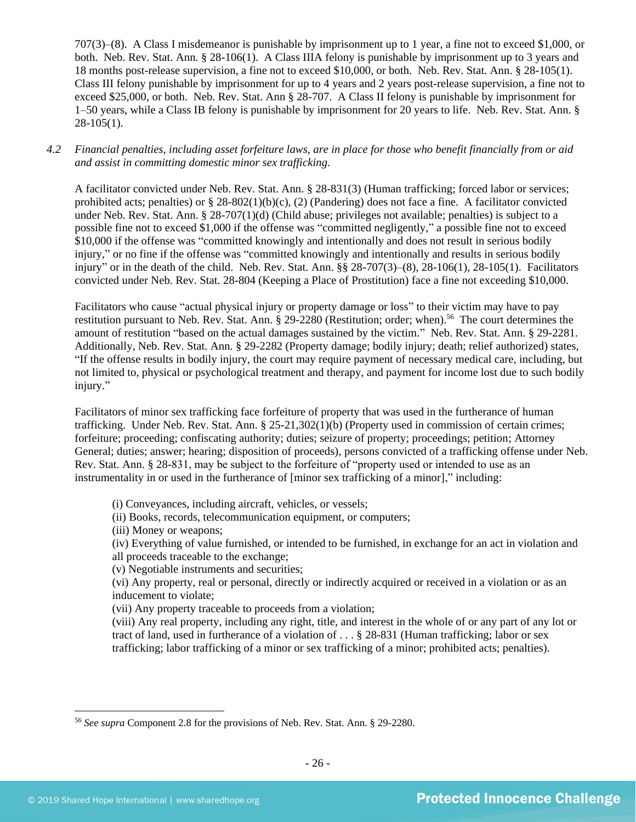707(3)–(8). A Class I misdemeanor is punishable by imprisonment up to 1 year, a fine not to exceed \$1,000, or both. Neb. Rev. Stat. Ann. § 28-106(1). A Class IIIA felony is punishable by imprisonment up to 3 years and 18 months post-release supervision, a fine not to exceed \$10,000, or both. Neb. Rev. Stat. Ann. § 28-105(1). Class III felony punishable by imprisonment for up to 4 years and 2 years post-release supervision, a fine not to exceed \$25,000, or both. Neb. Rev. Stat. Ann § 28-707. A Class II felony is punishable by imprisonment for 1–50 years, while a Class IB felony is punishable by imprisonment for 20 years to life. Neb. Rev. Stat. Ann. §  $28-105(1)$ .

*4.2 Financial penalties, including asset forfeiture laws, are in place for those who benefit financially from or aid and assist in committing domestic minor sex trafficking.*

A facilitator convicted under Neb. Rev. Stat. Ann. § 28-831(3) (Human trafficking; forced labor or services; prohibited acts; penalties) or  $\S 28-802(1)(b)(c)$ , (2) (Pandering) does not face a fine. A facilitator convicted under Neb. Rev. Stat. Ann. § 28-707(1)(d) (Child abuse; privileges not available; penalties) is subject to a possible fine not to exceed \$1,000 if the offense was "committed negligently," a possible fine not to exceed \$10,000 if the offense was "committed knowingly and intentionally and does not result in serious bodily injury," or no fine if the offense was "committed knowingly and intentionally and results in serious bodily injury" or in the death of the child. Neb. Rev. Stat. Ann. §§ 28-707(3)–(8), 28-106(1), 28-105(1). Facilitators convicted under Neb. Rev. Stat. 28-804 (Keeping a Place of Prostitution) face a fine not exceeding \$10,000.

Facilitators who cause "actual physical injury or property damage or loss" to their victim may have to pay restitution pursuant to Neb. Rev. Stat. Ann. § 29-2280 (Restitution; order; when).<sup>56</sup> The court determines the amount of restitution "based on the actual damages sustained by the victim." Neb. Rev. Stat. Ann. § 29-2281. Additionally, Neb. Rev. Stat. Ann. § 29-2282 (Property damage; bodily injury; death; relief authorized) states, "If the offense results in bodily injury, the court may require payment of necessary medical care, including, but not limited to, physical or psychological treatment and therapy, and payment for income lost due to such bodily injury."

Facilitators of minor sex trafficking face forfeiture of property that was used in the furtherance of human trafficking. Under Neb. Rev. Stat. Ann. § 25-21,302(1)(b) (Property used in commission of certain crimes; forfeiture; proceeding; confiscating authority; duties; seizure of property; proceedings; petition; Attorney General; duties; answer; hearing; disposition of proceeds), persons convicted of a trafficking offense under Neb. Rev. Stat. Ann. § 28-831, may be subject to the forfeiture of "property used or intended to use as an instrumentality in or used in the furtherance of [minor sex trafficking of a minor]," including:

- (i) Conveyances, including aircraft, vehicles, or vessels;
- (ii) Books, records, telecommunication equipment, or computers;
- (iii) Money or weapons;

(iv) Everything of value furnished, or intended to be furnished, in exchange for an act in violation and all proceeds traceable to the exchange;

(v) Negotiable instruments and securities;

(vi) Any property, real or personal, directly or indirectly acquired or received in a violation or as an inducement to violate;

(vii) Any property traceable to proceeds from a violation;

(viii) Any real property, including any right, title, and interest in the whole of or any part of any lot or tract of land, used in furtherance of a violation of . . . § 28-831 (Human trafficking; labor or sex trafficking; labor trafficking of a minor or sex trafficking of a minor; prohibited acts; penalties).

<sup>56</sup> *See supra* Component 2.8 for the provisions of Neb. Rev. Stat. Ann. § 29-2280.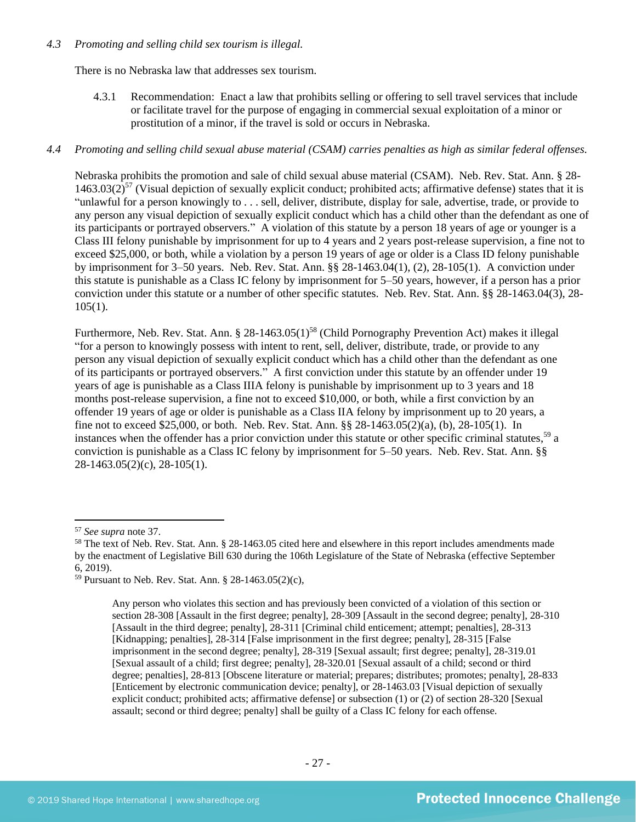## *4.3 Promoting and selling child sex tourism is illegal.*

There is no Nebraska law that addresses sex tourism.

4.3.1 Recommendation: Enact a law that prohibits selling or offering to sell travel services that include or facilitate travel for the purpose of engaging in commercial sexual exploitation of a minor or prostitution of a minor, if the travel is sold or occurs in Nebraska.

## *4.4 Promoting and selling child sexual abuse material (CSAM) carries penalties as high as similar federal offenses.*

Nebraska prohibits the promotion and sale of child sexual abuse material (CSAM). Neb. Rev. Stat. Ann. § 28-  $1463.03(2)^{57}$  (Visual depiction of sexually explicit conduct; prohibited acts; affirmative defense) states that it is "unlawful for a person knowingly to . . . sell, deliver, distribute, display for sale, advertise, trade, or provide to any person any visual depiction of sexually explicit conduct which has a child other than the defendant as one of its participants or portrayed observers." A violation of this statute by a person 18 years of age or younger is a Class III felony punishable by imprisonment for up to 4 years and 2 years post-release supervision, a fine not to exceed \$25,000, or both, while a violation by a person 19 years of age or older is a Class ID felony punishable by imprisonment for 3–50 years. Neb. Rev. Stat. Ann. §§ 28-1463.04(1), (2), 28-105(1). A conviction under this statute is punishable as a Class IC felony by imprisonment for 5–50 years, however, if a person has a prior conviction under this statute or a number of other specific statutes. Neb. Rev. Stat. Ann. §§ 28-1463.04(3), 28-  $105(1)$ .

Furthermore, Neb. Rev. Stat. Ann. § 28-1463.05(1)<sup>58</sup> (Child Pornography Prevention Act) makes it illegal "for a person to knowingly possess with intent to rent, sell, deliver, distribute, trade, or provide to any person any visual depiction of sexually explicit conduct which has a child other than the defendant as one of its participants or portrayed observers." A first conviction under this statute by an offender under 19 years of age is punishable as a Class IIIA felony is punishable by imprisonment up to 3 years and 18 months post-release supervision, a fine not to exceed \$10,000, or both, while a first conviction by an offender 19 years of age or older is punishable as a Class IIA felony by imprisonment up to 20 years, a fine not to exceed \$25,000, or both. Neb. Rev. Stat. Ann. §§ 28-1463.05(2)(a), (b), 28-105(1). In instances when the offender has a prior conviction under this statute or other specific criminal statutes,<sup>59</sup> a conviction is punishable as a Class IC felony by imprisonment for 5–50 years. Neb. Rev. Stat. Ann. §§ 28-1463.05(2)(c), 28-105(1).

<sup>57</sup> *See supra* note [37.](#page-15-0)

<sup>&</sup>lt;sup>58</sup> The text of Neb. Rev. Stat. Ann. § 28-1463.05 cited here and elsewhere in this report includes amendments made by the enactment of Legislative Bill 630 during the 106th Legislature of the State of Nebraska (effective September 6, 2019).

<sup>59</sup> Pursuant to Neb. Rev. Stat. Ann. § 28-1463.05(2)(c),

Any person who violates this section and has previously been convicted of a violation of this section or section 28-308 [Assault in the first degree; penalty], 28-309 [Assault in the second degree; penalty], 28-310 [Assault in the third degree; penalty], 28-311 [Criminal child enticement; attempt; penalties], 28-313 [Kidnapping; penalties], 28-314 [False imprisonment in the first degree; penalty], 28-315 [False imprisonment in the second degree; penalty], 28-319 [Sexual assault; first degree; penalty], 28-319.01 [Sexual assault of a child; first degree; penalty], 28-320.01 [Sexual assault of a child; second or third degree; penalties], 28-813 [Obscene literature or material; prepares; distributes; promotes; penalty], 28-833 [Enticement by electronic communication device; penalty], or 28-1463.03 [Visual depiction of sexually explicit conduct; prohibited acts; affirmative defense] or subsection (1) or (2) of section 28-320 [Sexual assault; second or third degree; penalty] shall be guilty of a Class IC felony for each offense.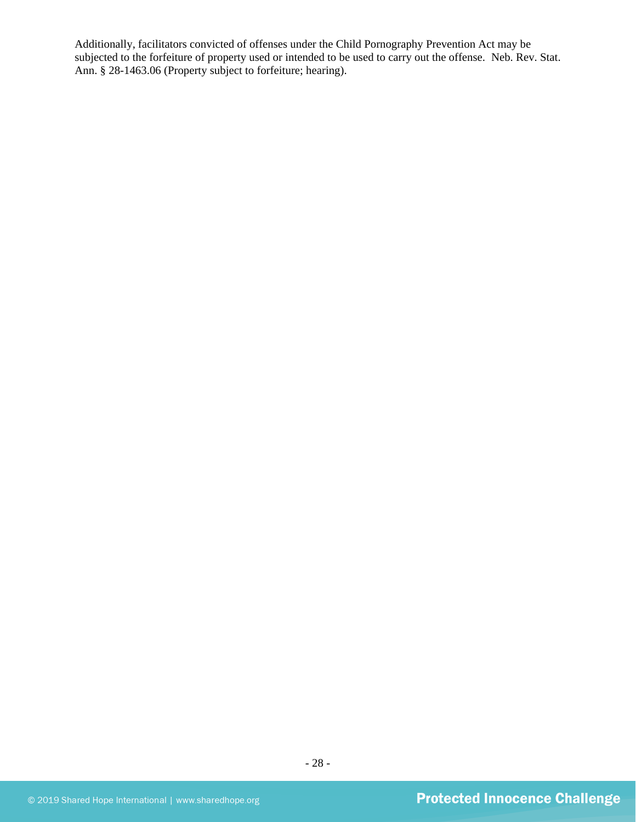Additionally, facilitators convicted of offenses under the Child Pornography Prevention Act may be subjected to the forfeiture of property used or intended to be used to carry out the offense. Neb. Rev. Stat. Ann. § 28-1463.06 (Property subject to forfeiture; hearing).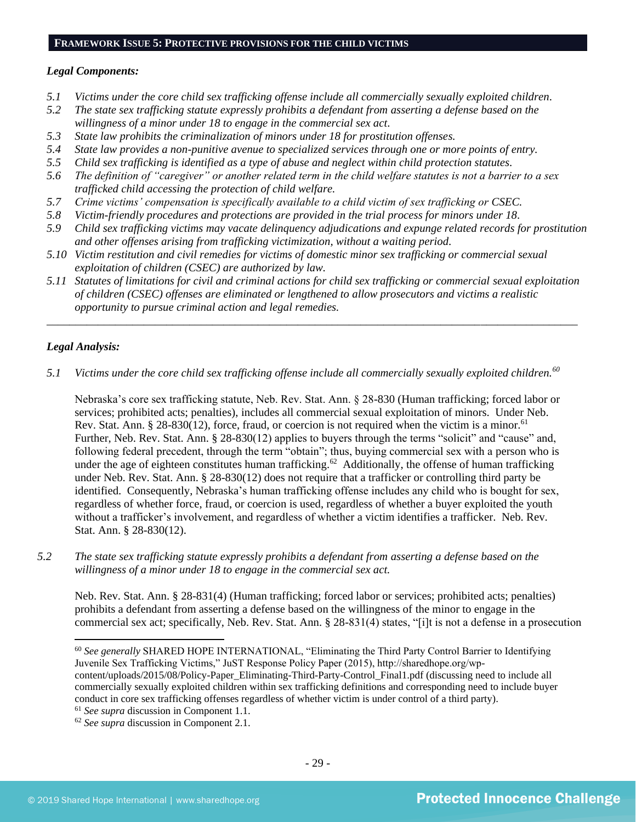#### **FRAMEWORK ISSUE 5: PROTECTIVE PROVISIONS FOR THE CHILD VICTIMS**

## *Legal Components:*

- *5.1 Victims under the core child sex trafficking offense include all commercially sexually exploited children.*
- *5.2 The state sex trafficking statute expressly prohibits a defendant from asserting a defense based on the willingness of a minor under 18 to engage in the commercial sex act.*
- *5.3 State law prohibits the criminalization of minors under 18 for prostitution offenses.*
- *5.4 State law provides a non-punitive avenue to specialized services through one or more points of entry.*
- *5.5 Child sex trafficking is identified as a type of abuse and neglect within child protection statutes.*
- *5.6 The definition of "caregiver" or another related term in the child welfare statutes is not a barrier to a sex trafficked child accessing the protection of child welfare.*
- *5.7 Crime victims' compensation is specifically available to a child victim of sex trafficking or CSEC.*
- *5.8 Victim-friendly procedures and protections are provided in the trial process for minors under 18.*
- *5.9 Child sex trafficking victims may vacate delinquency adjudications and expunge related records for prostitution and other offenses arising from trafficking victimization, without a waiting period.*
- *5.10 Victim restitution and civil remedies for victims of domestic minor sex trafficking or commercial sexual exploitation of children (CSEC) are authorized by law.*
- *5.11 Statutes of limitations for civil and criminal actions for child sex trafficking or commercial sexual exploitation of children (CSEC) offenses are eliminated or lengthened to allow prosecutors and victims a realistic opportunity to pursue criminal action and legal remedies.*

*\_\_\_\_\_\_\_\_\_\_\_\_\_\_\_\_\_\_\_\_\_\_\_\_\_\_\_\_\_\_\_\_\_\_\_\_\_\_\_\_\_\_\_\_\_\_\_\_\_\_\_\_\_\_\_\_\_\_\_\_\_\_\_\_\_\_\_\_\_\_\_\_\_\_\_\_\_\_\_\_\_\_\_\_\_\_\_\_\_\_\_\_\_*

## *Legal Analysis:*

*5.1 Victims under the core child sex trafficking offense include all commercially sexually exploited children.<sup>60</sup>*

Nebraska's core sex trafficking statute, Neb. Rev. Stat. Ann. § 28-830 (Human trafficking; forced labor or services; prohibited acts; penalties), includes all commercial sexual exploitation of minors. Under Neb. Rev. Stat. Ann. § 28-830(12), force, fraud, or coercion is not required when the victim is a minor.<sup>61</sup> Further, Neb. Rev. Stat. Ann. § 28-830(12) applies to buyers through the terms "solicit" and "cause" and, following federal precedent, through the term "obtain"; thus, buying commercial sex with a person who is under the age of eighteen constitutes human trafficking.<sup>62</sup> Additionally, the offense of human trafficking under Neb. Rev. Stat. Ann. § 28-830(12) does not require that a trafficker or controlling third party be identified. Consequently, Nebraska's human trafficking offense includes any child who is bought for sex, regardless of whether force, fraud, or coercion is used, regardless of whether a buyer exploited the youth without a trafficker's involvement, and regardless of whether a victim identifies a trafficker. Neb. Rev. Stat. Ann. § 28-830(12).

*5.2 The state sex trafficking statute expressly prohibits a defendant from asserting a defense based on the willingness of a minor under 18 to engage in the commercial sex act.* 

Neb. Rev. Stat. Ann. § 28-831(4) (Human trafficking; forced labor or services; prohibited acts; penalties) prohibits a defendant from asserting a defense based on the willingness of the minor to engage in the commercial sex act; specifically, Neb. Rev. Stat. Ann. § 28-831(4) states, "[i]t is not a defense in a prosecution

<sup>60</sup> *See generally* SHARED HOPE INTERNATIONAL, "Eliminating the Third Party Control Barrier to Identifying Juvenile Sex Trafficking Victims," JuST Response Policy Paper (2015), http://sharedhope.org/wpcontent/uploads/2015/08/Policy-Paper\_Eliminating-Third-Party-Control\_Final1.pdf (discussing need to include all commercially sexually exploited children within sex trafficking definitions and corresponding need to include buyer conduct in core sex trafficking offenses regardless of whether victim is under control of a third party).

<sup>61</sup> *See supra* discussion in Component 1.1.

<sup>62</sup> *See supra* discussion in Component 2.1.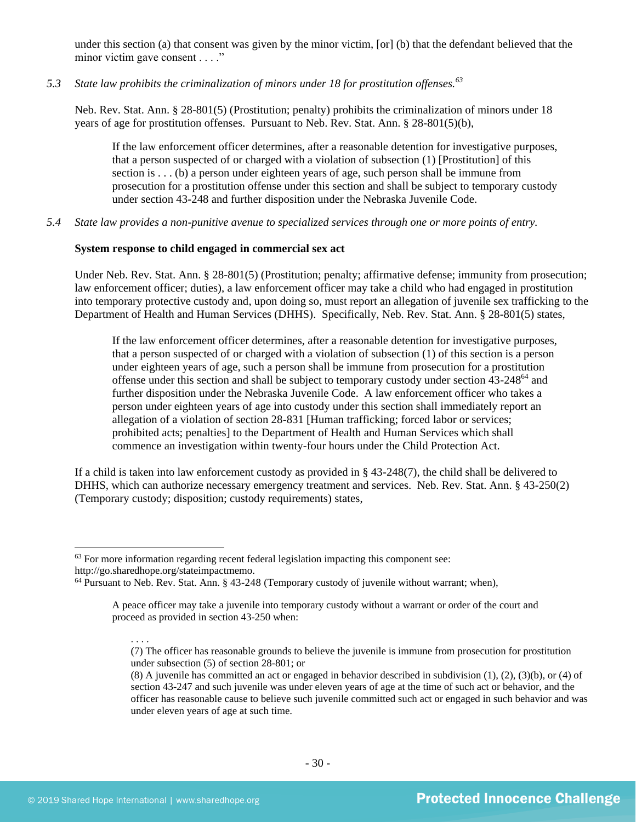under this section (a) that consent was given by the minor victim, [or] (b) that the defendant believed that the minor victim gave consent . . . ."

*5.3 State law prohibits the criminalization of minors under 18 for prostitution offenses.<sup>63</sup>*

Neb. Rev. Stat. Ann. § 28-801(5) (Prostitution; penalty) prohibits the criminalization of minors under 18 years of age for prostitution offenses. Pursuant to Neb. Rev. Stat. Ann. § 28-801(5)(b),

If the law enforcement officer determines, after a reasonable detention for investigative purposes, that a person suspected of or charged with a violation of subsection (1) [Prostitution] of this section is . . . (b) a person under eighteen years of age, such person shall be immune from prosecution for a prostitution offense under this section and shall be subject to temporary custody under section 43-248 and further disposition under the Nebraska Juvenile Code.

*5.4 State law provides a non-punitive avenue to specialized services through one or more points of entry.*

## **System response to child engaged in commercial sex act**

Under Neb. Rev. Stat. Ann. § 28-801(5) (Prostitution; penalty; affirmative defense; immunity from prosecution; law enforcement officer; duties), a law enforcement officer may take a child who had engaged in prostitution into temporary protective custody and, upon doing so, must report an allegation of juvenile sex trafficking to the Department of Health and Human Services (DHHS). Specifically, Neb. Rev. Stat. Ann. § 28-801(5) states,

If the law enforcement officer determines, after a reasonable detention for investigative purposes, that a person suspected of or charged with a violation of subsection (1) of this section is a person under eighteen years of age, such a person shall be immune from prosecution for a prostitution offense under this section and shall be subject to temporary custody under section 43-248<sup>64</sup> and further disposition under the Nebraska Juvenile Code. A law enforcement officer who takes a person under eighteen years of age into custody under this section shall immediately report an allegation of a violation of section 28-831 [Human trafficking; forced labor or services; prohibited acts; penalties] to the Department of Health and Human Services which shall commence an investigation within twenty-four hours under the Child Protection Act.

If a child is taken into law enforcement custody as provided in § 43-248(7), the child shall be delivered to DHHS, which can authorize necessary emergency treatment and services. Neb. Rev. Stat. Ann. § 43-250(2) (Temporary custody; disposition; custody requirements) states,

 $<sup>63</sup>$  For more information regarding recent federal legislation impacting this component see:</sup> http://go.sharedhope.org/stateimpactmemo.

<sup>64</sup> Pursuant to Neb. Rev. Stat. Ann. § 43-248 (Temporary custody of juvenile without warrant; when),

A peace officer may take a juvenile into temporary custody without a warrant or order of the court and proceed as provided in section 43-250 when:

<sup>. . . .</sup> (7) The officer has reasonable grounds to believe the juvenile is immune from prosecution for prostitution under subsection (5) of section 28-801; or

<sup>(8)</sup> A juvenile has committed an act or engaged in behavior described in subdivision (1), (2), (3)(b), or (4) of section 43-247 and such juvenile was under eleven years of age at the time of such act or behavior, and the officer has reasonable cause to believe such juvenile committed such act or engaged in such behavior and was under eleven years of age at such time.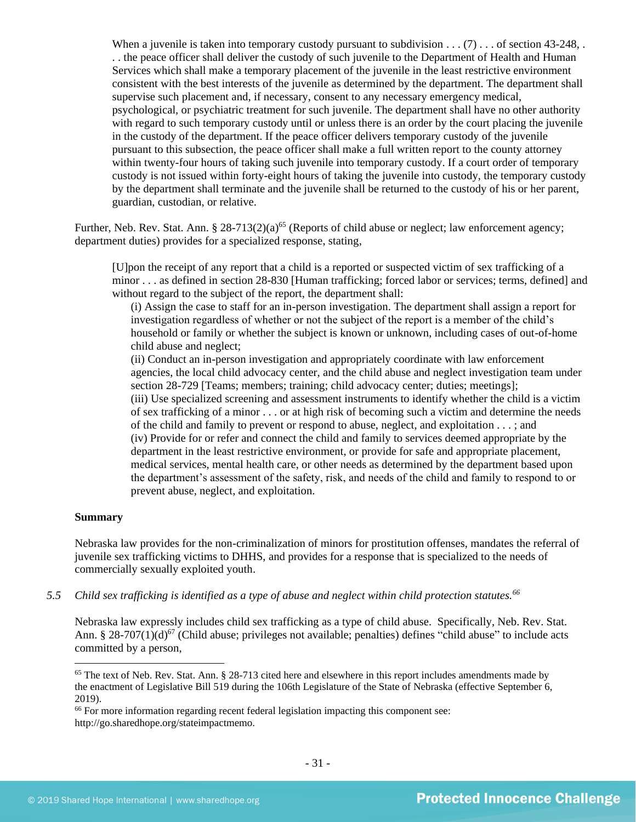When a juvenile is taken into temporary custody pursuant to subdivision . . . (7) . . . of section 43-248, . . . the peace officer shall deliver the custody of such juvenile to the Department of Health and Human Services which shall make a temporary placement of the juvenile in the least restrictive environment consistent with the best interests of the juvenile as determined by the department. The department shall supervise such placement and, if necessary, consent to any necessary emergency medical, psychological, or psychiatric treatment for such juvenile. The department shall have no other authority with regard to such temporary custody until or unless there is an order by the court placing the juvenile in the custody of the department. If the peace officer delivers temporary custody of the juvenile pursuant to this subsection, the peace officer shall make a full written report to the county attorney within twenty-four hours of taking such juvenile into temporary custody. If a court order of temporary custody is not issued within forty-eight hours of taking the juvenile into custody, the temporary custody by the department shall terminate and the juvenile shall be returned to the custody of his or her parent, guardian, custodian, or relative.

Further, Neb. Rev. Stat. Ann. § 28-713(2)(a)<sup>65</sup> (Reports of child abuse or neglect; law enforcement agency; department duties) provides for a specialized response, stating,

[U]pon the receipt of any report that a child is a reported or suspected victim of sex trafficking of a minor . . . as defined in section 28-830 [Human trafficking; forced labor or services; terms, defined] and without regard to the subject of the report, the department shall:

<span id="page-30-0"></span>(i) Assign the case to staff for an in-person investigation. The department shall assign a report for investigation regardless of whether or not the subject of the report is a member of the child's household or family or whether the subject is known or unknown, including cases of out-of-home child abuse and neglect;

(ii) Conduct an in-person investigation and appropriately coordinate with law enforcement agencies, the local child advocacy center, and the child abuse and neglect investigation team under section 28-729 [Teams; members; training; child advocacy center; duties; meetings]; (iii) Use specialized screening and assessment instruments to identify whether the child is a victim of sex trafficking of a minor . . . or at high risk of becoming such a victim and determine the needs of the child and family to prevent or respond to abuse, neglect, and exploitation . . . ; and (iv) Provide for or refer and connect the child and family to services deemed appropriate by the department in the least restrictive environment, or provide for safe and appropriate placement, medical services, mental health care, or other needs as determined by the department based upon the department's assessment of the safety, risk, and needs of the child and family to respond to or prevent abuse, neglect, and exploitation.

#### **Summary**

Nebraska law provides for the non-criminalization of minors for prostitution offenses, mandates the referral of juvenile sex trafficking victims to DHHS, and provides for a response that is specialized to the needs of commercially sexually exploited youth.

*5.5 Child sex trafficking is identified as a type of abuse and neglect within child protection statutes.<sup>66</sup>*

Nebraska law expressly includes child sex trafficking as a type of child abuse. Specifically, Neb. Rev. Stat. Ann. § 28-707(1)(d)<sup>67</sup> (Child abuse; privileges not available; penalties) defines "child abuse" to include acts committed by a person,

<sup>&</sup>lt;sup>65</sup> The text of Neb. Rev. Stat. Ann. § 28-713 cited here and elsewhere in this report includes amendments made by the enactment of Legislative Bill 519 during the 106th Legislature of the State of Nebraska (effective September 6, 2019).

<sup>&</sup>lt;sup>66</sup> For more information regarding recent federal legislation impacting this component see: http://go.sharedhope.org/stateimpactmemo.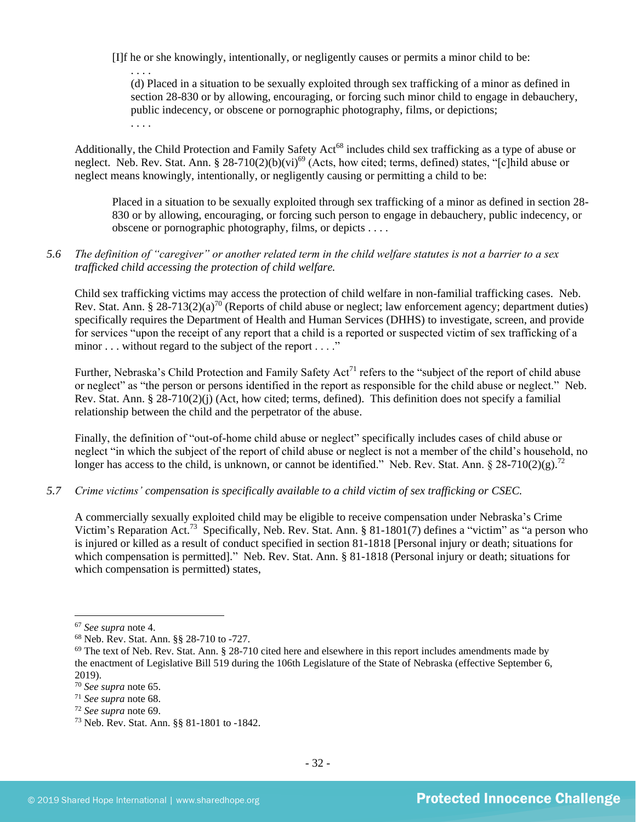[I]f he or she knowingly, intentionally, or negligently causes or permits a minor child to be:

<span id="page-31-1"></span><span id="page-31-0"></span>(d) Placed in a situation to be sexually exploited through sex trafficking of a minor as defined in section 28-830 or by allowing, encouraging, or forcing such minor child to engage in debauchery, public indecency, or obscene or pornographic photography, films, or depictions; . . . .

Additionally, the Child Protection and Family Safety Act<sup>68</sup> includes child sex trafficking as a type of abuse or neglect. Neb. Rev. Stat. Ann. § 28-710(2)(b)(vi)<sup>69</sup> (Acts, how cited; terms, defined) states, "[c]hild abuse or neglect means knowingly, intentionally, or negligently causing or permitting a child to be:

Placed in a situation to be sexually exploited through sex trafficking of a minor as defined in section 28- 830 or by allowing, encouraging, or forcing such person to engage in debauchery, public indecency, or obscene or pornographic photography, films, or depicts . . . .

## *5.6 The definition of "caregiver" or another related term in the child welfare statutes is not a barrier to a sex trafficked child accessing the protection of child welfare.*

Child sex trafficking victims may access the protection of child welfare in non-familial trafficking cases. Neb. Rev. Stat. Ann. § 28-713(2)(a)<sup>70</sup> (Reports of child abuse or neglect; law enforcement agency; department duties) specifically requires the Department of Health and Human Services (DHHS) to investigate, screen, and provide for services "upon the receipt of any report that a child is a reported or suspected victim of sex trafficking of a minor . . . without regard to the subject of the report . . . ."

Further, Nebraska's Child Protection and Family Safety Act<sup>71</sup> refers to the "subject of the report of child abuse or neglect" as "the person or persons identified in the report as responsible for the child abuse or neglect." Neb. Rev. Stat. Ann. § 28-710(2)(j) (Act, how cited; terms, defined). This definition does not specify a familial relationship between the child and the perpetrator of the abuse.

Finally, the definition of "out-of-home child abuse or neglect" specifically includes cases of child abuse or neglect "in which the subject of the report of child abuse or neglect is not a member of the child's household, no longer has access to the child, is unknown, or cannot be identified." Neb. Rev. Stat. Ann.  $\frac{8}{28}$ -710(2)(g).<sup>72</sup>

## *5.7 Crime victims' compensation is specifically available to a child victim of sex trafficking or CSEC.*

A commercially sexually exploited child may be eligible to receive compensation under Nebraska's Crime Victim's Reparation Act.<sup>73</sup> Specifically, Neb. Rev. Stat. Ann. § 81-1801(7) defines a "victim" as "a person who is injured or killed as a result of conduct specified in section 81-1818 [Personal injury or death; situations for which compensation is permitted]." Neb. Rev. Stat. Ann. § 81-1818 (Personal injury or death; situations for which compensation is permitted) states,

<sup>67</sup> *See supra* note [4.](#page-1-0)

<sup>68</sup> Neb. Rev. Stat. Ann. §§ 28-710 to -727.

 $69$  The text of Neb. Rev. Stat. Ann. § 28-710 cited here and elsewhere in this report includes amendments made by the enactment of Legislative Bill 519 during the 106th Legislature of the State of Nebraska (effective September 6, 2019).

<sup>70</sup> *See supra* note [65.](#page-30-0)

<sup>71</sup> *See supra* note [68.](#page-31-0)

<sup>72</sup> *See supra* note [69.](#page-31-1)

<sup>73</sup> Neb. Rev. Stat. Ann. §§ 81-1801 to -1842.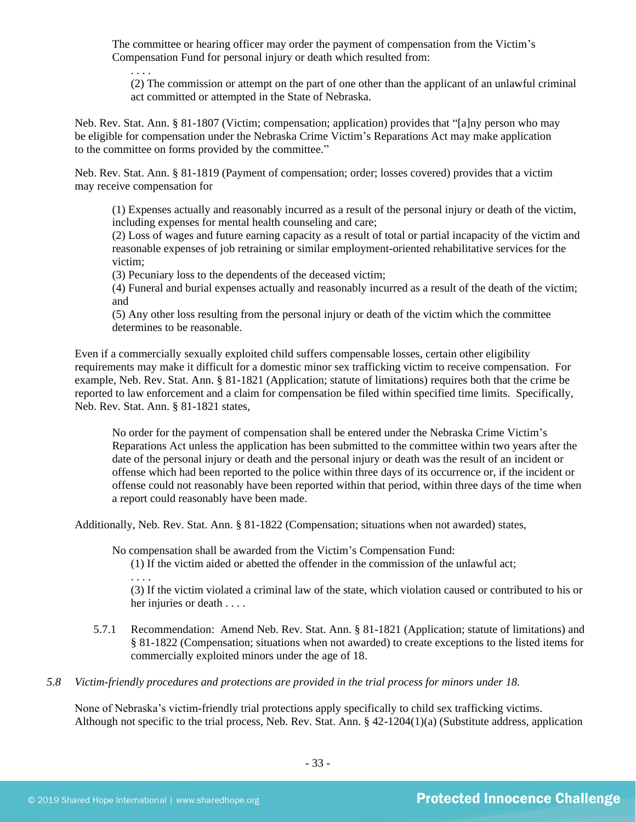The committee or hearing officer may order the payment of compensation from the Victim's Compensation Fund for personal injury or death which resulted from:

(2) The commission or attempt on the part of one other than the applicant of an unlawful criminal act committed or attempted in the State of Nebraska.

Neb. Rev. Stat. Ann. § 81-1807 (Victim; compensation; application) provides that "[a]ny person who may be eligible for compensation under the Nebraska Crime Victim's Reparations Act may make application to the committee on forms provided by the committee."

Neb. Rev. Stat. Ann. § 81-1819 (Payment of compensation; order; losses covered) provides that a victim may receive compensation for

(1) Expenses actually and reasonably incurred as a result of the personal injury or death of the victim, including expenses for mental health counseling and care;

(2) Loss of wages and future earning capacity as a result of total or partial incapacity of the victim and reasonable expenses of job retraining or similar employment-oriented rehabilitative services for the victim;

(3) Pecuniary loss to the dependents of the deceased victim;

(4) Funeral and burial expenses actually and reasonably incurred as a result of the death of the victim; and

(5) Any other loss resulting from the personal injury or death of the victim which the committee determines to be reasonable.

Even if a commercially sexually exploited child suffers compensable losses, certain other eligibility requirements may make it difficult for a domestic minor sex trafficking victim to receive compensation. For example, Neb. Rev. Stat. Ann. § 81-1821 (Application; statute of limitations) requires both that the crime be reported to law enforcement and a claim for compensation be filed within specified time limits. Specifically, Neb. Rev. Stat. Ann. § 81-1821 states,

No order for the payment of compensation shall be entered under the Nebraska Crime Victim's Reparations Act unless the application has been submitted to the committee within two years after the date of the personal injury or death and the personal injury or death was the result of an incident or offense which had been reported to the police within three days of its occurrence or, if the incident or offense could not reasonably have been reported within that period, within three days of the time when a report could reasonably have been made.

Additionally, Neb. Rev. Stat. Ann. § 81-1822 (Compensation; situations when not awarded) states,

No compensation shall be awarded from the Victim's Compensation Fund:

(1) If the victim aided or abetted the offender in the commission of the unlawful act; . . . .

(3) If the victim violated a criminal law of the state, which violation caused or contributed to his or her injuries or death . . . .

- 5.7.1 Recommendation: Amend Neb. Rev. Stat. Ann. § 81-1821 (Application; statute of limitations) and § 81-1822 (Compensation; situations when not awarded) to create exceptions to the listed items for commercially exploited minors under the age of 18.
- *5.8 Victim-friendly procedures and protections are provided in the trial process for minors under 18.*

None of Nebraska's victim-friendly trial protections apply specifically to child sex trafficking victims. Although not specific to the trial process, Neb. Rev. Stat. Ann. § 42-1204(1)(a) (Substitute address, application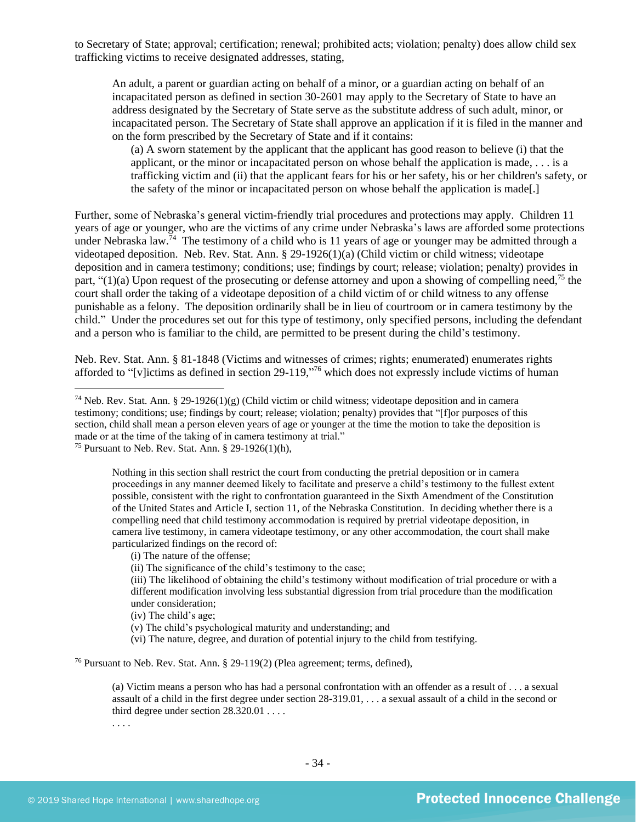to Secretary of State; approval; certification; renewal; prohibited acts; violation; penalty) does allow child sex trafficking victims to receive designated addresses, stating,

An adult, a parent or guardian acting on behalf of a minor, or a guardian acting on behalf of an incapacitated person as defined in section 30-2601 may apply to the Secretary of State to have an address designated by the Secretary of State serve as the substitute address of such adult, minor, or incapacitated person. The Secretary of State shall approve an application if it is filed in the manner and on the form prescribed by the Secretary of State and if it contains:

(a) A sworn statement by the applicant that the applicant has good reason to believe (i) that the applicant, or the minor or incapacitated person on whose behalf the application is made, . . . is a trafficking victim and (ii) that the applicant fears for his or her safety, his or her children's safety, or the safety of the minor or incapacitated person on whose behalf the application is made[.]

Further, some of Nebraska's general victim-friendly trial procedures and protections may apply. Children 11 years of age or younger, who are the victims of any crime under Nebraska's laws are afforded some protections under Nebraska law.<sup>74</sup> The testimony of a child who is 11 years of age or younger may be admitted through a videotaped deposition. Neb. Rev. Stat. Ann. § 29-1926(1)(a) (Child victim or child witness; videotape deposition and in camera testimony; conditions; use; findings by court; release; violation; penalty) provides in part, " $(1)(a)$  Upon request of the prosecuting or defense attorney and upon a showing of compelling need,<sup>75</sup> the court shall order the taking of a videotape deposition of a child victim of or child witness to any offense punishable as a felony. The deposition ordinarily shall be in lieu of courtroom or in camera testimony by the child." Under the procedures set out for this type of testimony, only specified persons, including the defendant and a person who is familiar to the child, are permitted to be present during the child's testimony.

Neb. Rev. Stat. Ann. § 81-1848 (Victims and witnesses of crimes; rights; enumerated) enumerates rights afforded to "[v]ictims as defined in section 29-119,"<sup>76</sup> which does not expressly include victims of human

Nothing in this section shall restrict the court from conducting the pretrial deposition or in camera proceedings in any manner deemed likely to facilitate and preserve a child's testimony to the fullest extent possible, consistent with the right to confrontation guaranteed in the Sixth Amendment of the Constitution of the United States and Article I, section 11, of the Nebraska Constitution. In deciding whether there is a compelling need that child testimony accommodation is required by pretrial videotape deposition, in camera live testimony, in camera videotape testimony, or any other accommodation, the court shall make particularized findings on the record of:

(ii) The significance of the child's testimony to the case;

(iii) The likelihood of obtaining the child's testimony without modification of trial procedure or with a different modification involving less substantial digression from trial procedure than the modification under consideration;

(vi) The nature, degree, and duration of potential injury to the child from testifying.

<sup>76</sup> Pursuant to Neb. Rev. Stat. Ann. § 29-119(2) (Plea agreement; terms, defined),

(a) Victim means a person who has had a personal confrontation with an offender as a result of . . . a sexual assault of a child in the first degree under section 28-319.01, . . . a sexual assault of a child in the second or third degree under section 28.320.01 . . . .

<sup>&</sup>lt;sup>74</sup> Neb. Rev. Stat. Ann. § 29-1926(1)(g) (Child victim or child witness; videotape deposition and in camera testimony; conditions; use; findings by court; release; violation; penalty) provides that "[f]or purposes of this section, child shall mean a person eleven years of age or younger at the time the motion to take the deposition is made or at the time of the taking of in camera testimony at trial."

<sup>&</sup>lt;sup>75</sup> Pursuant to Neb. Rev. Stat. Ann. § 29-1926(1)(h),

<sup>(</sup>i) The nature of the offense;

<sup>(</sup>iv) The child's age;

<sup>(</sup>v) The child's psychological maturity and understanding; and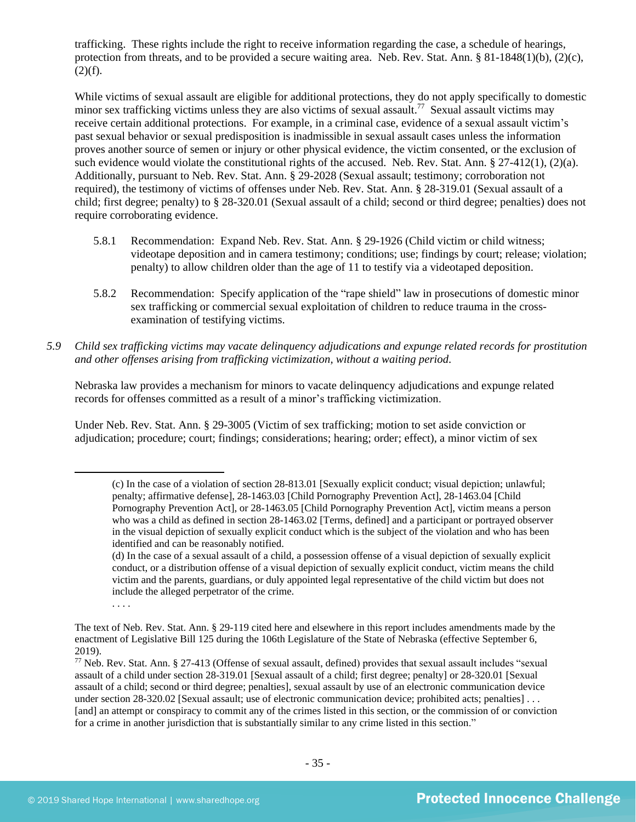trafficking. These rights include the right to receive information regarding the case, a schedule of hearings, protection from threats, and to be provided a secure waiting area. Neb. Rev. Stat. Ann. § 81-1848(1)(b), (2)(c),  $(2)(f)$ .

While victims of sexual assault are eligible for additional protections, they do not apply specifically to domestic minor sex trafficking victims unless they are also victims of sexual assault.<sup>77</sup> Sexual assault victims may receive certain additional protections. For example, in a criminal case, evidence of a sexual assault victim's past sexual behavior or sexual predisposition is inadmissible in sexual assault cases unless the information proves another source of semen or injury or other physical evidence, the victim consented, or the exclusion of such evidence would violate the constitutional rights of the accused. Neb. Rev. Stat. Ann. § 27-412(1), (2)(a). Additionally, pursuant to Neb. Rev. Stat. Ann. § 29-2028 (Sexual assault; testimony; corroboration not required), the testimony of victims of offenses under Neb. Rev. Stat. Ann. § 28-319.01 (Sexual assault of a child; first degree; penalty) to § 28-320.01 (Sexual assault of a child; second or third degree; penalties) does not require corroborating evidence.

- 5.8.1 Recommendation: Expand Neb. Rev. Stat. Ann. § 29-1926 (Child victim or child witness; videotape deposition and in camera testimony; conditions; use; findings by court; release; violation; penalty) to allow children older than the age of 11 to testify via a videotaped deposition.
- 5.8.2 Recommendation: Specify application of the "rape shield" law in prosecutions of domestic minor sex trafficking or commercial sexual exploitation of children to reduce trauma in the crossexamination of testifying victims.
- *5.9 Child sex trafficking victims may vacate delinquency adjudications and expunge related records for prostitution and other offenses arising from trafficking victimization, without a waiting period.*

Nebraska law provides a mechanism for minors to vacate delinquency adjudications and expunge related records for offenses committed as a result of a minor's trafficking victimization.

Under Neb. Rev. Stat. Ann. § 29-3005 (Victim of sex trafficking; motion to set aside conviction or adjudication; procedure; court; findings; considerations; hearing; order; effect), a minor victim of sex

<sup>(</sup>c) In the case of a violation of section 28-813.01 [Sexually explicit conduct; visual depiction; unlawful; penalty; affirmative defense], 28-1463.03 [Child Pornography Prevention Act], 28-1463.04 [Child Pornography Prevention Act], or 28-1463.05 [Child Pornography Prevention Act], victim means a person who was a child as defined in section 28-1463.02 [Terms, defined] and a participant or portrayed observer in the visual depiction of sexually explicit conduct which is the subject of the violation and who has been identified and can be reasonably notified.

<sup>(</sup>d) In the case of a sexual assault of a child, a possession offense of a visual depiction of sexually explicit conduct, or a distribution offense of a visual depiction of sexually explicit conduct, victim means the child victim and the parents, guardians, or duly appointed legal representative of the child victim but does not include the alleged perpetrator of the crime.

<sup>. . . .</sup>

The text of Neb. Rev. Stat. Ann. § 29-119 cited here and elsewhere in this report includes amendments made by the enactment of Legislative Bill 125 during the 106th Legislature of the State of Nebraska (effective September 6, 2019).

 $77$  Neb. Rev. Stat. Ann. § 27-413 (Offense of sexual assault, defined) provides that sexual assault includes "sexual assault of a child under section 28-319.01 [Sexual assault of a child; first degree; penalty] or 28-320.01 [Sexual assault of a child; second or third degree; penalties], sexual assault by use of an electronic communication device under section 28-320.02 [Sexual assault; use of electronic communication device; prohibited acts; penalties] . . . [and] an attempt or conspiracy to commit any of the crimes listed in this section, or the commission of or conviction for a crime in another jurisdiction that is substantially similar to any crime listed in this section."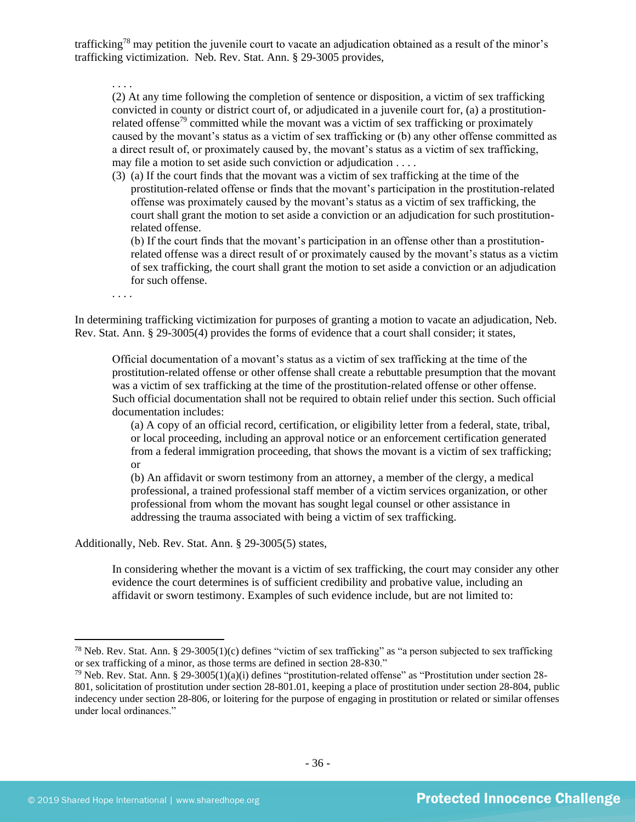trafficking<sup>78</sup> may petition the juvenile court to vacate an adjudication obtained as a result of the minor's trafficking victimization. Neb. Rev. Stat. Ann. § 29-3005 provides,

. . . .

(2) At any time following the completion of sentence or disposition, a victim of sex trafficking convicted in county or district court of, or adjudicated in a juvenile court for, (a) a prostitutionrelated offense<sup>79</sup> committed while the movant was a victim of sex trafficking or proximately caused by the movant's status as a victim of sex trafficking or (b) any other offense committed as a direct result of, or proximately caused by, the movant's status as a victim of sex trafficking, may file a motion to set aside such conviction or adjudication . . . .

(3) (a) If the court finds that the movant was a victim of sex trafficking at the time of the prostitution-related offense or finds that the movant's participation in the prostitution-related offense was proximately caused by the movant's status as a victim of sex trafficking, the court shall grant the motion to set aside a conviction or an adjudication for such prostitutionrelated offense.

(b) If the court finds that the movant's participation in an offense other than a prostitutionrelated offense was a direct result of or proximately caused by the movant's status as a victim of sex trafficking, the court shall grant the motion to set aside a conviction or an adjudication for such offense.

. . . .

In determining trafficking victimization for purposes of granting a motion to vacate an adjudication, Neb. Rev. Stat. Ann. § 29-3005(4) provides the forms of evidence that a court shall consider; it states,

Official documentation of a movant's status as a victim of sex trafficking at the time of the prostitution-related offense or other offense shall create a rebuttable presumption that the movant was a victim of sex trafficking at the time of the prostitution-related offense or other offense. Such official documentation shall not be required to obtain relief under this section. Such official documentation includes:

(a) A copy of an official record, certification, or eligibility letter from a federal, state, tribal, or local proceeding, including an approval notice or an enforcement certification generated from a federal immigration proceeding, that shows the movant is a victim of sex trafficking; or

(b) An affidavit or sworn testimony from an attorney, a member of the clergy, a medical professional, a trained professional staff member of a victim services organization, or other professional from whom the movant has sought legal counsel or other assistance in addressing the trauma associated with being a victim of sex trafficking.

Additionally, Neb. Rev. Stat. Ann. § 29-3005(5) states,

In considering whether the movant is a victim of sex trafficking, the court may consider any other evidence the court determines is of sufficient credibility and probative value, including an affidavit or sworn testimony. Examples of such evidence include, but are not limited to:

<sup>&</sup>lt;sup>78</sup> Neb. Rev. Stat. Ann. § 29-3005(1)(c) defines "victim of sex trafficking" as "a person subjected to sex trafficking or sex trafficking of a minor, as those terms are defined in section 28-830."

<sup>&</sup>lt;sup>79</sup> Neb. Rev. Stat. Ann. § 29-3005(1)(a)(i) defines "prostitution-related offense" as "Prostitution under section 28-801, solicitation of prostitution under section 28-801.01, keeping a place of prostitution under section 28-804, public indecency under section 28-806, or loitering for the purpose of engaging in prostitution or related or similar offenses under local ordinances."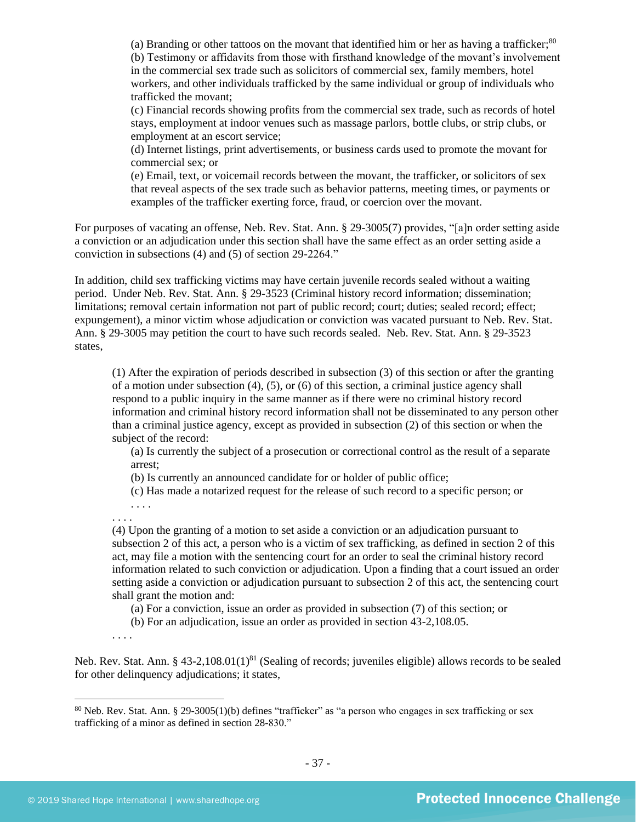(a) Branding or other tattoos on the movant that identified him or her as having a trafficker; $80$ (b) Testimony or affidavits from those with firsthand knowledge of the movant's involvement in the commercial sex trade such as solicitors of commercial sex, family members, hotel workers, and other individuals trafficked by the same individual or group of individuals who trafficked the movant;

(c) Financial records showing profits from the commercial sex trade, such as records of hotel stays, employment at indoor venues such as massage parlors, bottle clubs, or strip clubs, or employment at an escort service;

(d) Internet listings, print advertisements, or business cards used to promote the movant for commercial sex; or

(e) Email, text, or voicemail records between the movant, the trafficker, or solicitors of sex that reveal aspects of the sex trade such as behavior patterns, meeting times, or payments or examples of the trafficker exerting force, fraud, or coercion over the movant.

For purposes of vacating an offense, Neb. Rev. Stat. Ann. § 29-3005(7) provides, "[a]n order setting aside a conviction or an adjudication under this section shall have the same effect as an order setting aside a conviction in subsections (4) and (5) of section 29-2264."

In addition, child sex trafficking victims may have certain juvenile records sealed without a waiting period. Under Neb. Rev. Stat. Ann. § 29-3523 (Criminal history record information; dissemination; limitations; removal certain information not part of public record; court; duties; sealed record; effect; expungement), a minor victim whose adjudication or conviction was vacated pursuant to Neb. Rev. Stat. Ann. § 29-3005 may petition the court to have such records sealed. Neb. Rev. Stat. Ann. § 29-3523 states,

(1) After the expiration of periods described in subsection (3) of this section or after the granting of a motion under subsection  $(4)$ ,  $(5)$ , or  $(6)$  of this section, a criminal justice agency shall respond to a public inquiry in the same manner as if there were no criminal history record information and criminal history record information shall not be disseminated to any person other than a criminal justice agency, except as provided in subsection (2) of this section or when the subject of the record:

(a) Is currently the subject of a prosecution or correctional control as the result of a separate arrest;

(b) Is currently an announced candidate for or holder of public office;

(c) Has made a notarized request for the release of such record to a specific person; or

. . . . . . . .

(4) Upon the granting of a motion to set aside a conviction or an adjudication pursuant to subsection 2 of this act, a person who is a victim of sex trafficking, as defined in section 2 of this act, may file a motion with the sentencing court for an order to seal the criminal history record information related to such conviction or adjudication. Upon a finding that a court issued an order setting aside a conviction or adjudication pursuant to subsection 2 of this act, the sentencing court shall grant the motion and:

(a) For a conviction, issue an order as provided in subsection (7) of this section; or

(b) For an adjudication, issue an order as provided in section 43-2,108.05.

. . . .

Neb. Rev. Stat. Ann. § 43-2,108.01(1)<sup>81</sup> (Sealing of records; juveniles eligible) allows records to be sealed for other delinquency adjudications; it states,

<sup>80</sup> Neb. Rev. Stat. Ann. § 29-3005(1)(b) defines "trafficker" as "a person who engages in sex trafficking or sex trafficking of a minor as defined in section 28-830."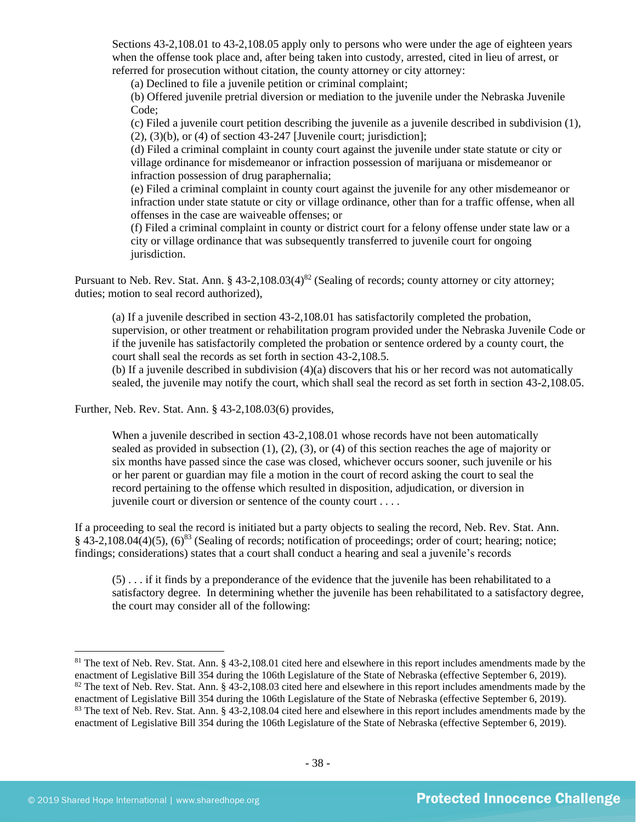Sections 43-2,108.01 to 43-2,108.05 apply only to persons who were under the age of eighteen years when the offense took place and, after being taken into custody, arrested, cited in lieu of arrest, or referred for prosecution without citation, the county attorney or city attorney:

(a) Declined to file a juvenile petition or criminal complaint;

(b) Offered juvenile pretrial diversion or mediation to the juvenile under the Nebraska Juvenile Code;

(c) Filed a juvenile court petition describing the juvenile as a juvenile described in subdivision (1),  $(2)$ ,  $(3)(b)$ , or  $(4)$  of section 43-247 [Juvenile court; jurisdiction];

(d) Filed a criminal complaint in county court against the juvenile under state statute or city or village ordinance for misdemeanor or infraction possession of marijuana or misdemeanor or infraction possession of drug paraphernalia;

(e) Filed a criminal complaint in county court against the juvenile for any other misdemeanor or infraction under state statute or city or village ordinance, other than for a traffic offense, when all offenses in the case are waiveable offenses; or

(f) Filed a criminal complaint in county or district court for a felony offense under state law or a city or village ordinance that was subsequently transferred to juvenile court for ongoing jurisdiction.

Pursuant to Neb. Rev. Stat. Ann. § 43-2,108.03(4)<sup>82</sup> (Sealing of records; county attorney or city attorney; duties; motion to seal record authorized),

(a) If a juvenile described in section 43-2,108.01 has satisfactorily completed the probation, supervision, or other treatment or rehabilitation program provided under the Nebraska Juvenile Code or if the juvenile has satisfactorily completed the probation or sentence ordered by a county court, the court shall seal the records as set forth in section 43-2,108.5.

(b) If a juvenile described in subdivision (4)(a) discovers that his or her record was not automatically sealed, the juvenile may notify the court, which shall seal the record as set forth in section 43-2,108.05.

Further, Neb. Rev. Stat. Ann. § 43-2,108.03(6) provides,

When a juvenile described in section 43-2,108.01 whose records have not been automatically sealed as provided in subsection  $(1)$ ,  $(2)$ ,  $(3)$ , or  $(4)$  of this section reaches the age of majority or six months have passed since the case was closed, whichever occurs sooner, such juvenile or his or her parent or guardian may file a motion in the court of record asking the court to seal the record pertaining to the offense which resulted in disposition, adjudication, or diversion in juvenile court or diversion or sentence of the county court . . . .

If a proceeding to seal the record is initiated but a party objects to sealing the record, Neb. Rev. Stat. Ann.  $§$  43-2,108.04(4)(5), (6)<sup>83</sup> (Sealing of records; notification of proceedings; order of court; hearing; notice; findings; considerations) states that a court shall conduct a hearing and seal a juvenile's records

(5) . . . if it finds by a preponderance of the evidence that the juvenile has been rehabilitated to a satisfactory degree. In determining whether the juvenile has been rehabilitated to a satisfactory degree, the court may consider all of the following:

 $81$  The text of Neb. Rev. Stat. Ann. § 43-2,108.01 cited here and elsewhere in this report includes amendments made by the enactment of Legislative Bill 354 during the 106th Legislature of the State of Nebraska (effective September 6, 2019). <sup>82</sup> The text of Neb. Rev. Stat. Ann. § 43-2,108.03 cited here and elsewhere in this report includes amendments made by the enactment of Legislative Bill 354 during the 106th Legislature of the State of Nebraska (effective September 6, 2019). <sup>83</sup> The text of Neb. Rev. Stat. Ann. § 43-2,108.04 cited here and elsewhere in this report includes amendments made by the enactment of Legislative Bill 354 during the 106th Legislature of the State of Nebraska (effective September 6, 2019).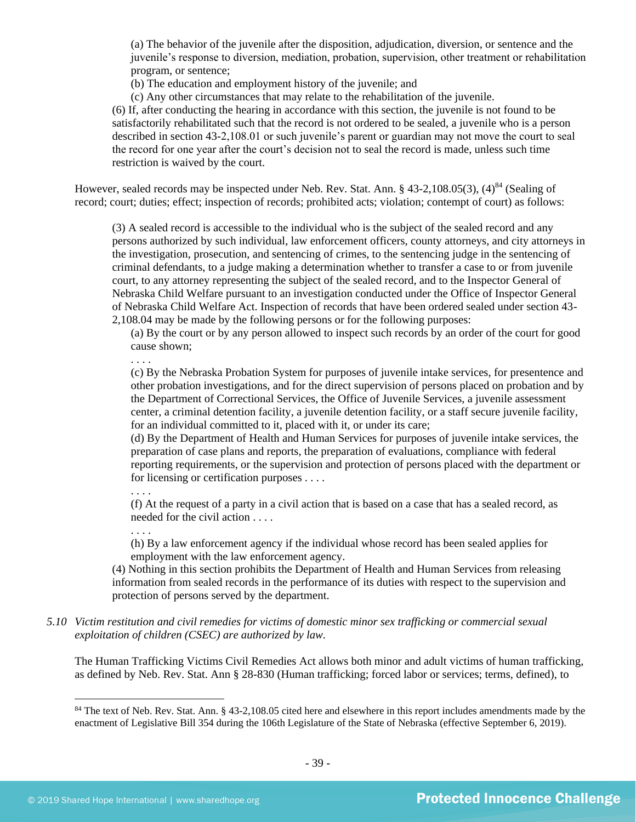(a) The behavior of the juvenile after the disposition, adjudication, diversion, or sentence and the juvenile's response to diversion, mediation, probation, supervision, other treatment or rehabilitation program, or sentence;

(b) The education and employment history of the juvenile; and

(c) Any other circumstances that may relate to the rehabilitation of the juvenile.

(6) If, after conducting the hearing in accordance with this section, the juvenile is not found to be satisfactorily rehabilitated such that the record is not ordered to be sealed, a juvenile who is a person described in section 43-2,108.01 or such juvenile's parent or guardian may not move the court to seal the record for one year after the court's decision not to seal the record is made, unless such time restriction is waived by the court.

However, sealed records may be inspected under Neb. Rev. Stat. Ann. § 43-2,108.05(3),  $(4)^{84}$  (Sealing of record; court; duties; effect; inspection of records; prohibited acts; violation; contempt of court) as follows:

(3) A sealed record is accessible to the individual who is the subject of the sealed record and any persons authorized by such individual, law enforcement officers, county attorneys, and city attorneys in the investigation, prosecution, and sentencing of crimes, to the sentencing judge in the sentencing of criminal defendants, to a judge making a determination whether to transfer a case to or from juvenile court, to any attorney representing the subject of the sealed record, and to the Inspector General of Nebraska Child Welfare pursuant to an investigation conducted under the Office of Inspector General of Nebraska Child Welfare Act. Inspection of records that have been ordered sealed under section 43- 2,108.04 may be made by the following persons or for the following purposes:

(a) By the court or by any person allowed to inspect such records by an order of the court for good cause shown;

. . . .

(c) By the Nebraska Probation System for purposes of juvenile intake services, for presentence and other probation investigations, and for the direct supervision of persons placed on probation and by the Department of Correctional Services, the Office of Juvenile Services, a juvenile assessment center, a criminal detention facility, a juvenile detention facility, or a staff secure juvenile facility, for an individual committed to it, placed with it, or under its care;

(d) By the Department of Health and Human Services for purposes of juvenile intake services, the preparation of case plans and reports, the preparation of evaluations, compliance with federal reporting requirements, or the supervision and protection of persons placed with the department or for licensing or certification purposes . . . .

. . . .

(f) At the request of a party in a civil action that is based on a case that has a sealed record, as needed for the civil action . . . .

. . . .

(h) By a law enforcement agency if the individual whose record has been sealed applies for employment with the law enforcement agency.

(4) Nothing in this section prohibits the Department of Health and Human Services from releasing information from sealed records in the performance of its duties with respect to the supervision and protection of persons served by the department.

*5.10 Victim restitution and civil remedies for victims of domestic minor sex trafficking or commercial sexual exploitation of children (CSEC) are authorized by law.* 

The Human Trafficking Victims Civil Remedies Act allows both minor and adult victims of human trafficking, as defined by Neb. Rev. Stat. Ann § 28-830 (Human trafficking; forced labor or services; terms, defined), to

<sup>&</sup>lt;sup>84</sup> The text of Neb. Rev. Stat. Ann. § 43-2,108.05 cited here and elsewhere in this report includes amendments made by the enactment of Legislative Bill 354 during the 106th Legislature of the State of Nebraska (effective September 6, 2019).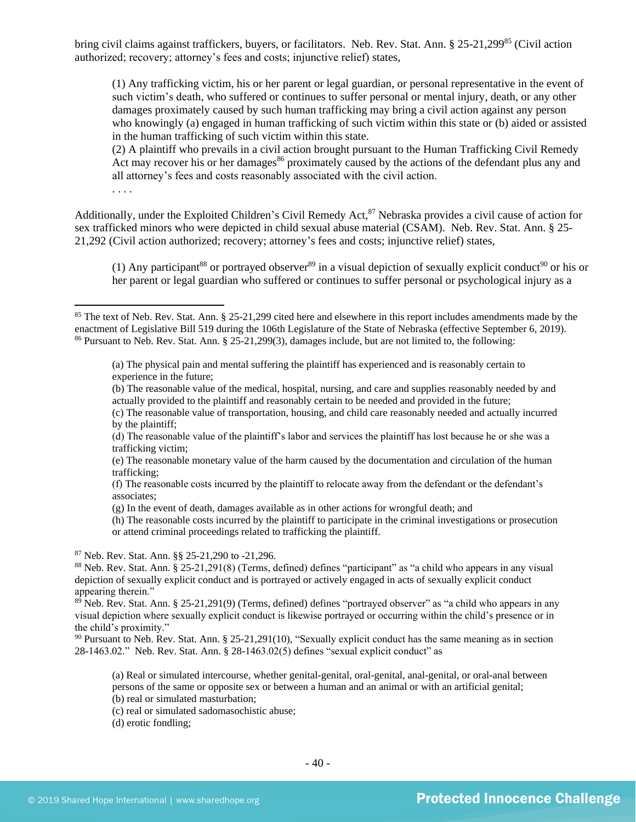bring civil claims against traffickers, buyers, or facilitators. Neb. Rev. Stat. Ann. § 25-21,299<sup>85</sup> (Civil action authorized; recovery; attorney's fees and costs; injunctive relief) states,

(1) Any trafficking victim, his or her parent or legal guardian, or personal representative in the event of such victim's death, who suffered or continues to suffer personal or mental injury, death, or any other damages proximately caused by such human trafficking may bring a civil action against any person who knowingly (a) engaged in human trafficking of such victim within this state or (b) aided or assisted in the human trafficking of such victim within this state.

(2) A plaintiff who prevails in a civil action brought pursuant to the Human Trafficking Civil Remedy Act may recover his or her damages<sup>86</sup> proximately caused by the actions of the defendant plus any and all attorney's fees and costs reasonably associated with the civil action.

. . . .

Additionally, under the Exploited Children's Civil Remedy Act,<sup>87</sup> Nebraska provides a civil cause of action for sex trafficked minors who were depicted in child sexual abuse material (CSAM). Neb. Rev. Stat. Ann. § 25- 21,292 (Civil action authorized; recovery; attorney's fees and costs; injunctive relief) states,

(1) Any participant<sup>88</sup> or portrayed observer<sup>89</sup> in a visual depiction of sexually explicit conduct<sup>90</sup> or his or her parent or legal guardian who suffered or continues to suffer personal or psychological injury as a

(a) The physical pain and mental suffering the plaintiff has experienced and is reasonably certain to experience in the future;

(b) The reasonable value of the medical, hospital, nursing, and care and supplies reasonably needed by and actually provided to the plaintiff and reasonably certain to be needed and provided in the future;

- (c) The reasonable value of transportation, housing, and child care reasonably needed and actually incurred by the plaintiff;
- (d) The reasonable value of the plaintiff's labor and services the plaintiff has lost because he or she was a trafficking victim;
- (e) The reasonable monetary value of the harm caused by the documentation and circulation of the human trafficking;

(g) In the event of death, damages available as in other actions for wrongful death; and

(h) The reasonable costs incurred by the plaintiff to participate in the criminal investigations or prosecution or attend criminal proceedings related to trafficking the plaintiff.

<sup>87</sup> Neb. Rev. Stat. Ann. §§ 25-21,290 to -21,296.

<sup>88</sup> Neb. Rev. Stat. Ann. § 25-21,291(8) (Terms, defined) defines "participant" as "a child who appears in any visual depiction of sexually explicit conduct and is portrayed or actively engaged in acts of sexually explicit conduct appearing therein."

<sup>89</sup> Neb. Rev. Stat. Ann. § 25-21,291(9) (Terms, defined) defines "portrayed observer" as "a child who appears in any visual depiction where sexually explicit conduct is likewise portrayed or occurring within the child's presence or in the child's proximity."

<sup>90</sup> Pursuant to Neb. Rev. Stat. Ann. § 25-21,291(10), "Sexually explicit conduct has the same meaning as in section 28-1463.02." Neb. Rev. Stat. Ann. § 28-1463.02(5) defines "sexual explicit conduct" as

(a) Real or simulated intercourse, whether genital-genital, oral-genital, anal-genital, or oral-anal between persons of the same or opposite sex or between a human and an animal or with an artificial genital; (b) real or simulated masturbation;

(c) real or simulated sadomasochistic abuse;

(d) erotic fondling;

 $85$  The text of Neb. Rev. Stat. Ann. § 25-21,299 cited here and elsewhere in this report includes amendments made by the enactment of Legislative Bill 519 during the 106th Legislature of the State of Nebraska (effective September 6, 2019). <sup>86</sup> Pursuant to Neb. Rev. Stat. Ann. § 25-21,299(3), damages include, but are not limited to, the following:

<sup>(</sup>f) The reasonable costs incurred by the plaintiff to relocate away from the defendant or the defendant's associates;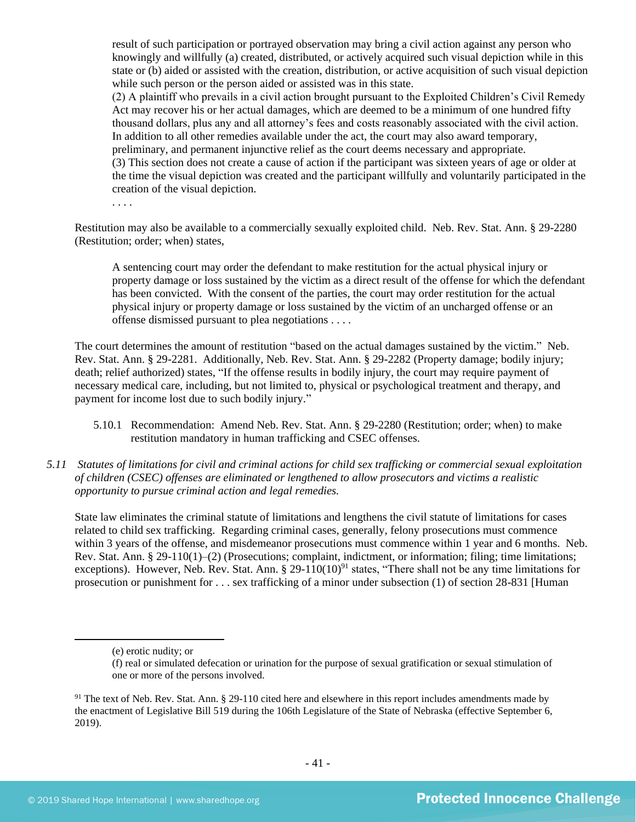result of such participation or portrayed observation may bring a civil action against any person who knowingly and willfully (a) created, distributed, or actively acquired such visual depiction while in this state or (b) aided or assisted with the creation, distribution, or active acquisition of such visual depiction while such person or the person aided or assisted was in this state.

(2) A plaintiff who prevails in a civil action brought pursuant to the Exploited Children's Civil Remedy Act may recover his or her actual damages, which are deemed to be a minimum of one hundred fifty thousand dollars, plus any and all attorney's fees and costs reasonably associated with the civil action. In addition to all other remedies available under the act, the court may also award temporary, preliminary, and permanent injunctive relief as the court deems necessary and appropriate. (3) This section does not create a cause of action if the participant was sixteen years of age or older at the time the visual depiction was created and the participant willfully and voluntarily participated in the creation of the visual depiction.

Restitution may also be available to a commercially sexually exploited child. Neb. Rev. Stat. Ann. § 29-2280 (Restitution; order; when) states,

A sentencing court may order the defendant to make restitution for the actual physical injury or property damage or loss sustained by the victim as a direct result of the offense for which the defendant has been convicted. With the consent of the parties, the court may order restitution for the actual physical injury or property damage or loss sustained by the victim of an uncharged offense or an offense dismissed pursuant to plea negotiations . . . .

The court determines the amount of restitution "based on the actual damages sustained by the victim." Neb. Rev. Stat. Ann. § 29-2281. Additionally, Neb. Rev. Stat. Ann. § 29-2282 (Property damage; bodily injury; death; relief authorized) states, "If the offense results in bodily injury, the court may require payment of necessary medical care, including, but not limited to, physical or psychological treatment and therapy, and payment for income lost due to such bodily injury."

- 5.10.1 Recommendation: Amend Neb. Rev. Stat. Ann. § 29-2280 (Restitution; order; when) to make restitution mandatory in human trafficking and CSEC offenses.
- *5.11 Statutes of limitations for civil and criminal actions for child sex trafficking or commercial sexual exploitation of children (CSEC) offenses are eliminated or lengthened to allow prosecutors and victims a realistic opportunity to pursue criminal action and legal remedies.*

State law eliminates the criminal statute of limitations and lengthens the civil statute of limitations for cases related to child sex trafficking. Regarding criminal cases, generally, felony prosecutions must commence within 3 years of the offense, and misdemeanor prosecutions must commence within 1 year and 6 months. Neb. Rev. Stat. Ann. § 29-110(1)–(2) (Prosecutions; complaint, indictment, or information; filing; time limitations; exceptions). However, Neb. Rev. Stat. Ann. § 29-110(10)<sup>91</sup> states, "There shall not be any time limitations for prosecution or punishment for . . . sex trafficking of a minor under subsection (1) of section 28-831 [Human

<sup>(</sup>e) erotic nudity; or

<sup>(</sup>f) real or simulated defecation or urination for the purpose of sexual gratification or sexual stimulation of one or more of the persons involved.

 $91$  The text of Neb. Rev. Stat. Ann. § 29-110 cited here and elsewhere in this report includes amendments made by the enactment of Legislative Bill 519 during the 106th Legislature of the State of Nebraska (effective September 6, 2019).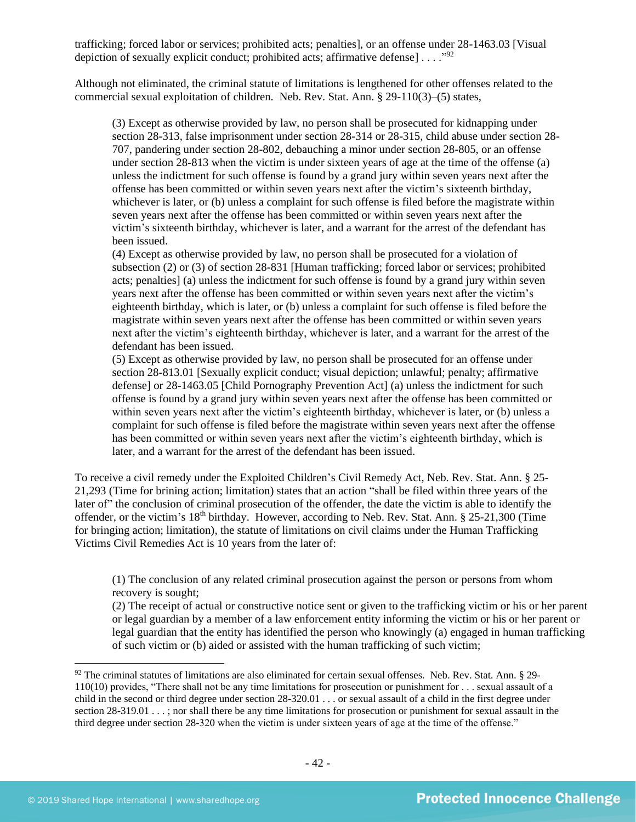trafficking; forced labor or services; prohibited acts; penalties], or an offense under 28-1463.03 [Visual depiction of sexually explicit conduct; prohibited acts; affirmative defense] . . . . "<sup>92</sup>

Although not eliminated, the criminal statute of limitations is lengthened for other offenses related to the commercial sexual exploitation of children. Neb. Rev. Stat. Ann. § 29-110(3)–(5) states,

(3) Except as otherwise provided by law, no person shall be prosecuted for kidnapping under section 28-313, false imprisonment under section 28-314 or 28-315, child abuse under section 28- 707, pandering under section 28-802, debauching a minor under section 28-805, or an offense under section 28-813 when the victim is under sixteen years of age at the time of the offense (a) unless the indictment for such offense is found by a grand jury within seven years next after the offense has been committed or within seven years next after the victim's sixteenth birthday, whichever is later, or (b) unless a complaint for such offense is filed before the magistrate within seven years next after the offense has been committed or within seven years next after the victim's sixteenth birthday, whichever is later, and a warrant for the arrest of the defendant has been issued.

(4) Except as otherwise provided by law, no person shall be prosecuted for a violation of subsection (2) or (3) of section 28-831 [Human trafficking; forced labor or services; prohibited acts; penalties] (a) unless the indictment for such offense is found by a grand jury within seven years next after the offense has been committed or within seven years next after the victim's eighteenth birthday, which is later, or (b) unless a complaint for such offense is filed before the magistrate within seven years next after the offense has been committed or within seven years next after the victim's eighteenth birthday, whichever is later, and a warrant for the arrest of the defendant has been issued.

(5) Except as otherwise provided by law, no person shall be prosecuted for an offense under section 28-813.01 [Sexually explicit conduct; visual depiction; unlawful; penalty; affirmative defense] or 28-1463.05 [Child Pornography Prevention Act] (a) unless the indictment for such offense is found by a grand jury within seven years next after the offense has been committed or within seven years next after the victim's eighteenth birthday, whichever is later, or (b) unless a complaint for such offense is filed before the magistrate within seven years next after the offense has been committed or within seven years next after the victim's eighteenth birthday, which is later, and a warrant for the arrest of the defendant has been issued.

To receive a civil remedy under the Exploited Children's Civil Remedy Act, Neb. Rev. Stat. Ann. § 25- 21,293 (Time for brining action; limitation) states that an action "shall be filed within three years of the later of" the conclusion of criminal prosecution of the offender, the date the victim is able to identify the offender, or the victim's 18<sup>th</sup> birthday. However, according to Neb. Rev. Stat. Ann. § 25-21,300 (Time for bringing action; limitation), the statute of limitations on civil claims under the Human Trafficking Victims Civil Remedies Act is 10 years from the later of:

(1) The conclusion of any related criminal prosecution against the person or persons from whom recovery is sought;

(2) The receipt of actual or constructive notice sent or given to the trafficking victim or his or her parent or legal guardian by a member of a law enforcement entity informing the victim or his or her parent or legal guardian that the entity has identified the person who knowingly (a) engaged in human trafficking of such victim or (b) aided or assisted with the human trafficking of such victim;

 $92$  The criminal statutes of limitations are also eliminated for certain sexual offenses. Neb. Rev. Stat. Ann. § 29-110(10) provides, "There shall not be any time limitations for prosecution or punishment for . . . sexual assault of a child in the second or third degree under section 28-320.01 . . . or sexual assault of a child in the first degree under section 28-319.01 . . . ; nor shall there be any time limitations for prosecution or punishment for sexual assault in the third degree under section 28-320 when the victim is under sixteen years of age at the time of the offense."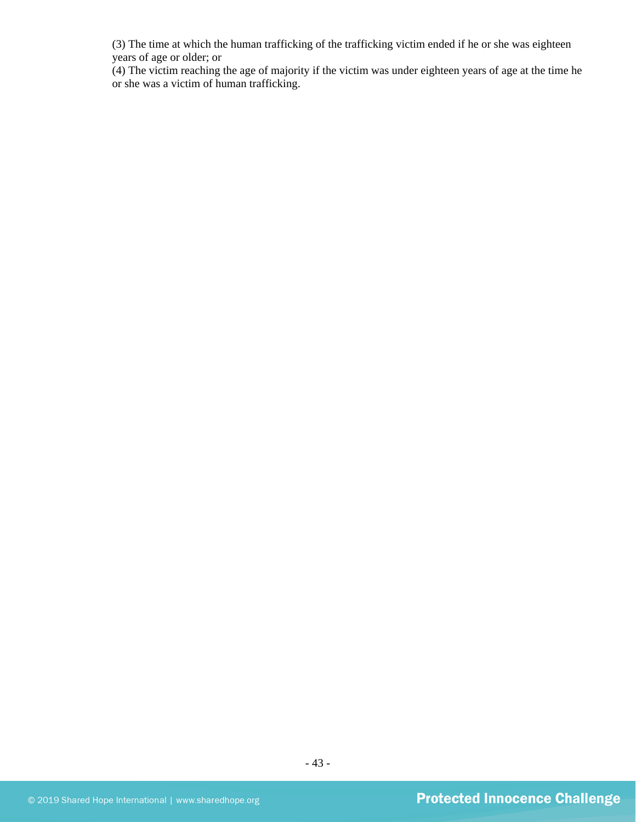(3) The time at which the human trafficking of the trafficking victim ended if he or she was eighteen years of age or older; or

(4) The victim reaching the age of majority if the victim was under eighteen years of age at the time he or she was a victim of human trafficking.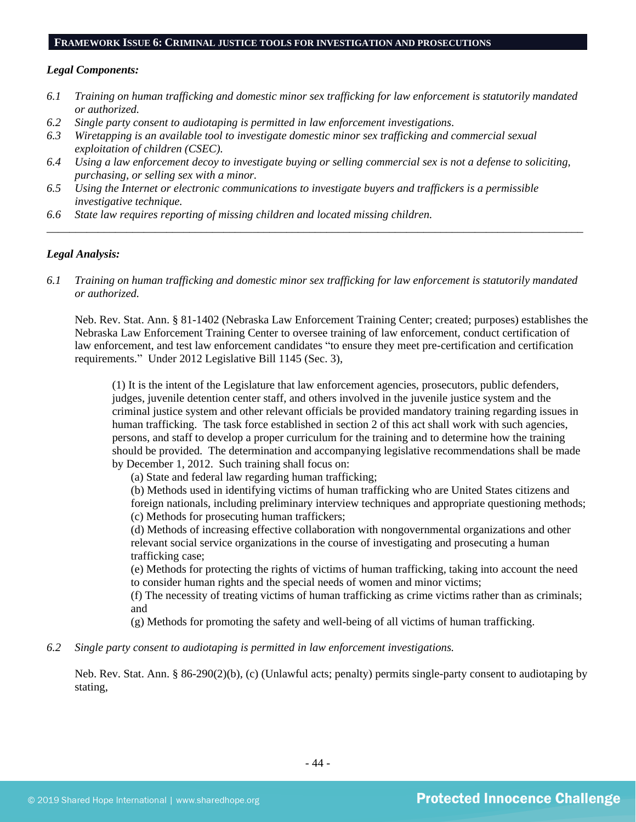#### **FRAMEWORK ISSUE 6: CRIMINAL JUSTICE TOOLS FOR INVESTIGATION AND PROSECUTIONS**

#### *Legal Components:*

- *6.1 Training on human trafficking and domestic minor sex trafficking for law enforcement is statutorily mandated or authorized.*
- *6.2 Single party consent to audiotaping is permitted in law enforcement investigations.*
- *6.3 Wiretapping is an available tool to investigate domestic minor sex trafficking and commercial sexual exploitation of children (CSEC).*
- *6.4 Using a law enforcement decoy to investigate buying or selling commercial sex is not a defense to soliciting, purchasing, or selling sex with a minor.*
- *6.5 Using the Internet or electronic communications to investigate buyers and traffickers is a permissible investigative technique.*
- *6.6 State law requires reporting of missing children and located missing children.*

## *Legal Analysis:*

*6.1 Training on human trafficking and domestic minor sex trafficking for law enforcement is statutorily mandated or authorized.*

*\_\_\_\_\_\_\_\_\_\_\_\_\_\_\_\_\_\_\_\_\_\_\_\_\_\_\_\_\_\_\_\_\_\_\_\_\_\_\_\_\_\_\_\_\_\_\_\_\_\_\_\_\_\_\_\_\_\_\_\_\_\_\_\_\_\_\_\_\_\_\_\_\_\_\_\_\_\_\_\_\_\_\_\_\_\_\_\_\_\_\_\_\_\_*

Neb. Rev. Stat. Ann. § 81-1402 (Nebraska Law Enforcement Training Center; created; purposes) establishes the Nebraska Law Enforcement Training Center to oversee training of law enforcement, conduct certification of law enforcement, and test law enforcement candidates "to ensure they meet pre-certification and certification requirements." Under 2012 Legislative Bill 1145 (Sec. 3),

(1) It is the intent of the Legislature that law enforcement agencies, prosecutors, public defenders, judges, juvenile detention center staff, and others involved in the juvenile justice system and the criminal justice system and other relevant officials be provided mandatory training regarding issues in human trafficking. The task force established in section 2 of this act shall work with such agencies, persons, and staff to develop a proper curriculum for the training and to determine how the training should be provided. The determination and accompanying legislative recommendations shall be made by December 1, 2012. Such training shall focus on:

(a) State and federal law regarding human trafficking;

(b) Methods used in identifying victims of human trafficking who are United States citizens and foreign nationals, including preliminary interview techniques and appropriate questioning methods; (c) Methods for prosecuting human traffickers;

(d) Methods of increasing effective collaboration with nongovernmental organizations and other relevant social service organizations in the course of investigating and prosecuting a human trafficking case;

(e) Methods for protecting the rights of victims of human trafficking, taking into account the need to consider human rights and the special needs of women and minor victims;

(f) The necessity of treating victims of human trafficking as crime victims rather than as criminals; and

(g) Methods for promoting the safety and well-being of all victims of human trafficking.

*6.2 Single party consent to audiotaping is permitted in law enforcement investigations.*

Neb. Rev. Stat. Ann. § 86-290(2)(b), (c) (Unlawful acts; penalty) permits single-party consent to audiotaping by stating,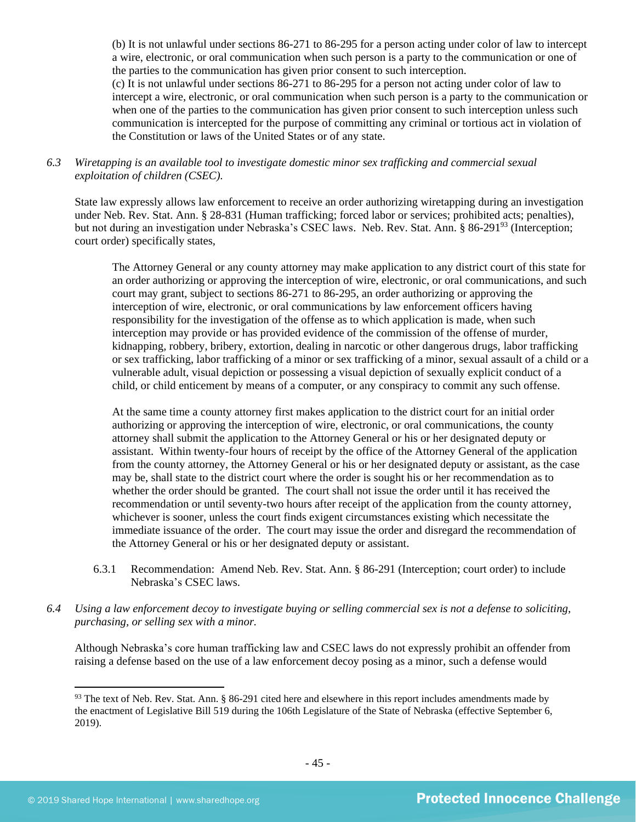(b) It is not unlawful under sections 86-271 to 86-295 for a person acting under color of law to intercept a wire, electronic, or oral communication when such person is a party to the communication or one of the parties to the communication has given prior consent to such interception.

(c) It is not unlawful under sections 86-271 to 86-295 for a person not acting under color of law to intercept a wire, electronic, or oral communication when such person is a party to the communication or when one of the parties to the communication has given prior consent to such interception unless such communication is intercepted for the purpose of committing any criminal or tortious act in violation of the Constitution or laws of the United States or of any state.

## *6.3 Wiretapping is an available tool to investigate domestic minor sex trafficking and commercial sexual exploitation of children (CSEC).*

State law expressly allows law enforcement to receive an order authorizing wiretapping during an investigation under Neb. Rev. Stat. Ann. § 28-831 (Human trafficking; forced labor or services; prohibited acts; penalties), but not during an investigation under Nebraska's CSEC laws. Neb. Rev. Stat. Ann. § 86-291<sup>93</sup> (Interception; court order) specifically states,

The Attorney General or any county attorney may make application to any district court of this state for an order authorizing or approving the interception of wire, electronic, or oral communications, and such court may grant, subject to sections 86-271 to 86-295, an order authorizing or approving the interception of wire, electronic, or oral communications by law enforcement officers having responsibility for the investigation of the offense as to which application is made, when such interception may provide or has provided evidence of the commission of the offense of murder, kidnapping, robbery, bribery, extortion, dealing in narcotic or other dangerous drugs, labor trafficking or sex trafficking, labor trafficking of a minor or sex trafficking of a minor, sexual assault of a child or a vulnerable adult, visual depiction or possessing a visual depiction of sexually explicit conduct of a child, or child enticement by means of a computer, or any conspiracy to commit any such offense.

At the same time a county attorney first makes application to the district court for an initial order authorizing or approving the interception of wire, electronic, or oral communications, the county attorney shall submit the application to the Attorney General or his or her designated deputy or assistant. Within twenty-four hours of receipt by the office of the Attorney General of the application from the county attorney, the Attorney General or his or her designated deputy or assistant, as the case may be, shall state to the district court where the order is sought his or her recommendation as to whether the order should be granted. The court shall not issue the order until it has received the recommendation or until seventy-two hours after receipt of the application from the county attorney, whichever is sooner, unless the court finds exigent circumstances existing which necessitate the immediate issuance of the order. The court may issue the order and disregard the recommendation of the Attorney General or his or her designated deputy or assistant.

- 6.3.1 Recommendation: Amend Neb. Rev. Stat. Ann. § 86-291 (Interception; court order) to include Nebraska's CSEC laws.
- *6.4 Using a law enforcement decoy to investigate buying or selling commercial sex is not a defense to soliciting, purchasing, or selling sex with a minor.*

Although Nebraska's core human trafficking law and CSEC laws do not expressly prohibit an offender from raising a defense based on the use of a law enforcement decoy posing as a minor, such a defense would

 $93$  The text of Neb. Rev. Stat. Ann. § 86-291 cited here and elsewhere in this report includes amendments made by the enactment of Legislative Bill 519 during the 106th Legislature of the State of Nebraska (effective September 6, 2019).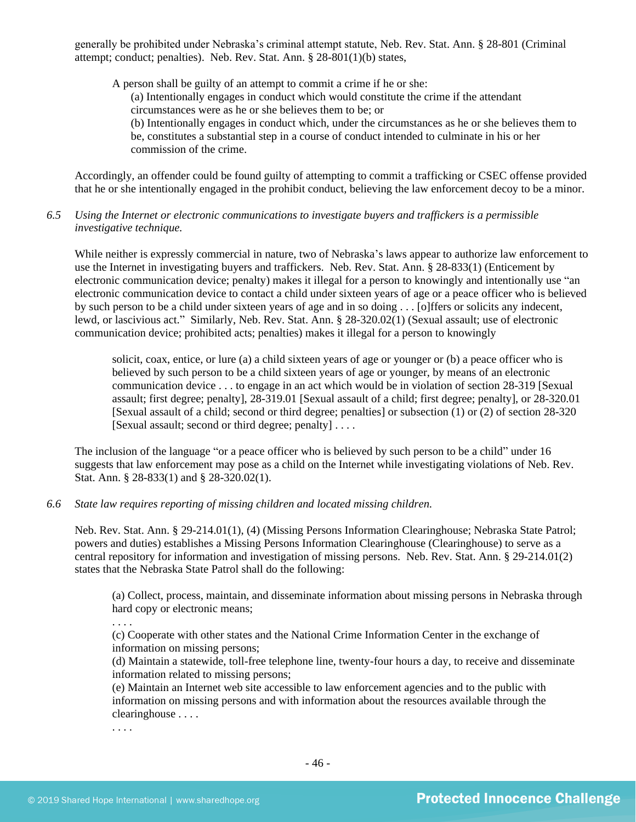generally be prohibited under Nebraska's criminal attempt statute, Neb. Rev. Stat. Ann. § 28-801 (Criminal attempt; conduct; penalties). Neb. Rev. Stat. Ann. § 28-801(1)(b) states,

A person shall be guilty of an attempt to commit a crime if he or she:

(a) Intentionally engages in conduct which would constitute the crime if the attendant circumstances were as he or she believes them to be; or

(b) Intentionally engages in conduct which, under the circumstances as he or she believes them to be, constitutes a substantial step in a course of conduct intended to culminate in his or her commission of the crime.

Accordingly, an offender could be found guilty of attempting to commit a trafficking or CSEC offense provided that he or she intentionally engaged in the prohibit conduct, believing the law enforcement decoy to be a minor.

## *6.5 Using the Internet or electronic communications to investigate buyers and traffickers is a permissible investigative technique.*

While neither is expressly commercial in nature, two of Nebraska's laws appear to authorize law enforcement to use the Internet in investigating buyers and traffickers. Neb. Rev. Stat. Ann. § 28-833(1) (Enticement by electronic communication device; penalty) makes it illegal for a person to knowingly and intentionally use "an electronic communication device to contact a child under sixteen years of age or a peace officer who is believed by such person to be a child under sixteen years of age and in so doing . . . [o]ffers or solicits any indecent, lewd, or lascivious act." Similarly, Neb. Rev. Stat. Ann. § 28-320.02(1) (Sexual assault; use of electronic communication device; prohibited acts; penalties) makes it illegal for a person to knowingly

solicit, coax, entice, or lure (a) a child sixteen years of age or younger or (b) a peace officer who is believed by such person to be a child sixteen years of age or younger, by means of an electronic communication device . . . to engage in an act which would be in violation of section [28-319](http://nebraskalegislature.gov/laws/statutes.php?statute=28-319) [Sexual assault; first degree; penalty], [28-319.01](http://nebraskalegislature.gov/laws/statutes.php?statute=28-319.01) [Sexual assault of a child; first degree; penalty], or [28-320.01](http://nebraskalegislature.gov/laws/statutes.php?statute=28-320.01) [Sexual assault of a child; second or third degree; penalties] or subsection (1) or (2) of section [28-320](http://nebraskalegislature.gov/laws/statutes.php?statute=28-320) [Sexual assault; second or third degree; penalty] . . . .

The inclusion of the language "or a peace officer who is believed by such person to be a child" under 16 suggests that law enforcement may pose as a child on the Internet while investigating violations of Neb. Rev. Stat. Ann. § 28-833(1) and § 28-320.02(1).

#### *6.6 State law requires reporting of missing children and located missing children.*

Neb. Rev. Stat. Ann. § 29-214.01(1), (4) (Missing Persons Information Clearinghouse; Nebraska State Patrol; powers and duties) establishes a Missing Persons Information Clearinghouse (Clearinghouse) to serve as a central repository for information and investigation of missing persons. Neb. Rev. Stat. Ann. § 29-214.01(2) states that the Nebraska State Patrol shall do the following:

(a) Collect, process, maintain, and disseminate information about missing persons in Nebraska through hard copy or electronic means;

. . . .

(c) Cooperate with other states and the National Crime Information Center in the exchange of information on missing persons;

(d) Maintain a statewide, toll-free telephone line, twenty-four hours a day, to receive and disseminate information related to missing persons;

(e) Maintain an Internet web site accessible to law enforcement agencies and to the public with information on missing persons and with information about the resources available through the clearinghouse . . . .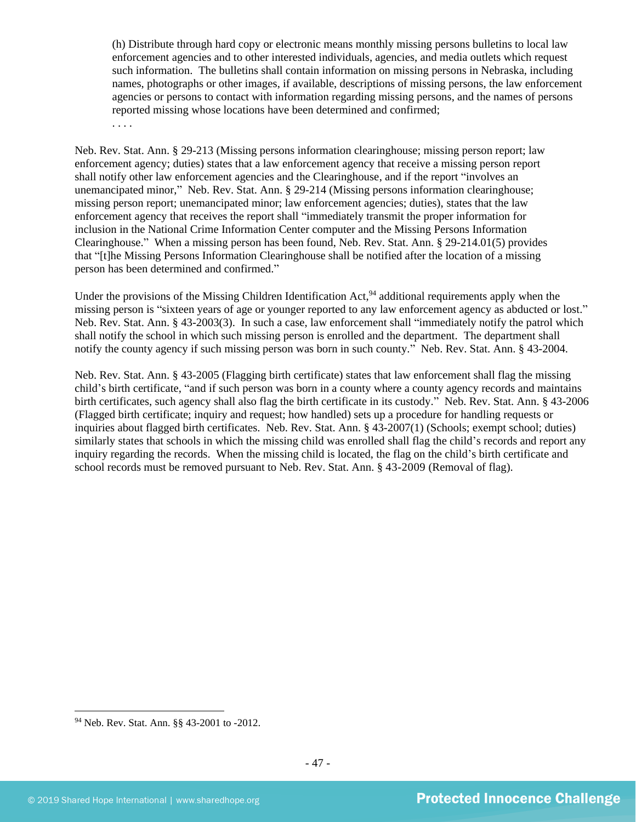(h) Distribute through hard copy or electronic means monthly missing persons bulletins to local law enforcement agencies and to other interested individuals, agencies, and media outlets which request such information. The bulletins shall contain information on missing persons in Nebraska, including names, photographs or other images, if available, descriptions of missing persons, the law enforcement agencies or persons to contact with information regarding missing persons, and the names of persons reported missing whose locations have been determined and confirmed;

. . . .

Neb. Rev. Stat. Ann. § 29-213 (Missing persons information clearinghouse; missing person report; law enforcement agency; duties) states that a law enforcement agency that receive a missing person report shall notify other law enforcement agencies and the Clearinghouse, and if the report "involves an unemancipated minor," Neb. Rev. Stat. Ann. § 29-214 (Missing persons information clearinghouse; missing person report; unemancipated minor; law enforcement agencies; duties), states that the law enforcement agency that receives the report shall "immediately transmit the proper information for inclusion in the National Crime Information Center computer and the Missing Persons Information Clearinghouse." When a missing person has been found, Neb. Rev. Stat. Ann. § 29-214.01(5) provides that "[t]he Missing Persons Information Clearinghouse shall be notified after the location of a missing person has been determined and confirmed."

Under the provisions of the Missing Children Identification Act, <sup>94</sup> additional requirements apply when the missing person is "sixteen years of age or younger reported to any law enforcement agency as abducted or lost." Neb. Rev. Stat. Ann. § 43-2003(3). In such a case, law enforcement shall "immediately notify the patrol which shall notify the school in which such missing person is enrolled and the department. The department shall notify the county agency if such missing person was born in such county." Neb. Rev. Stat. Ann. § 43-2004.

Neb. Rev. Stat. Ann. § 43-2005 (Flagging birth certificate) states that law enforcement shall flag the missing child's birth certificate, "and if such person was born in a county where a county agency records and maintains birth certificates, such agency shall also flag the birth certificate in its custody." Neb. Rev. Stat. Ann. § 43-2006 (Flagged birth certificate; inquiry and request; how handled) sets up a procedure for handling requests or inquiries about flagged birth certificates. Neb. Rev. Stat. Ann. § 43-2007(1) (Schools; exempt school; duties) similarly states that schools in which the missing child was enrolled shall flag the child's records and report any inquiry regarding the records. When the missing child is located, the flag on the child's birth certificate and school records must be removed pursuant to Neb. Rev. Stat. Ann. § 43-2009 (Removal of flag).

<sup>94</sup> Neb. Rev. Stat. Ann. §§ 43-2001 to -2012.